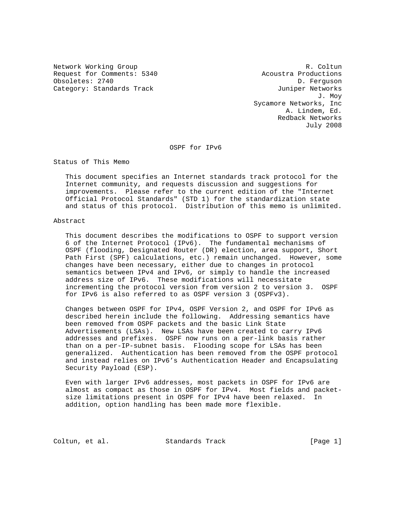Network Working Group and the coltunate of the R. Coltunate R. Coltunate R. Coltunate R. Coltunate R. Coltunate R. Coltunate R. Coltunate R. Coltunate R. Coltunate R. Coltunate R. Coltunate R. Coltunate R. Coltunate R. Col Request for Comments: 5340 Acoustra Productions Obsoletes: 2740 D. Ferguson Category: Standards Track and the Category: Standards Track

 J. Moy Sycamore Networks, Inc A. Lindem, Ed. Redback Networks July 2008

OSPF for IPv6

Status of This Memo

 This document specifies an Internet standards track protocol for the Internet community, and requests discussion and suggestions for improvements. Please refer to the current edition of the "Internet Official Protocol Standards" (STD 1) for the standardization state and status of this protocol. Distribution of this memo is unlimited.

### Abstract

 This document describes the modifications to OSPF to support version 6 of the Internet Protocol (IPv6). The fundamental mechanisms of OSPF (flooding, Designated Router (DR) election, area support, Short Path First (SPF) calculations, etc.) remain unchanged. However, some changes have been necessary, either due to changes in protocol semantics between IPv4 and IPv6, or simply to handle the increased address size of IPv6. These modifications will necessitate incrementing the protocol version from version 2 to version 3. OSPF for IPv6 is also referred to as OSPF version 3 (OSPFv3).

 Changes between OSPF for IPv4, OSPF Version 2, and OSPF for IPv6 as described herein include the following. Addressing semantics have been removed from OSPF packets and the basic Link State Advertisements (LSAs). New LSAs have been created to carry IPv6 addresses and prefixes. OSPF now runs on a per-link basis rather than on a per-IP-subnet basis. Flooding scope for LSAs has been generalized. Authentication has been removed from the OSPF protocol and instead relies on IPv6's Authentication Header and Encapsulating Security Payload (ESP).

 Even with larger IPv6 addresses, most packets in OSPF for IPv6 are almost as compact as those in OSPF for IPv4. Most fields and packet size limitations present in OSPF for IPv4 have been relaxed. In addition, option handling has been made more flexible.

Coltun, et al. Standards Track [Page 1]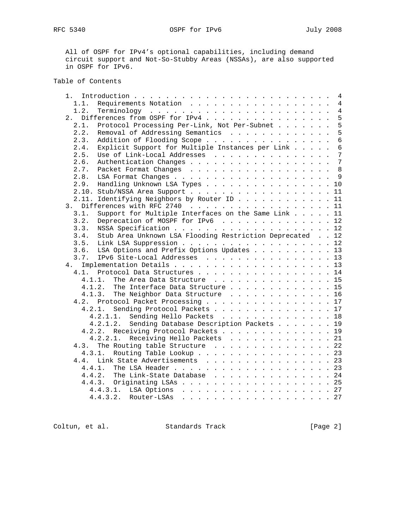RFC 5340 OSPF for IPv6 July 2008

 All of OSPF for IPv4's optional capabilities, including demand circuit support and Not-So-Stubby Areas (NSSAs), are also supported in OSPF for IPv6.

# Table of Contents

|                                                                              |  | 4               |
|------------------------------------------------------------------------------|--|-----------------|
| Requirements Notation<br>1.1.                                                |  | $\overline{4}$  |
| 1.2.                                                                         |  | $\overline{4}$  |
| Differences from OSPF for IPv4<br>2.                                         |  | 5               |
| Protocol Processing Per-Link, Not Per-Subnet<br>2.1.                         |  | 5               |
| Removal of Addressing Semantics<br>2.2.                                      |  | 5               |
| Addition of Flooding Scope<br>2.3.                                           |  | $6\overline{6}$ |
| Explicit Support for Multiple Instances per Link<br>2.4.                     |  | $6\phantom{1}6$ |
| Use of Link-Local Addresses<br>2.5.                                          |  | 7               |
| 2.6.                                                                         |  | $7\phantom{.0}$ |
| 2.7.                                                                         |  | 8               |
| 2.8.                                                                         |  |                 |
| Handling Unknown LSA Types 10<br>2.9.                                        |  |                 |
| 2.10. Stub/NSSA Area Support 11                                              |  |                 |
| 2.11. Identifying Neighbors by Router ID 11                                  |  |                 |
| Differences with RFC 2740 11<br>3.                                           |  |                 |
| Support for Multiple Interfaces on the Same Link 11<br>3.1.                  |  |                 |
| Deprecation of MOSPF for IPv6 12<br>3.2.                                     |  |                 |
| 3.3.                                                                         |  |                 |
| Stub Area Unknown LSA Flooding Restriction Deprecated 12<br>3.4.             |  |                 |
| 3.5.                                                                         |  |                 |
| Link LSA Suppression 12<br>LSA Options and Prefix Options Updates 13<br>3.6. |  |                 |
| IPv6 Site-Local Addresses 13<br>3.7.                                         |  |                 |
|                                                                              |  |                 |
| 4.                                                                           |  |                 |
| Protocol Data Structures 14<br>4.1.                                          |  |                 |
| 4.1.1.<br>The Area Data Structure 15                                         |  |                 |
| 4.1.2.<br>The Interface Data Structure 15                                    |  |                 |
| 4.1.3.<br>The Neighbor Data Structure 16                                     |  |                 |
| 4.2. Protocol Packet Processing 17                                           |  |                 |
| Sending Protocol Packets 17<br>4.2.1.                                        |  |                 |
| 4.2.1.1. Sending Hello Packets 18                                            |  |                 |
| Sending Database Description Packets 19<br>4.2.1.2.                          |  |                 |
| Receiving Protocol Packets 19<br>4.2.2.                                      |  |                 |
| Receiving Hello Packets 21<br>4.2.2.1.                                       |  |                 |
| The Routing table Structure 22<br>4.3.                                       |  |                 |
| Routing Table Lookup 23<br>4.3.1.                                            |  |                 |
| Link State Advertisements 23<br>4.4.                                         |  |                 |
| 4.4.1.                                                                       |  |                 |
| The Link-State Database 24<br>4.4.2.                                         |  |                 |
| 4.4.3. Originating LSAs 25                                                   |  |                 |
|                                                                              |  |                 |
| Router-LSAs 27<br>4.4.3.2.                                                   |  |                 |
|                                                                              |  |                 |

Coltun, et al. Standards Track [Page 2]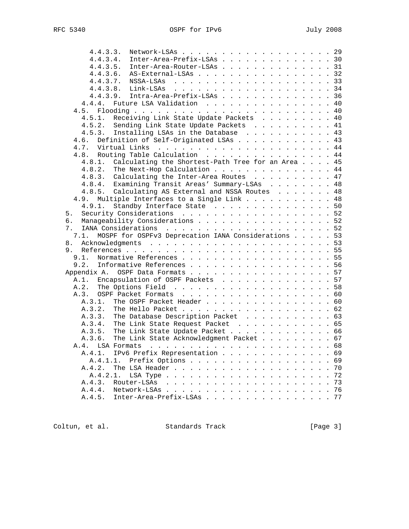| Network-LSAs 29<br>4.4.3.3.                                                                                                                          |              |
|------------------------------------------------------------------------------------------------------------------------------------------------------|--------------|
| Inter-Area-Prefix-LSAs 30<br>4.4.3.4.                                                                                                                |              |
| Inter-Area-Router-LSAs 31<br>4.4.3.5.                                                                                                                |              |
| AS-External-LSAs 32<br>4.4.3.6.                                                                                                                      |              |
| 4.4.3.7.                                                                                                                                             |              |
|                                                                                                                                                      |              |
| 4.4.3.9. Intra-Area-Prefix-LSAs 36                                                                                                                   |              |
| 4.4.4. Future LSA Validation 40                                                                                                                      |              |
| 4.5.                                                                                                                                                 |              |
| Receiving Link State Update Packets 40<br>4.5.1.                                                                                                     |              |
| 4.5.2. Sending Link State Update Packets 41                                                                                                          |              |
| 4.5.3. Installing LSAs in the Database 43                                                                                                            |              |
| Definition of Self-Originated LSAs 43<br>4.6.                                                                                                        |              |
|                                                                                                                                                      |              |
| 4.8. Routing Table Calculation 44                                                                                                                    |              |
| Calculating the Shortest-Path Tree for an Area 45<br>4.8.1.                                                                                          |              |
| 4.8.2. The Next-Hop Calculation 44                                                                                                                   |              |
| 4.8.3. Calculating the Inter-Area Routes 47                                                                                                          |              |
| 4.8.4. Examining Transit Areas' Summary-LSAs 48                                                                                                      |              |
| 4.8.5. Calculating AS External and NSSA Routes 48                                                                                                    |              |
| Multiple Interfaces to a Single Link 48<br>4.9.                                                                                                      |              |
| Standby Interface State 50<br>4.9.1.                                                                                                                 |              |
| Security Considerations 52<br>5.                                                                                                                     |              |
| Manageability Considerations 52<br>б.                                                                                                                |              |
| 7.                                                                                                                                                   |              |
| MOSPF for OSPFv3 Deprecation IANA Considerations 53<br>7.1.                                                                                          |              |
| 8.                                                                                                                                                   |              |
| 9.                                                                                                                                                   |              |
| Normative References 55<br>9.1.                                                                                                                      |              |
| 9.2. Informative References 56                                                                                                                       |              |
| Appendix A. OSPF Data Formats 57                                                                                                                     |              |
| A.1. Encapsulation of OSPF Packets 57                                                                                                                |              |
|                                                                                                                                                      |              |
| A.3. OSPF Packet Formats 60                                                                                                                          |              |
| The OSPF Packet Header 60<br>A.3.1.                                                                                                                  |              |
| The Hello Packet 62<br>A.3.2.                                                                                                                        |              |
| The Database Description Packet 63<br>A.3.3.                                                                                                         |              |
| A.3.4. The Link State Request Packet 65                                                                                                              |              |
| A.3.5. The Link State Update Packet 66                                                                                                               |              |
| The Link State Acknowledgment Packet 67<br>A.3.6.                                                                                                    |              |
|                                                                                                                                                      |              |
| A.4.                                                                                                                                                 |              |
| IPv6 Prefix Representation<br>A.4.1.<br>A.4.1.1.                                                                                                     | 69<br>69     |
| Prefix Options                                                                                                                                       | 70           |
| The LSA Header<br>A.4.2.                                                                                                                             | $\sim$       |
| A.4.2.1.<br>LSA Type<br>$\mathbf{r}$ , $\mathbf{r}$ , $\mathbf{r}$ , $\mathbf{r}$ , $\mathbf{r}$ , $\mathbf{r}$ , $\mathbf{r}$ , $\mathbf{r}$        | 72<br>$\sim$ |
| Router-LSAs<br>A.4.3.<br>$\cdot$ $\cdot$ $\cdot$ $\cdot$ $\cdot$<br>$\mathbf{r}$ . The set of $\mathbf{r}$<br>$\mathbf{r}$<br>$\mathbf{r}$<br>$\sim$ | 73<br>$\sim$ |
| A.4.4.<br>Network-LSAs<br>$\sim$<br>$\sim$                                                                                                           | 76           |
| Inter-Area-Prefix-LSAs 77<br>A.4.5.                                                                                                                  |              |

Coltun, et al. Standards Track [Page 3]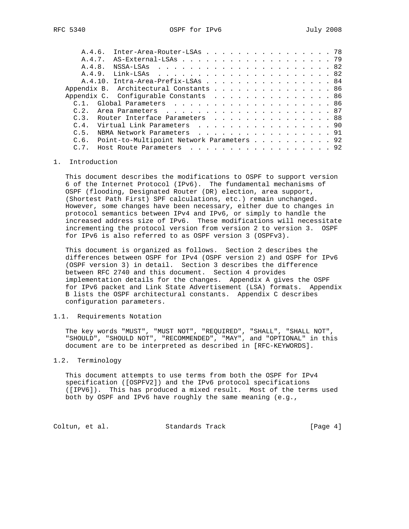| A.4.6.         | Inter-Area-Router-LSAs 78                      |  |
|----------------|------------------------------------------------|--|
|                |                                                |  |
| A.4.8.         |                                                |  |
| A.4.9.         |                                                |  |
|                | A.4.10. Intra-Area-Prefix-LSAs 84              |  |
|                | Appendix B. Architectural Constants 86         |  |
|                | Appendix C. Configurable Constants 86          |  |
| C <sub>1</sub> |                                                |  |
|                |                                                |  |
|                | C.3. Router Interface Parameters 88            |  |
|                | C.4. Virtual Link Parameters 90                |  |
| C.5.           | NBMA Network Parameters 91                     |  |
|                | C.6. Point-to-Multipoint Network Parameters 92 |  |
| $C.7$ .        | Host Route Parameters 92                       |  |

## 1. Introduction

 This document describes the modifications to OSPF to support version 6 of the Internet Protocol (IPv6). The fundamental mechanisms of OSPF (flooding, Designated Router (DR) election, area support, (Shortest Path First) SPF calculations, etc.) remain unchanged. However, some changes have been necessary, either due to changes in protocol semantics between IPv4 and IPv6, or simply to handle the increased address size of IPv6. These modifications will necessitate incrementing the protocol version from version 2 to version 3. OSPF for IPv6 is also referred to as OSPF version 3 (OSPFv3).

 This document is organized as follows. Section 2 describes the differences between OSPF for IPv4 (OSPF version 2) and OSPF for IPv6 (OSPF version 3) in detail. Section 3 describes the difference between RFC 2740 and this document. Section 4 provides implementation details for the changes. Appendix A gives the OSPF for IPv6 packet and Link State Advertisement (LSA) formats. Appendix B lists the OSPF architectural constants. Appendix C describes configuration parameters.

# 1.1. Requirements Notation

 The key words "MUST", "MUST NOT", "REQUIRED", "SHALL", "SHALL NOT", "SHOULD", "SHOULD NOT", "RECOMMENDED", "MAY", and "OPTIONAL" in this document are to be interpreted as described in [RFC-KEYWORDS].

## 1.2. Terminology

 This document attempts to use terms from both the OSPF for IPv4 specification ([OSPFV2]) and the IPv6 protocol specifications ([IPV6]). This has produced a mixed result. Most of the terms used both by OSPF and IPv6 have roughly the same meaning (e.g.,

Coltun, et al. Standards Track [Page 4]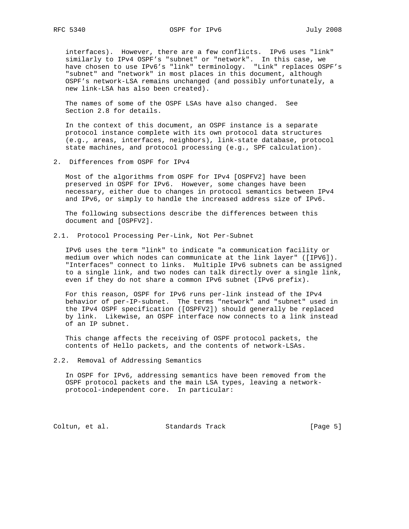interfaces). However, there are a few conflicts. IPv6 uses "link" similarly to IPv4 OSPF's "subnet" or "network". In this case, we have chosen to use IPv6's "link" terminology. "Link" replaces OSPF's "subnet" and "network" in most places in this document, although OSPF's network-LSA remains unchanged (and possibly unfortunately, a new link-LSA has also been created).

 The names of some of the OSPF LSAs have also changed. See Section 2.8 for details.

 In the context of this document, an OSPF instance is a separate protocol instance complete with its own protocol data structures (e.g., areas, interfaces, neighbors), link-state database, protocol state machines, and protocol processing (e.g., SPF calculation).

2. Differences from OSPF for IPv4

 Most of the algorithms from OSPF for IPv4 [OSPFV2] have been preserved in OSPF for IPv6. However, some changes have been necessary, either due to changes in protocol semantics between IPv4 and IPv6, or simply to handle the increased address size of IPv6.

 The following subsections describe the differences between this document and [OSPFV2].

2.1. Protocol Processing Per-Link, Not Per-Subnet

 IPv6 uses the term "link" to indicate "a communication facility or medium over which nodes can communicate at the link layer" ([IPV6]). "Interfaces" connect to links. Multiple IPv6 subnets can be assigned to a single link, and two nodes can talk directly over a single link, even if they do not share a common IPv6 subnet (IPv6 prefix).

 For this reason, OSPF for IPv6 runs per-link instead of the IPv4 behavior of per-IP-subnet. The terms "network" and "subnet" used in the IPv4 OSPF specification ([OSPFV2]) should generally be replaced by link. Likewise, an OSPF interface now connects to a link instead of an IP subnet.

 This change affects the receiving of OSPF protocol packets, the contents of Hello packets, and the contents of network-LSAs.

2.2. Removal of Addressing Semantics

 In OSPF for IPv6, addressing semantics have been removed from the OSPF protocol packets and the main LSA types, leaving a network protocol-independent core. In particular:

Coltun, et al. Standards Track [Page 5]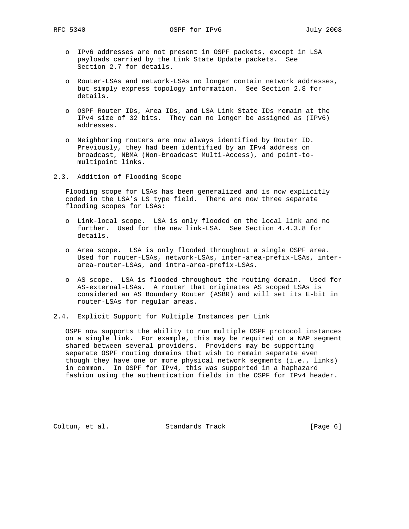- o IPv6 addresses are not present in OSPF packets, except in LSA payloads carried by the Link State Update packets. See Section 2.7 for details.
- o Router-LSAs and network-LSAs no longer contain network addresses, but simply express topology information. See Section 2.8 for details.
- o OSPF Router IDs, Area IDs, and LSA Link State IDs remain at the IPv4 size of 32 bits. They can no longer be assigned as (IPv6) addresses.
- o Neighboring routers are now always identified by Router ID. Previously, they had been identified by an IPv4 address on broadcast, NBMA (Non-Broadcast Multi-Access), and point-to multipoint links.
- 2.3. Addition of Flooding Scope

 Flooding scope for LSAs has been generalized and is now explicitly coded in the LSA's LS type field. There are now three separate flooding scopes for LSAs:

- o Link-local scope. LSA is only flooded on the local link and no further. Used for the new link-LSA. See Section 4.4.3.8 for details.
- o Area scope. LSA is only flooded throughout a single OSPF area. Used for router-LSAs, network-LSAs, inter-area-prefix-LSAs, inter area-router-LSAs, and intra-area-prefix-LSAs.
- o AS scope. LSA is flooded throughout the routing domain. Used for AS-external-LSAs. A router that originates AS scoped LSAs is considered an AS Boundary Router (ASBR) and will set its E-bit in router-LSAs for regular areas.
- 2.4. Explicit Support for Multiple Instances per Link

 OSPF now supports the ability to run multiple OSPF protocol instances on a single link. For example, this may be required on a NAP segment shared between several providers. Providers may be supporting separate OSPF routing domains that wish to remain separate even though they have one or more physical network segments (i.e., links) in common. In OSPF for IPv4, this was supported in a haphazard fashion using the authentication fields in the OSPF for IPv4 header.

Coltun, et al. Standards Track [Page 6]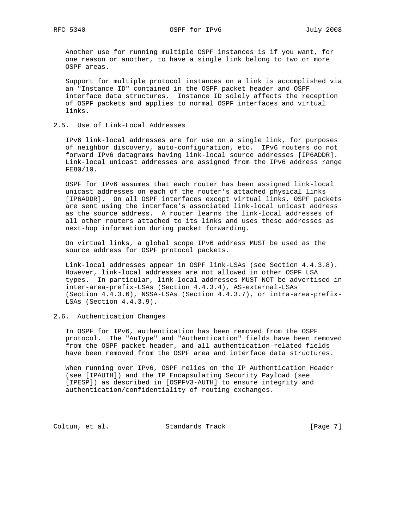Another use for running multiple OSPF instances is if you want, for one reason or another, to have a single link belong to two or more OSPF areas.

 Support for multiple protocol instances on a link is accomplished via an "Instance ID" contained in the OSPF packet header and OSPF interface data structures. Instance ID solely affects the reception of OSPF packets and applies to normal OSPF interfaces and virtual links.

2.5. Use of Link-Local Addresses

 IPv6 link-local addresses are for use on a single link, for purposes of neighbor discovery, auto-configuration, etc. IPv6 routers do not forward IPv6 datagrams having link-local source addresses [IP6ADDR]. Link-local unicast addresses are assigned from the IPv6 address range FE80/10.

 OSPF for IPv6 assumes that each router has been assigned link-local unicast addresses on each of the router's attached physical links [IP6ADDR]. On all OSPF interfaces except virtual links, OSPF packets are sent using the interface's associated link-local unicast address as the source address. A router learns the link-local addresses of all other routers attached to its links and uses these addresses as next-hop information during packet forwarding.

 On virtual links, a global scope IPv6 address MUST be used as the source address for OSPF protocol packets.

 Link-local addresses appear in OSPF link-LSAs (see Section 4.4.3.8). However, link-local addresses are not allowed in other OSPF LSA types. In particular, link-local addresses MUST NOT be advertised in inter-area-prefix-LSAs (Section 4.4.3.4), AS-external-LSAs (Section 4.4.3.6), NSSA-LSAs (Section 4.4.3.7), or intra-area-prefix- LSAs (Section 4.4.3.9).

2.6. Authentication Changes

 In OSPF for IPv6, authentication has been removed from the OSPF protocol. The "AuType" and "Authentication" fields have been removed from the OSPF packet header, and all authentication-related fields have been removed from the OSPF area and interface data structures.

 When running over IPv6, OSPF relies on the IP Authentication Header (see [IPAUTH]) and the IP Encapsulating Security Payload (see [IPESP]) as described in [OSPFV3-AUTH] to ensure integrity and authentication/confidentiality of routing exchanges.

Coltun, et al. Standards Track [Page 7]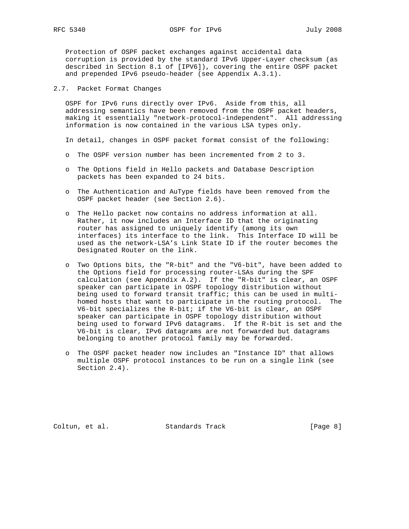RFC 5340 OSPF for IPv6 July 2008

 Protection of OSPF packet exchanges against accidental data corruption is provided by the standard IPv6 Upper-Layer checksum (as described in Section 8.1 of [IPV6]), covering the entire OSPF packet and prepended IPv6 pseudo-header (see Appendix A.3.1).

## 2.7. Packet Format Changes

 OSPF for IPv6 runs directly over IPv6. Aside from this, all addressing semantics have been removed from the OSPF packet headers, making it essentially "network-protocol-independent". All addressing information is now contained in the various LSA types only.

In detail, changes in OSPF packet format consist of the following:

- o The OSPF version number has been incremented from 2 to 3.
- o The Options field in Hello packets and Database Description packets has been expanded to 24 bits.
- o The Authentication and AuType fields have been removed from the OSPF packet header (see Section 2.6).
- o The Hello packet now contains no address information at all. Rather, it now includes an Interface ID that the originating router has assigned to uniquely identify (among its own interfaces) its interface to the link. This Interface ID will be used as the network-LSA's Link State ID if the router becomes the Designated Router on the link.
- o Two Options bits, the "R-bit" and the "V6-bit", have been added to the Options field for processing router-LSAs during the SPF calculation (see Appendix A.2). If the "R-bit" is clear, an OSPF speaker can participate in OSPF topology distribution without being used to forward transit traffic; this can be used in multi homed hosts that want to participate in the routing protocol. The V6-bit specializes the R-bit; if the V6-bit is clear, an OSPF speaker can participate in OSPF topology distribution without being used to forward IPv6 datagrams. If the R-bit is set and the V6-bit is clear, IPv6 datagrams are not forwarded but datagrams belonging to another protocol family may be forwarded.
- o The OSPF packet header now includes an "Instance ID" that allows multiple OSPF protocol instances to be run on a single link (see Section 2.4).

Coltun, et al. Standards Track [Page 8]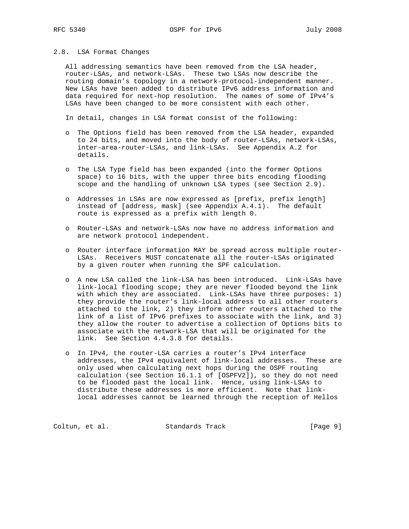## 2.8. LSA Format Changes

 All addressing semantics have been removed from the LSA header, router-LSAs, and network-LSAs. These two LSAs now describe the routing domain's topology in a network-protocol-independent manner. New LSAs have been added to distribute IPv6 address information and data required for next-hop resolution. The names of some of IPv4's LSAs have been changed to be more consistent with each other.

In detail, changes in LSA format consist of the following:

- o The Options field has been removed from the LSA header, expanded to 24 bits, and moved into the body of router-LSAs, network-LSAs, inter-area-router-LSAs, and link-LSAs. See Appendix A.2 for details.
- o The LSA Type field has been expanded (into the former Options space) to 16 bits, with the upper three bits encoding flooding scope and the handling of unknown LSA types (see Section 2.9).
- o Addresses in LSAs are now expressed as [prefix, prefix length] instead of [address, mask] (see Appendix A.4.1). The default route is expressed as a prefix with length 0.
- o Router-LSAs and network-LSAs now have no address information and are network protocol independent.
- o Router interface information MAY be spread across multiple router- LSAs. Receivers MUST concatenate all the router-LSAs originated by a given router when running the SPF calculation.
- o A new LSA called the link-LSA has been introduced. Link-LSAs have link-local flooding scope; they are never flooded beyond the link with which they are associated. Link-LSAs have three purposes: 1) they provide the router's link-local address to all other routers attached to the link, 2) they inform other routers attached to the link of a list of IPv6 prefixes to associate with the link, and 3) they allow the router to advertise a collection of Options bits to associate with the network-LSA that will be originated for the link. See Section 4.4.3.8 for details.
- o In IPv4, the router-LSA carries a router's IPv4 interface addresses, the IPv4 equivalent of link-local addresses. These are only used when calculating next hops during the OSPF routing calculation (see Section 16.1.1 of [OSPFV2]), so they do not need to be flooded past the local link. Hence, using link-LSAs to distribute these addresses is more efficient. Note that link local addresses cannot be learned through the reception of Hellos

Coltun, et al. Standards Track [Page 9]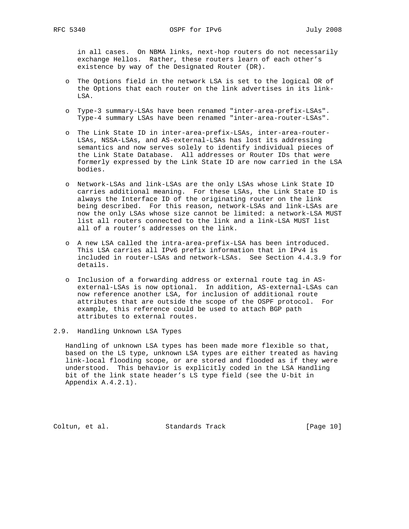in all cases. On NBMA links, next-hop routers do not necessarily exchange Hellos. Rather, these routers learn of each other's existence by way of the Designated Router (DR).

- o The Options field in the network LSA is set to the logical OR of the Options that each router on the link advertises in its link- LSA.
- o Type-3 summary-LSAs have been renamed "inter-area-prefix-LSAs". Type-4 summary LSAs have been renamed "inter-area-router-LSAs".
- o The Link State ID in inter-area-prefix-LSAs, inter-area-router- LSAs, NSSA-LSAs, and AS-external-LSAs has lost its addressing semantics and now serves solely to identify individual pieces of the Link State Database. All addresses or Router IDs that were formerly expressed by the Link State ID are now carried in the LSA bodies.
- o Network-LSAs and link-LSAs are the only LSAs whose Link State ID carries additional meaning. For these LSAs, the Link State ID is always the Interface ID of the originating router on the link being described. For this reason, network-LSAs and link-LSAs are now the only LSAs whose size cannot be limited: a network-LSA MUST list all routers connected to the link and a link-LSA MUST list all of a router's addresses on the link.
- o A new LSA called the intra-area-prefix-LSA has been introduced. This LSA carries all IPv6 prefix information that in IPv4 is included in router-LSAs and network-LSAs. See Section 4.4.3.9 for details.
- o Inclusion of a forwarding address or external route tag in AS external-LSAs is now optional. In addition, AS-external-LSAs can now reference another LSA, for inclusion of additional route attributes that are outside the scope of the OSPF protocol. For example, this reference could be used to attach BGP path attributes to external routes.

## 2.9. Handling Unknown LSA Types

 Handling of unknown LSA types has been made more flexible so that, based on the LS type, unknown LSA types are either treated as having link-local flooding scope, or are stored and flooded as if they were understood. This behavior is explicitly coded in the LSA Handling bit of the link state header's LS type field (see the U-bit in Appendix A.4.2.1).

Coltun, et al. Standards Track [Page 10]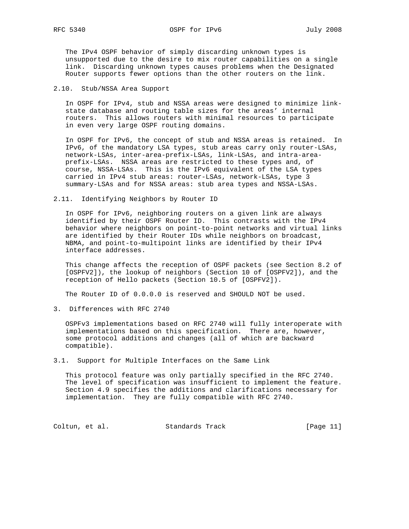RFC 5340 OSPF for IPv6 July 2008

 The IPv4 OSPF behavior of simply discarding unknown types is unsupported due to the desire to mix router capabilities on a single link. Discarding unknown types causes problems when the Designated Router supports fewer options than the other routers on the link.

## 2.10. Stub/NSSA Area Support

 In OSPF for IPv4, stub and NSSA areas were designed to minimize link state database and routing table sizes for the areas' internal routers. This allows routers with minimal resources to participate in even very large OSPF routing domains.

 In OSPF for IPv6, the concept of stub and NSSA areas is retained. In IPv6, of the mandatory LSA types, stub areas carry only router-LSAs, network-LSAs, inter-area-prefix-LSAs, link-LSAs, and intra-area prefix-LSAs. NSSA areas are restricted to these types and, of course, NSSA-LSAs. This is the IPv6 equivalent of the LSA types carried in IPv4 stub areas: router-LSAs, network-LSAs, type 3 summary-LSAs and for NSSA areas: stub area types and NSSA-LSAs.

#### 2.11. Identifying Neighbors by Router ID

 In OSPF for IPv6, neighboring routers on a given link are always identified by their OSPF Router ID. This contrasts with the IPv4 behavior where neighbors on point-to-point networks and virtual links are identified by their Router IDs while neighbors on broadcast, NBMA, and point-to-multipoint links are identified by their IPv4 interface addresses.

 This change affects the reception of OSPF packets (see Section 8.2 of [OSPFV2]), the lookup of neighbors (Section 10 of [OSPFV2]), and the reception of Hello packets (Section 10.5 of [OSPFV2]).

The Router ID of 0.0.0.0 is reserved and SHOULD NOT be used.

3. Differences with RFC 2740

 OSPFv3 implementations based on RFC 2740 will fully interoperate with implementations based on this specification. There are, however, some protocol additions and changes (all of which are backward compatible).

3.1. Support for Multiple Interfaces on the Same Link

 This protocol feature was only partially specified in the RFC 2740. The level of specification was insufficient to implement the feature. Section 4.9 specifies the additions and clarifications necessary for implementation. They are fully compatible with RFC 2740.

Coltun, et al. Standards Track [Page 11]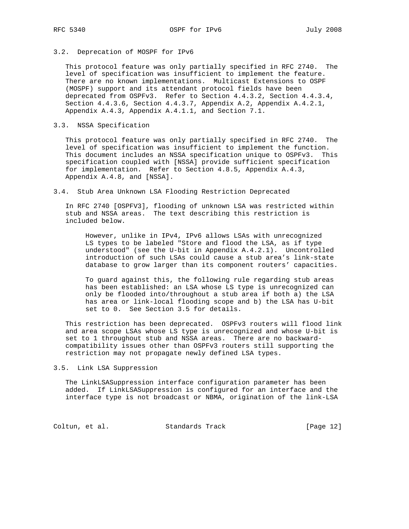# 3.2. Deprecation of MOSPF for IPv6

 This protocol feature was only partially specified in RFC 2740. The level of specification was insufficient to implement the feature. There are no known implementations. Multicast Extensions to OSPF (MOSPF) support and its attendant protocol fields have been deprecated from OSPFv3. Refer to Section 4.4.3.2, Section 4.4.3.4, Section 4.4.3.6, Section 4.4.3.7, Appendix A.2, Appendix A.4.2.1, Appendix A.4.3, Appendix A.4.1.1, and Section 7.1.

## 3.3. NSSA Specification

 This protocol feature was only partially specified in RFC 2740. The level of specification was insufficient to implement the function. This document includes an NSSA specification unique to OSPFv3. This specification coupled with [NSSA] provide sufficient specification for implementation. Refer to Section 4.8.5, Appendix A.4.3, Appendix A.4.8, and [NSSA].

#### 3.4. Stub Area Unknown LSA Flooding Restriction Deprecated

 In RFC 2740 [OSPFV3], flooding of unknown LSA was restricted within stub and NSSA areas. The text describing this restriction is included below.

 However, unlike in IPv4, IPv6 allows LSAs with unrecognized LS types to be labeled "Store and flood the LSA, as if type understood" (see the U-bit in Appendix A.4.2.1). Uncontrolled introduction of such LSAs could cause a stub area's link-state database to grow larger than its component routers' capacities.

 To guard against this, the following rule regarding stub areas has been established: an LSA whose LS type is unrecognized can only be flooded into/throughout a stub area if both a) the LSA has area or link-local flooding scope and b) the LSA has U-bit set to 0. See Section 3.5 for details.

 This restriction has been deprecated. OSPFv3 routers will flood link and area scope LSAs whose LS type is unrecognized and whose U-bit is set to 1 throughout stub and NSSA areas. There are no backward compatibility issues other than OSPFv3 routers still supporting the restriction may not propagate newly defined LSA types.

#### 3.5. Link LSA Suppression

 The LinkLSASuppression interface configuration parameter has been added. If LinkLSASuppression is configured for an interface and the interface type is not broadcast or NBMA, origination of the link-LSA

Coltun, et al. Standards Track [Page 12]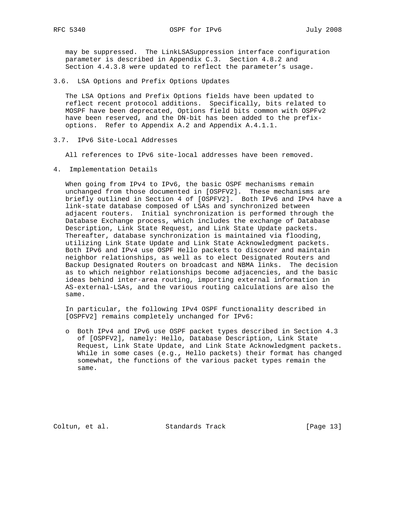may be suppressed. The LinkLSASuppression interface configuration parameter is described in Appendix C.3. Section 4.8.2 and Section 4.4.3.8 were updated to reflect the parameter's usage.

3.6. LSA Options and Prefix Options Updates

 The LSA Options and Prefix Options fields have been updated to reflect recent protocol additions. Specifically, bits related to MOSPF have been deprecated, Options field bits common with OSPFv2 have been reserved, and the DN-bit has been added to the prefix options. Refer to Appendix A.2 and Appendix A.4.1.1.

3.7. IPv6 Site-Local Addresses

All references to IPv6 site-local addresses have been removed.

4. Implementation Details

 When going from IPv4 to IPv6, the basic OSPF mechanisms remain unchanged from those documented in [OSPFV2]. These mechanisms are briefly outlined in Section 4 of [OSPFV2]. Both IPv6 and IPv4 have a link-state database composed of LSAs and synchronized between adjacent routers. Initial synchronization is performed through the Database Exchange process, which includes the exchange of Database Description, Link State Request, and Link State Update packets. Thereafter, database synchronization is maintained via flooding, utilizing Link State Update and Link State Acknowledgment packets. Both IPv6 and IPv4 use OSPF Hello packets to discover and maintain neighbor relationships, as well as to elect Designated Routers and Backup Designated Routers on broadcast and NBMA links. The decision as to which neighbor relationships become adjacencies, and the basic ideas behind inter-area routing, importing external information in AS-external-LSAs, and the various routing calculations are also the same.

 In particular, the following IPv4 OSPF functionality described in [OSPFV2] remains completely unchanged for IPv6:

 o Both IPv4 and IPv6 use OSPF packet types described in Section 4.3 of [OSPFV2], namely: Hello, Database Description, Link State Request, Link State Update, and Link State Acknowledgment packets. While in some cases (e.g., Hello packets) their format has changed somewhat, the functions of the various packet types remain the same.

Coltun, et al. Standards Track [Page 13]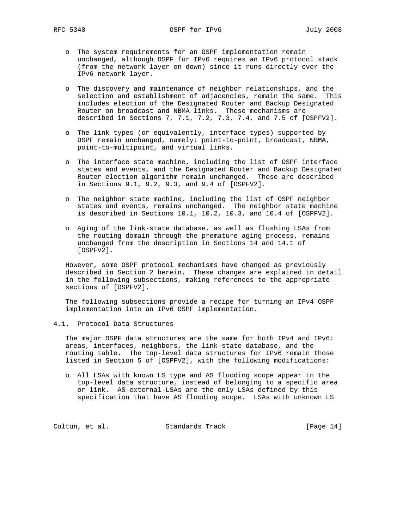- o The system requirements for an OSPF implementation remain unchanged, although OSPF for IPv6 requires an IPv6 protocol stack (from the network layer on down) since it runs directly over the IPv6 network layer.
- o The discovery and maintenance of neighbor relationships, and the selection and establishment of adjacencies, remain the same. This includes election of the Designated Router and Backup Designated Router on broadcast and NBMA links. These mechanisms are described in Sections 7, 7.1, 7.2, 7.3, 7.4, and 7.5 of [OSPFV2].
- o The link types (or equivalently, interface types) supported by OSPF remain unchanged, namely: point-to-point, broadcast, NBMA, point-to-multipoint, and virtual links.
- o The interface state machine, including the list of OSPF interface states and events, and the Designated Router and Backup Designated Router election algorithm remain unchanged. These are described in Sections 9.1, 9.2, 9.3, and 9.4 of [OSPFV2].
- o The neighbor state machine, including the list of OSPF neighbor states and events, remains unchanged. The neighbor state machine is described in Sections 10.1, 10.2, 10.3, and 10.4 of [OSPFV2].
- o Aging of the link-state database, as well as flushing LSAs from the routing domain through the premature aging process, remains unchanged from the description in Sections 14 and 14.1 of [OSPFV2].

 However, some OSPF protocol mechanisms have changed as previously described in Section 2 herein. These changes are explained in detail in the following subsections, making references to the appropriate sections of [OSPFV2].

 The following subsections provide a recipe for turning an IPv4 OSPF implementation into an IPv6 OSPF implementation.

4.1. Protocol Data Structures

 The major OSPF data structures are the same for both IPv4 and IPv6: areas, interfaces, neighbors, the link-state database, and the routing table. The top-level data structures for IPv6 remain those listed in Section 5 of [OSPFV2], with the following modifications:

 o All LSAs with known LS type and AS flooding scope appear in the top-level data structure, instead of belonging to a specific area or link. AS-external-LSAs are the only LSAs defined by this specification that have AS flooding scope. LSAs with unknown LS

Coltun, et al. Standards Track [Page 14]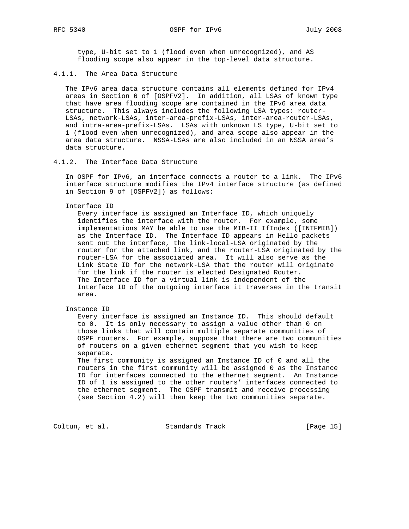type, U-bit set to 1 (flood even when unrecognized), and AS flooding scope also appear in the top-level data structure.

## 4.1.1. The Area Data Structure

 The IPv6 area data structure contains all elements defined for IPv4 areas in Section 6 of [OSPFV2]. In addition, all LSAs of known type that have area flooding scope are contained in the IPv6 area data structure. This always includes the following LSA types: router- LSAs, network-LSAs, inter-area-prefix-LSAs, inter-area-router-LSAs, and intra-area-prefix-LSAs. LSAs with unknown LS type, U-bit set to 1 (flood even when unrecognized), and area scope also appear in the area data structure. NSSA-LSAs are also included in an NSSA area's data structure.

### 4.1.2. The Interface Data Structure

 In OSPF for IPv6, an interface connects a router to a link. The IPv6 interface structure modifies the IPv4 interface structure (as defined in Section 9 of [OSPFV2]) as follows:

## Interface ID

 Every interface is assigned an Interface ID, which uniquely identifies the interface with the router. For example, some implementations MAY be able to use the MIB-II IfIndex ([INTFMIB]) as the Interface ID. The Interface ID appears in Hello packets sent out the interface, the link-local-LSA originated by the router for the attached link, and the router-LSA originated by the router-LSA for the associated area. It will also serve as the Link State ID for the network-LSA that the router will originate for the link if the router is elected Designated Router. The Interface ID for a virtual link is independent of the Interface ID of the outgoing interface it traverses in the transit area.

Instance ID

 Every interface is assigned an Instance ID. This should default to 0. It is only necessary to assign a value other than 0 on those links that will contain multiple separate communities of OSPF routers. For example, suppose that there are two communities of routers on a given ethernet segment that you wish to keep separate.

 The first community is assigned an Instance ID of 0 and all the routers in the first community will be assigned 0 as the Instance ID for interfaces connected to the ethernet segment. An Instance ID of 1 is assigned to the other routers' interfaces connected to the ethernet segment. The OSPF transmit and receive processing (see Section 4.2) will then keep the two communities separate.

Coltun, et al. Standards Track [Page 15]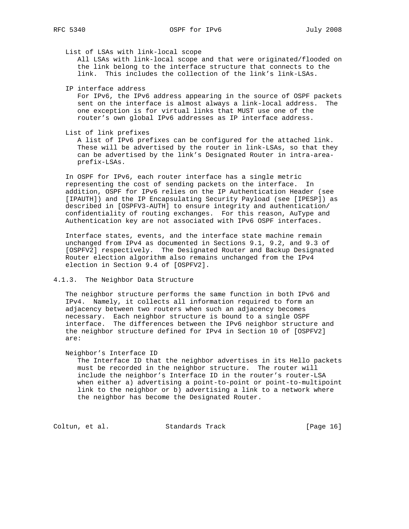List of LSAs with link-local scope

 All LSAs with link-local scope and that were originated/flooded on the link belong to the interface structure that connects to the link. This includes the collection of the link's link-LSAs.

IP interface address

 For IPv6, the IPv6 address appearing in the source of OSPF packets sent on the interface is almost always a link-local address. The one exception is for virtual links that MUST use one of the router's own global IPv6 addresses as IP interface address.

List of link prefixes

 A list of IPv6 prefixes can be configured for the attached link. These will be advertised by the router in link-LSAs, so that they can be advertised by the link's Designated Router in intra-area prefix-LSAs.

 In OSPF for IPv6, each router interface has a single metric representing the cost of sending packets on the interface. In addition, OSPF for IPv6 relies on the IP Authentication Header (see [IPAUTH]) and the IP Encapsulating Security Payload (see [IPESP]) as described in [OSPFV3-AUTH] to ensure integrity and authentication/ confidentiality of routing exchanges. For this reason, AuType and Authentication key are not associated with IPv6 OSPF interfaces.

 Interface states, events, and the interface state machine remain unchanged from IPv4 as documented in Sections 9.1, 9.2, and 9.3 of [OSPFV2] respectively. The Designated Router and Backup Designated Router election algorithm also remains unchanged from the IPv4 election in Section 9.4 of [OSPFV2].

4.1.3. The Neighbor Data Structure

 The neighbor structure performs the same function in both IPv6 and IPv4. Namely, it collects all information required to form an adjacency between two routers when such an adjacency becomes necessary. Each neighbor structure is bound to a single OSPF interface. The differences between the IPv6 neighbor structure and the neighbor structure defined for IPv4 in Section 10 of [OSPFV2] are:

Neighbor's Interface ID

 The Interface ID that the neighbor advertises in its Hello packets must be recorded in the neighbor structure. The router will include the neighbor's Interface ID in the router's router-LSA when either a) advertising a point-to-point or point-to-multipoint link to the neighbor or b) advertising a link to a network where the neighbor has become the Designated Router.

Coltun, et al. Standards Track [Page 16]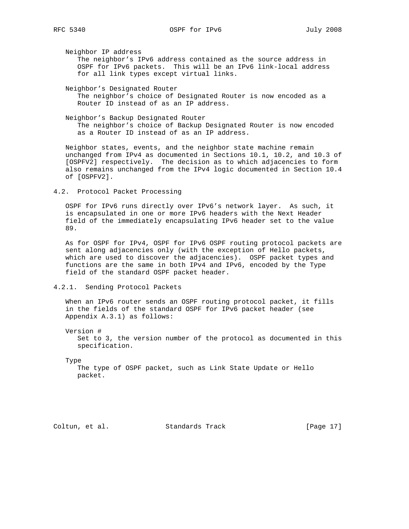Neighbor IP address

 The neighbor's IPv6 address contained as the source address in OSPF for IPv6 packets. This will be an IPv6 link-local address for all link types except virtual links.

Neighbor's Designated Router

 The neighbor's choice of Designated Router is now encoded as a Router ID instead of as an IP address.

 Neighbor's Backup Designated Router The neighbor's choice of Backup Designated Router is now encoded as a Router ID instead of as an IP address.

 Neighbor states, events, and the neighbor state machine remain unchanged from IPv4 as documented in Sections 10.1, 10.2, and 10.3 of [OSPFV2] respectively. The decision as to which adjacencies to form also remains unchanged from the IPv4 logic documented in Section 10.4 of [OSPFV2].

4.2. Protocol Packet Processing

 OSPF for IPv6 runs directly over IPv6's network layer. As such, it is encapsulated in one or more IPv6 headers with the Next Header field of the immediately encapsulating IPv6 header set to the value 89.

 As for OSPF for IPv4, OSPF for IPv6 OSPF routing protocol packets are sent along adjacencies only (with the exception of Hello packets, which are used to discover the adjacencies). OSPF packet types and functions are the same in both IPv4 and IPv6, encoded by the Type field of the standard OSPF packet header.

4.2.1. Sending Protocol Packets

 When an IPv6 router sends an OSPF routing protocol packet, it fills in the fields of the standard OSPF for IPv6 packet header (see Appendix A.3.1) as follows:

 Version # Set to 3, the version number of the protocol as documented in this specification.

Type

 The type of OSPF packet, such as Link State Update or Hello packet.

Coltun, et al. Standards Track [Page 17]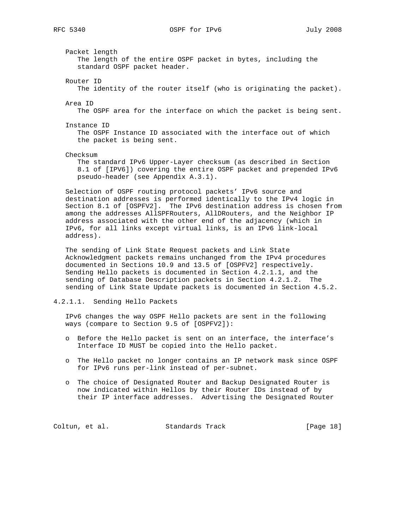RFC 5340 OSPF for IPv6 July 2008

 Packet length The length of the entire OSPF packet in bytes, including the standard OSPF packet header. Router ID The identity of the router itself (who is originating the packet). Area ID The OSPF area for the interface on which the packet is being sent. Instance ID The OSPF Instance ID associated with the interface out of which the packet is being sent. Checksum The standard IPv6 Upper-Layer checksum (as described in Section 8.1 of [IPV6]) covering the entire OSPF packet and prepended IPv6 pseudo-header (see Appendix A.3.1). Selection of OSPF routing protocol packets' IPv6 source and destination addresses is performed identically to the IPv4 logic in Section 8.1 of [OSPFV2]. The IPv6 destination address is chosen from among the addresses AllSPFRouters, AllDRouters, and the Neighbor IP address associated with the other end of the adjacency (which in IPv6, for all links except virtual links, is an IPv6 link-local address).

 The sending of Link State Request packets and Link State Acknowledgment packets remains unchanged from the IPv4 procedures documented in Sections 10.9 and 13.5 of [OSPFV2] respectively. Sending Hello packets is documented in Section 4.2.1.1, and the sending of Database Description packets in Section 4.2.1.2. The sending of Link State Update packets is documented in Section 4.5.2.

## 4.2.1.1. Sending Hello Packets

 IPv6 changes the way OSPF Hello packets are sent in the following ways (compare to Section 9.5 of [OSPFV2]):

- o Before the Hello packet is sent on an interface, the interface's Interface ID MUST be copied into the Hello packet.
- o The Hello packet no longer contains an IP network mask since OSPF for IPv6 runs per-link instead of per-subnet.
- o The choice of Designated Router and Backup Designated Router is now indicated within Hellos by their Router IDs instead of by their IP interface addresses. Advertising the Designated Router

Coltun, et al. Standards Track [Page 18]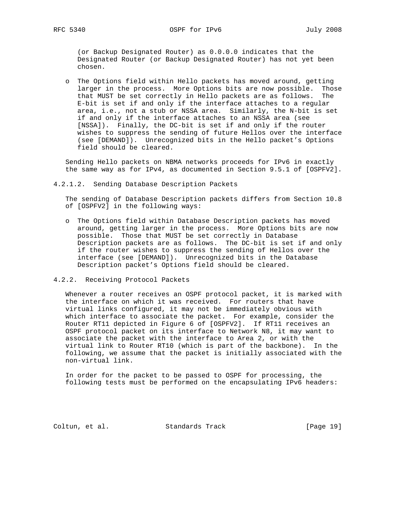(or Backup Designated Router) as 0.0.0.0 indicates that the Designated Router (or Backup Designated Router) has not yet been chosen.

 o The Options field within Hello packets has moved around, getting larger in the process. More Options bits are now possible. Those that MUST be set correctly in Hello packets are as follows. The E-bit is set if and only if the interface attaches to a regular area, i.e., not a stub or NSSA area. Similarly, the N-bit is set if and only if the interface attaches to an NSSA area (see [NSSA]). Finally, the DC-bit is set if and only if the router wishes to suppress the sending of future Hellos over the interface (see [DEMAND]). Unrecognized bits in the Hello packet's Options field should be cleared.

 Sending Hello packets on NBMA networks proceeds for IPv6 in exactly the same way as for IPv4, as documented in Section 9.5.1 of [OSPFV2].

4.2.1.2. Sending Database Description Packets

 The sending of Database Description packets differs from Section 10.8 of [OSPFV2] in the following ways:

- o The Options field within Database Description packets has moved around, getting larger in the process. More Options bits are now possible. Those that MUST be set correctly in Database Description packets are as follows. The DC-bit is set if and only if the router wishes to suppress the sending of Hellos over the interface (see [DEMAND]). Unrecognized bits in the Database Description packet's Options field should be cleared.
- 4.2.2. Receiving Protocol Packets

 Whenever a router receives an OSPF protocol packet, it is marked with the interface on which it was received. For routers that have virtual links configured, it may not be immediately obvious with which interface to associate the packet. For example, consider the Router RT11 depicted in Figure 6 of [OSPFV2]. If RT11 receives an OSPF protocol packet on its interface to Network N8, it may want to associate the packet with the interface to Area 2, or with the virtual link to Router RT10 (which is part of the backbone). In the following, we assume that the packet is initially associated with the non-virtual link.

 In order for the packet to be passed to OSPF for processing, the following tests must be performed on the encapsulating IPv6 headers:

Coltun, et al. Standards Track [Page 19]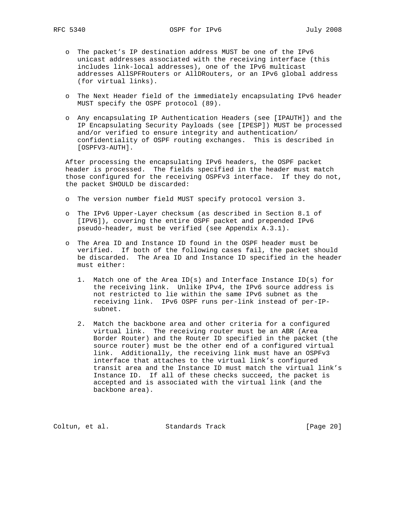- o The packet's IP destination address MUST be one of the IPv6 unicast addresses associated with the receiving interface (this includes link-local addresses), one of the IPv6 multicast addresses AllSPFRouters or AllDRouters, or an IPv6 global address (for virtual links).
- o The Next Header field of the immediately encapsulating IPv6 header MUST specify the OSPF protocol (89).
- o Any encapsulating IP Authentication Headers (see [IPAUTH]) and the IP Encapsulating Security Payloads (see [IPESP]) MUST be processed and/or verified to ensure integrity and authentication/ confidentiality of OSPF routing exchanges. This is described in [OSPFV3-AUTH].

 After processing the encapsulating IPv6 headers, the OSPF packet header is processed. The fields specified in the header must match those configured for the receiving OSPFv3 interface. If they do not, the packet SHOULD be discarded:

- o The version number field MUST specify protocol version 3.
- o The IPv6 Upper-Layer checksum (as described in Section 8.1 of [IPV6]), covering the entire OSPF packet and prepended IPv6 pseudo-header, must be verified (see Appendix A.3.1).
- o The Area ID and Instance ID found in the OSPF header must be verified. If both of the following cases fail, the packet should be discarded. The Area ID and Instance ID specified in the header must either:
	- 1. Match one of the Area ID(s) and Interface Instance ID(s) for the receiving link. Unlike IPv4, the IPv6 source address is not restricted to lie within the same IPv6 subnet as the receiving link. IPv6 OSPF runs per-link instead of per-IP subnet.
	- 2. Match the backbone area and other criteria for a configured virtual link. The receiving router must be an ABR (Area Border Router) and the Router ID specified in the packet (the source router) must be the other end of a configured virtual link. Additionally, the receiving link must have an OSPFv3 interface that attaches to the virtual link's configured transit area and the Instance ID must match the virtual link's Instance ID. If all of these checks succeed, the packet is accepted and is associated with the virtual link (and the backbone area).

Coltun, et al. Standards Track [Page 20]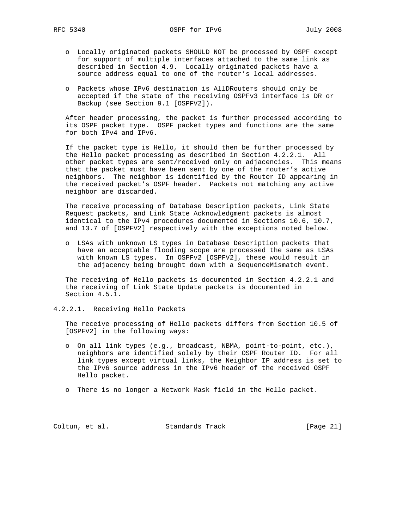- o Locally originated packets SHOULD NOT be processed by OSPF except for support of multiple interfaces attached to the same link as described in Section 4.9. Locally originated packets have a source address equal to one of the router's local addresses.
- o Packets whose IPv6 destination is AllDRouters should only be accepted if the state of the receiving OSPFv3 interface is DR or Backup (see Section 9.1 [OSPFV2]).

 After header processing, the packet is further processed according to its OSPF packet type. OSPF packet types and functions are the same for both IPv4 and IPv6.

 If the packet type is Hello, it should then be further processed by the Hello packet processing as described in Section 4.2.2.1. All other packet types are sent/received only on adjacencies. This means that the packet must have been sent by one of the router's active neighbors. The neighbor is identified by the Router ID appearing in the received packet's OSPF header. Packets not matching any active neighbor are discarded.

 The receive processing of Database Description packets, Link State Request packets, and Link State Acknowledgment packets is almost identical to the IPv4 procedures documented in Sections 10.6, 10.7, and 13.7 of [OSPFV2] respectively with the exceptions noted below.

 o LSAs with unknown LS types in Database Description packets that have an acceptable flooding scope are processed the same as LSAs with known LS types. In OSPFv2 [OSPFV2], these would result in the adjacency being brought down with a SequenceMismatch event.

 The receiving of Hello packets is documented in Section 4.2.2.1 and the receiving of Link State Update packets is documented in Section 4.5.1.

4.2.2.1. Receiving Hello Packets

 The receive processing of Hello packets differs from Section 10.5 of [OSPFV2] in the following ways:

- o On all link types (e.g., broadcast, NBMA, point-to-point, etc.), neighbors are identified solely by their OSPF Router ID. For all link types except virtual links, the Neighbor IP address is set to the IPv6 source address in the IPv6 header of the received OSPF Hello packet.
- o There is no longer a Network Mask field in the Hello packet.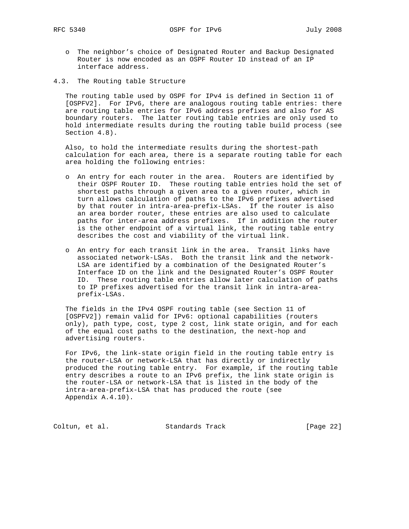- o The neighbor's choice of Designated Router and Backup Designated Router is now encoded as an OSPF Router ID instead of an IP interface address.
- 4.3. The Routing table Structure

 The routing table used by OSPF for IPv4 is defined in Section 11 of [OSPFV2]. For IPv6, there are analogous routing table entries: there are routing table entries for IPv6 address prefixes and also for AS boundary routers. The latter routing table entries are only used to hold intermediate results during the routing table build process (see Section 4.8).

 Also, to hold the intermediate results during the shortest-path calculation for each area, there is a separate routing table for each area holding the following entries:

- o An entry for each router in the area. Routers are identified by their OSPF Router ID. These routing table entries hold the set of shortest paths through a given area to a given router, which in turn allows calculation of paths to the IPv6 prefixes advertised by that router in intra-area-prefix-LSAs. If the router is also an area border router, these entries are also used to calculate paths for inter-area address prefixes. If in addition the router is the other endpoint of a virtual link, the routing table entry describes the cost and viability of the virtual link.
- o An entry for each transit link in the area. Transit links have associated network-LSAs. Both the transit link and the network- LSA are identified by a combination of the Designated Router's Interface ID on the link and the Designated Router's OSPF Router ID. These routing table entries allow later calculation of paths to IP prefixes advertised for the transit link in intra-area prefix-LSAs.

 The fields in the IPv4 OSPF routing table (see Section 11 of [OSPFV2]) remain valid for IPv6: optional capabilities (routers only), path type, cost, type 2 cost, link state origin, and for each of the equal cost paths to the destination, the next-hop and advertising routers.

 For IPv6, the link-state origin field in the routing table entry is the router-LSA or network-LSA that has directly or indirectly produced the routing table entry. For example, if the routing table entry describes a route to an IPv6 prefix, the link state origin is the router-LSA or network-LSA that is listed in the body of the intra-area-prefix-LSA that has produced the route (see Appendix A.4.10).

Coltun, et al. Standards Track [Page 22]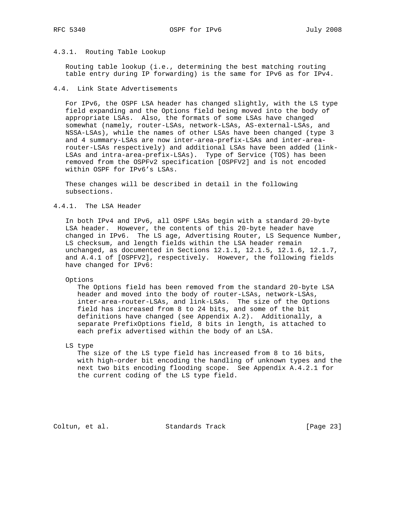## 4.3.1. Routing Table Lookup

 Routing table lookup (i.e., determining the best matching routing table entry during IP forwarding) is the same for IPv6 as for IPv4.

## 4.4. Link State Advertisements

 For IPv6, the OSPF LSA header has changed slightly, with the LS type field expanding and the Options field being moved into the body of appropriate LSAs. Also, the formats of some LSAs have changed somewhat (namely, router-LSAs, network-LSAs, AS-external-LSAs, and NSSA-LSAs), while the names of other LSAs have been changed (type 3 and 4 summary-LSAs are now inter-area-prefix-LSAs and inter-area router-LSAs respectively) and additional LSAs have been added (link- LSAs and intra-area-prefix-LSAs). Type of Service (TOS) has been removed from the OSPFv2 specification [OSPFV2] and is not encoded within OSPF for IPv6's LSAs.

 These changes will be described in detail in the following subsections.

## 4.4.1. The LSA Header

 In both IPv4 and IPv6, all OSPF LSAs begin with a standard 20-byte LSA header. However, the contents of this 20-byte header have changed in IPv6. The LS age, Advertising Router, LS Sequence Number, LS checksum, and length fields within the LSA header remain unchanged, as documented in Sections 12.1.1, 12.1.5, 12.1.6, 12.1.7, and A.4.1 of [OSPFV2], respectively. However, the following fields have changed for IPv6:

Options

 The Options field has been removed from the standard 20-byte LSA header and moved into the body of router-LSAs, network-LSAs, inter-area-router-LSAs, and link-LSAs. The size of the Options field has increased from 8 to 24 bits, and some of the bit definitions have changed (see Appendix A.2). Additionally, a separate PrefixOptions field, 8 bits in length, is attached to each prefix advertised within the body of an LSA.

LS type

 The size of the LS type field has increased from 8 to 16 bits, with high-order bit encoding the handling of unknown types and the next two bits encoding flooding scope. See Appendix A.4.2.1 for the current coding of the LS type field.

Coltun, et al. Standards Track [Page 23]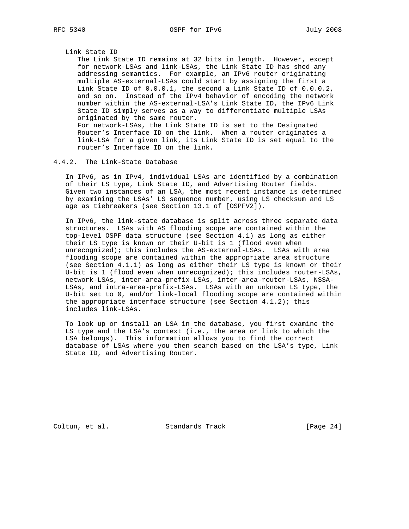### Link State ID

 The Link State ID remains at 32 bits in length. However, except for network-LSAs and link-LSAs, the Link State ID has shed any addressing semantics. For example, an IPv6 router originating multiple AS-external-LSAs could start by assigning the first a Link State ID of 0.0.0.1, the second a Link State ID of 0.0.0.2, and so on. Instead of the IPv4 behavior of encoding the network number within the AS-external-LSA's Link State ID, the IPv6 Link State ID simply serves as a way to differentiate multiple LSAs originated by the same router. For network-LSAs, the Link State ID is set to the Designated Router's Interface ID on the link. When a router originates a link-LSA for a given link, its Link State ID is set equal to the router's Interface ID on the link.

## 4.4.2. The Link-State Database

 In IPv6, as in IPv4, individual LSAs are identified by a combination of their LS type, Link State ID, and Advertising Router fields. Given two instances of an LSA, the most recent instance is determined by examining the LSAs' LS sequence number, using LS checksum and LS age as tiebreakers (see Section 13.1 of [OSPFV2]).

 In IPv6, the link-state database is split across three separate data structures. LSAs with AS flooding scope are contained within the top-level OSPF data structure (see Section 4.1) as long as either their LS type is known or their U-bit is 1 (flood even when unrecognized); this includes the AS-external-LSAs. LSAs with area flooding scope are contained within the appropriate area structure (see Section 4.1.1) as long as either their LS type is known or their U-bit is 1 (flood even when unrecognized); this includes router-LSAs, network-LSAs, inter-area-prefix-LSAs, inter-area-router-LSAs, NSSA- LSAs, and intra-area-prefix-LSAs. LSAs with an unknown LS type, the U-bit set to 0, and/or link-local flooding scope are contained within the appropriate interface structure (see Section  $4.1.2$ ); this includes link-LSAs.

 To look up or install an LSA in the database, you first examine the LS type and the LSA's context (i.e., the area or link to which the LSA belongs). This information allows you to find the correct database of LSAs where you then search based on the LSA's type, Link State ID, and Advertising Router.

Coltun, et al. Standards Track [Page 24]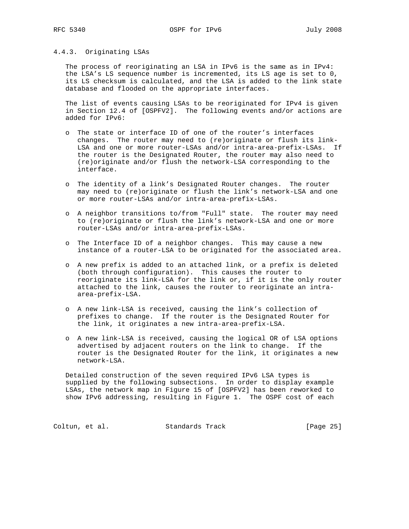## 4.4.3. Originating LSAs

 The process of reoriginating an LSA in IPv6 is the same as in IPv4: the LSA's LS sequence number is incremented, its LS age is set to 0, its LS checksum is calculated, and the LSA is added to the link state database and flooded on the appropriate interfaces.

 The list of events causing LSAs to be reoriginated for IPv4 is given in Section 12.4 of [OSPFV2]. The following events and/or actions are added for IPv6:

- o The state or interface ID of one of the router's interfaces changes. The router may need to (re)originate or flush its link- LSA and one or more router-LSAs and/or intra-area-prefix-LSAs. If the router is the Designated Router, the router may also need to (re)originate and/or flush the network-LSA corresponding to the interface.
- o The identity of a link's Designated Router changes. The router may need to (re)originate or flush the link's network-LSA and one or more router-LSAs and/or intra-area-prefix-LSAs.
- o A neighbor transitions to/from "Full" state. The router may need to (re)originate or flush the link's network-LSA and one or more router-LSAs and/or intra-area-prefix-LSAs.
- o The Interface ID of a neighbor changes. This may cause a new instance of a router-LSA to be originated for the associated area.
- o A new prefix is added to an attached link, or a prefix is deleted (both through configuration). This causes the router to reoriginate its link-LSA for the link or, if it is the only router attached to the link, causes the router to reoriginate an intra area-prefix-LSA.
- o A new link-LSA is received, causing the link's collection of prefixes to change. If the router is the Designated Router for the link, it originates a new intra-area-prefix-LSA.
- o A new link-LSA is received, causing the logical OR of LSA options advertised by adjacent routers on the link to change. If the router is the Designated Router for the link, it originates a new network-LSA.

 Detailed construction of the seven required IPv6 LSA types is supplied by the following subsections. In order to display example LSAs, the network map in Figure 15 of [OSPFV2] has been reworked to show IPv6 addressing, resulting in Figure 1. The OSPF cost of each

Coltun, et al. Standards Track [Page 25]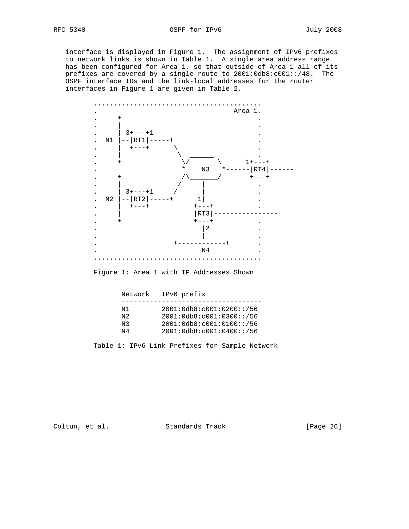interface is displayed in Figure 1. The assignment of IPv6 prefixes to network links is shown in Table 1. A single area address range has been configured for Area 1, so that outside of Area 1 all of its prefixes are covered by a single route to 2001:0db8:c001::/48. The OSPF interface IDs and the link-local addresses for the router interfaces in Figure 1 are given in Table 2.



Figure 1: Area 1 with IP Addresses Shown

| Network                 | IPv6 prefix                                                                                                   |
|-------------------------|---------------------------------------------------------------------------------------------------------------|
| N 1<br>N 2.<br>N3<br>N4 | 2001:0db8:co01:0200::/56<br>2001:0db8: c001:0300::/56<br>2001:0db8:co01:0100::/56<br>2001:0db8:co01:0400::/56 |

Table 1: IPv6 Link Prefixes for Sample Network

Coltun, et al. Standards Track [Page 26]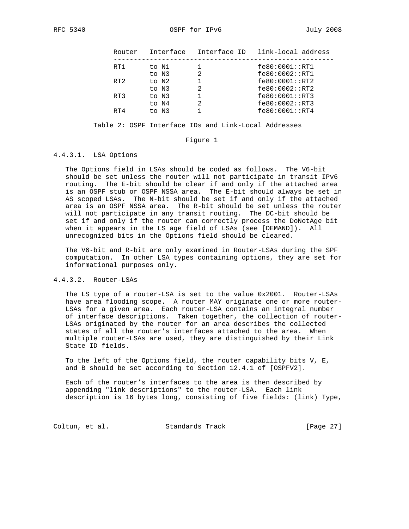| Interface<br>Router                        |  |
|--------------------------------------------|--|
| fe80:0001::RT1<br>RT1<br>to N1             |  |
| fe80:0002::RT1<br>to N3                    |  |
| fe80:0001::RT2<br>RT <sub>2</sub><br>to N2 |  |
| fe80:0002::RT2<br>to N3                    |  |
| fe80:0001::RT3<br>RT3<br>to N3             |  |
| fe80:0002::RT3<br>to N4                    |  |
| fe80:0001::RT4<br>RT4<br>to N3             |  |

Table 2: OSPF Interface IDs and Link-Local Addresses

#### Figure 1

## 4.4.3.1. LSA Options

 The Options field in LSAs should be coded as follows. The V6-bit should be set unless the router will not participate in transit IPv6 routing. The E-bit should be clear if and only if the attached area is an OSPF stub or OSPF NSSA area. The E-bit should always be set in AS scoped LSAs. The N-bit should be set if and only if the attached area is an OSPF NSSA area. The R-bit should be set unless the router will not participate in any transit routing. The DC-bit should be set if and only if the router can correctly process the DoNotAge bit when it appears in the LS age field of LSAs (see [DEMAND]). All unrecognized bits in the Options field should be cleared.

 The V6-bit and R-bit are only examined in Router-LSAs during the SPF computation. In other LSA types containing options, they are set for informational purposes only.

## 4.4.3.2. Router-LSAs

 The LS type of a router-LSA is set to the value 0x2001. Router-LSAs have area flooding scope. A router MAY originate one or more router- LSAs for a given area. Each router-LSA contains an integral number of interface descriptions. Taken together, the collection of router- LSAs originated by the router for an area describes the collected states of all the router's interfaces attached to the area. When multiple router-LSAs are used, they are distinguished by their Link State ID fields.

 To the left of the Options field, the router capability bits V, E, and B should be set according to Section 12.4.1 of [OSPFV2].

 Each of the router's interfaces to the area is then described by appending "link descriptions" to the router-LSA. Each link description is 16 bytes long, consisting of five fields: (link) Type,

Coltun, et al. Standards Track [Page 27]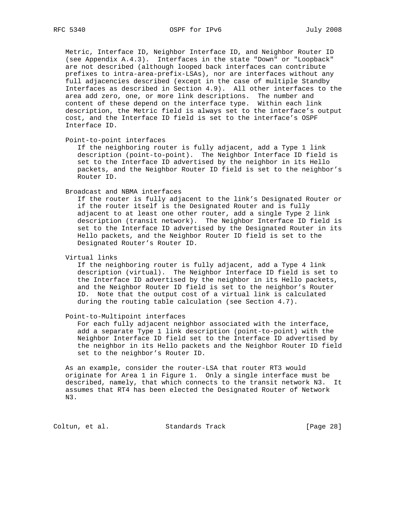Metric, Interface ID, Neighbor Interface ID, and Neighbor Router ID (see Appendix A.4.3). Interfaces in the state "Down" or "Loopback" are not described (although looped back interfaces can contribute prefixes to intra-area-prefix-LSAs), nor are interfaces without any full adjacencies described (except in the case of multiple Standby Interfaces as described in Section 4.9). All other interfaces to the area add zero, one, or more link descriptions. The number and content of these depend on the interface type. Within each link description, the Metric field is always set to the interface's output cost, and the Interface ID field is set to the interface's OSPF Interface ID.

Point-to-point interfaces

 If the neighboring router is fully adjacent, add a Type 1 link description (point-to-point). The Neighbor Interface ID field is set to the Interface ID advertised by the neighbor in its Hello packets, and the Neighbor Router ID field is set to the neighbor's Router ID.

#### Broadcast and NBMA interfaces

 If the router is fully adjacent to the link's Designated Router or if the router itself is the Designated Router and is fully adjacent to at least one other router, add a single Type 2 link description (transit network). The Neighbor Interface ID field is set to the Interface ID advertised by the Designated Router in its Hello packets, and the Neighbor Router ID field is set to the Designated Router's Router ID.

Virtual links

 If the neighboring router is fully adjacent, add a Type 4 link description (virtual). The Neighbor Interface ID field is set to the Interface ID advertised by the neighbor in its Hello packets, and the Neighbor Router ID field is set to the neighbor's Router ID. Note that the output cost of a virtual link is calculated during the routing table calculation (see Section 4.7).

## Point-to-Multipoint interfaces

 For each fully adjacent neighbor associated with the interface, add a separate Type 1 link description (point-to-point) with the Neighbor Interface ID field set to the Interface ID advertised by the neighbor in its Hello packets and the Neighbor Router ID field set to the neighbor's Router ID.

 As an example, consider the router-LSA that router RT3 would originate for Area 1 in Figure 1. Only a single interface must be described, namely, that which connects to the transit network N3. It assumes that RT4 has been elected the Designated Router of Network N3.

Coltun, et al. Standards Track [Page 28]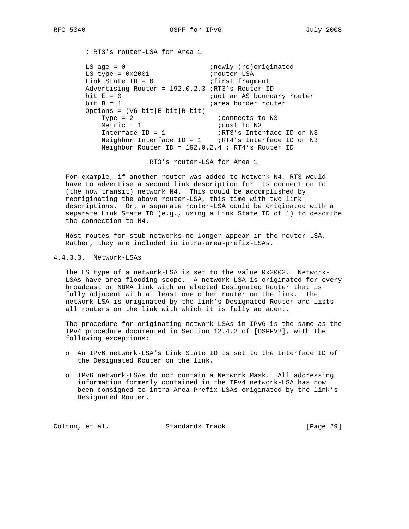; RT3's router-LSA for Area 1

LS age =  $0$  ;newly (re)originated LS type = 0x2001 irouter-LSA Link State ID = 0 (ifirst fragment Advertising Router = 192.0.2.3 ;RT3's Router ID bit E = 0  $\qquad \qquad$  ;not an AS boundary router bit B = 1  $\qquad \qquad$  ; area border router Options =  $(V6-bit|E-bit|R-bit)$  $Type = 2$  ;  $i$  connects to  $N3$ Metric = 1 <br>
Interface ID = 1 <br>  $iRT3's$  Inter Interface ID = 1  $\sum_{i \in \mathbb{N}}$  irr3's Interface ID on N3 Neighbor Interface ID = 1 ;RT4's Interface ID on N3 Neighbor Router ID = 192.0.2.4 ; RT4's Router ID

RT3's router-LSA for Area 1

 For example, if another router was added to Network N4, RT3 would have to advertise a second link description for its connection to (the now transit) network N4. This could be accomplished by reoriginating the above router-LSA, this time with two link descriptions. Or, a separate router-LSA could be originated with a separate Link State ID (e.g., using a Link State ID of 1) to describe the connection to N4.

 Host routes for stub networks no longer appear in the router-LSA. Rather, they are included in intra-area-prefix-LSAs.

4.4.3.3. Network-LSAs

 The LS type of a network-LSA is set to the value 0x2002. Network- LSAs have area flooding scope. A network-LSA is originated for every broadcast or NBMA link with an elected Designated Router that is fully adjacent with at least one other router on the link. The network-LSA is originated by the link's Designated Router and lists all routers on the link with which it is fully adjacent.

 The procedure for originating network-LSAs in IPv6 is the same as the IPv4 procedure documented in Section 12.4.2 of [OSPFV2], with the following exceptions:

- o An IPv6 network-LSA's Link State ID is set to the Interface ID of the Designated Router on the link.
- o IPv6 network-LSAs do not contain a Network Mask. All addressing information formerly contained in the IPv4 network-LSA has now been consigned to intra-Area-Prefix-LSAs originated by the link's Designated Router.

Coltun, et al. Standards Track [Page 29]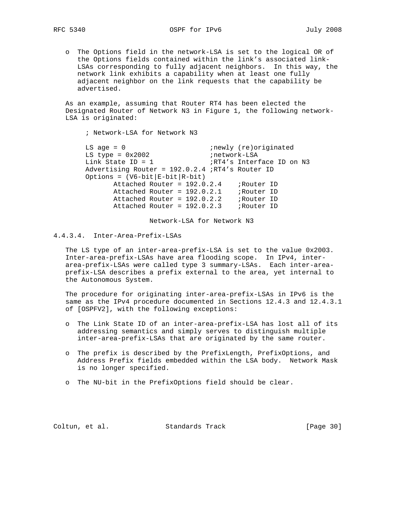o The Options field in the network-LSA is set to the logical OR of the Options fields contained within the link's associated link- LSAs corresponding to fully adjacent neighbors. In this way, the network link exhibits a capability when at least one fully adjacent neighbor on the link requests that the capability be advertised.

 As an example, assuming that Router RT4 has been elected the Designated Router of Network N3 in Figure 1, the following network- LSA is originated:

 ; Network-LSA for Network N3 LS age = 0  $i$ newly (re)originated LS type = 0x2002 inetwork-LSA Link State ID = 1  $\cdot$  ;RT4's Interface ID on N3 Advertising Router = 192.0.2.4 ;RT4's Router ID Options =  $(V6-bit|E-bit|R-bit)$  Attached Router = 192.0.2.4 ;Router ID Attached Router = 192.0.2.1 ;Router ID Attached Router = 192.0.2.2 ;Router ID Attached Router = 192.0.2.3 ;Router ID

Network-LSA for Network N3

# 4.4.3.4. Inter-Area-Prefix-LSAs

 The LS type of an inter-area-prefix-LSA is set to the value 0x2003. Inter-area-prefix-LSAs have area flooding scope. In IPv4, inter area-prefix-LSAs were called type 3 summary-LSAs. Each inter-area prefix-LSA describes a prefix external to the area, yet internal to the Autonomous System.

 The procedure for originating inter-area-prefix-LSAs in IPv6 is the same as the IPv4 procedure documented in Sections 12.4.3 and 12.4.3.1 of [OSPFV2], with the following exceptions:

- o The Link State ID of an inter-area-prefix-LSA has lost all of its addressing semantics and simply serves to distinguish multiple inter-area-prefix-LSAs that are originated by the same router.
- o The prefix is described by the PrefixLength, PrefixOptions, and Address Prefix fields embedded within the LSA body. Network Mask is no longer specified.
- o The NU-bit in the PrefixOptions field should be clear.

Coltun, et al. Standards Track [Page 30]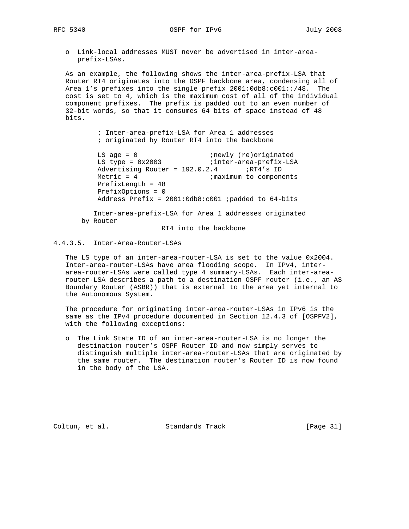- - o Link-local addresses MUST never be advertised in inter-area prefix-LSAs.

 As an example, the following shows the inter-area-prefix-LSA that Router RT4 originates into the OSPF backbone area, condensing all of Area 1's prefixes into the single prefix 2001:0db8:c001::/48. The cost is set to 4, which is the maximum cost of all of the individual component prefixes. The prefix is padded out to an even number of 32-bit words, so that it consumes 64 bits of space instead of 48 bits.

> ; Inter-area-prefix-LSA for Area 1 addresses ; originated by Router RT4 into the backbone

LS age = 0  $i$ newly (re)originated LS type = 0x2003 inter-area-prefix-LSA Advertising Router =  $192.0.2.4$  ;RT4's ID Metric = 4 ;maximum to components PrefixLength = 48 PrefixOptions = 0 Address Prefix =  $2001:0db8: c001$  ; padded to 64-bits

> Inter-area-prefix-LSA for Area 1 addresses originated by Router

RT4 into the backbone

# 4.4.3.5. Inter-Area-Router-LSAs

 The LS type of an inter-area-router-LSA is set to the value 0x2004. Inter-area-router-LSAs have area flooding scope. In IPv4, inter area-router-LSAs were called type 4 summary-LSAs. Each inter-area router-LSA describes a path to a destination OSPF router (i.e., an AS Boundary Router (ASBR)) that is external to the area yet internal to the Autonomous System.

 The procedure for originating inter-area-router-LSAs in IPv6 is the same as the IPv4 procedure documented in Section 12.4.3 of [OSPFV2], with the following exceptions:

 o The Link State ID of an inter-area-router-LSA is no longer the destination router's OSPF Router ID and now simply serves to distinguish multiple inter-area-router-LSAs that are originated by the same router. The destination router's Router ID is now found in the body of the LSA.

Coltun, et al. Standards Track [Page 31]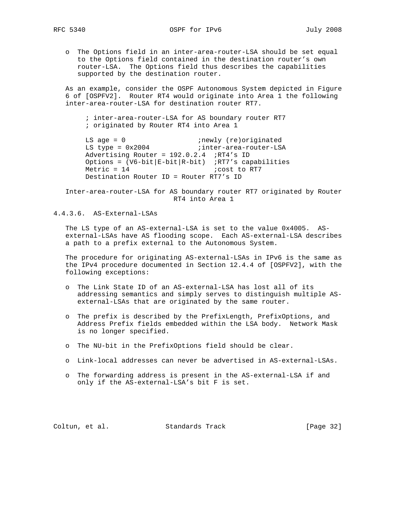o The Options field in an inter-area-router-LSA should be set equal to the Options field contained in the destination router's own router-LSA. The Options field thus describes the capabilities supported by the destination router.

 As an example, consider the OSPF Autonomous System depicted in Figure 6 of [OSPFV2]. Router RT4 would originate into Area 1 the following inter-area-router-LSA for destination router RT7.

 ; inter-area-router-LSA for AS boundary router RT7 ; originated by Router RT4 into Area 1

LS age = 0  $i$ newly (re)originated LS type = 0x2004 (inter-area-router-LSA) Advertising Router = 192.0.2.4 ;RT4's ID Options =  $(V6-bit|E-bit|R-bit)$  ;RT7's capabilities  $Metric = 14$  ;  $cost$  to RT7 Destination Router ID = Router RT7's ID

 Inter-area-router-LSA for AS boundary router RT7 originated by Router RT4 into Area 1

4.4.3.6. AS-External-LSAs

 The LS type of an AS-external-LSA is set to the value 0x4005. AS external-LSAs have AS flooding scope. Each AS-external-LSA describes a path to a prefix external to the Autonomous System.

 The procedure for originating AS-external-LSAs in IPv6 is the same as the IPv4 procedure documented in Section 12.4.4 of [OSPFV2], with the following exceptions:

- o The Link State ID of an AS-external-LSA has lost all of its addressing semantics and simply serves to distinguish multiple AS external-LSAs that are originated by the same router.
- o The prefix is described by the PrefixLength, PrefixOptions, and Address Prefix fields embedded within the LSA body. Network Mask is no longer specified.
- o The NU-bit in the PrefixOptions field should be clear.
- o Link-local addresses can never be advertised in AS-external-LSAs.
- o The forwarding address is present in the AS-external-LSA if and only if the AS-external-LSA's bit F is set.

Coltun, et al. Standards Track [Page 32]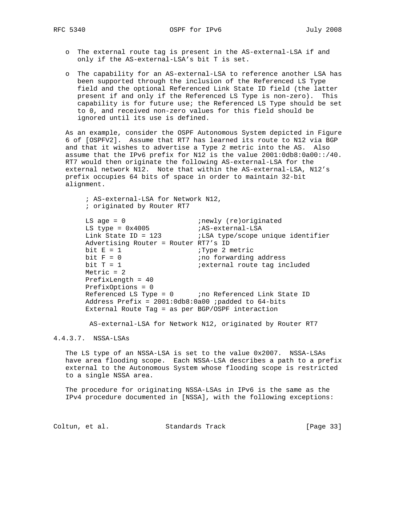- o The external route tag is present in the AS-external-LSA if and only if the AS-external-LSA's bit T is set.
- o The capability for an AS-external-LSA to reference another LSA has been supported through the inclusion of the Referenced LS Type field and the optional Referenced Link State ID field (the latter present if and only if the Referenced LS Type is non-zero). This capability is for future use; the Referenced LS Type should be set to 0, and received non-zero values for this field should be ignored until its use is defined.

 As an example, consider the OSPF Autonomous System depicted in Figure 6 of [OSPFV2]. Assume that RT7 has learned its route to N12 via BGP and that it wishes to advertise a Type 2 metric into the AS. Also assume that the IPv6 prefix for N12 is the value 2001:0db8:0a00::/40. RT7 would then originate the following AS-external-LSA for the external network N12. Note that within the AS-external-LSA, N12's prefix occupies 64 bits of space in order to maintain 32-bit alignment.

 ; AS-external-LSA for Network N12, ; originated by Router RT7 LS age = 0  $i$ newly (re)originated LS type = 0x4005 ;AS-external-LSA Link State ID = 123 ;LSA type/scope unique identifier Advertising Router = Router RT7's ID bit  $E = 1$ <br>bit  $F = 0$ <br>bit  $F = 0$ <br>ino forwarding bit F = 0  $\cdots$  ;no forwarding address bit T = 1  $\qquad \qquad$  ; external route tag included  $Metric = 2$  PrefixLength = 40 PrefixOptions = 0 Referenced LS Type =  $0$  ;no Referenced Link State ID Address Prefix =  $2001:0db8:0a00$  ; padded to 64-bits External Route Tag = as per BGP/OSPF interaction

AS-external-LSA for Network N12, originated by Router RT7

## 4.4.3.7. NSSA-LSAs

 The LS type of an NSSA-LSA is set to the value 0x2007. NSSA-LSAs have area flooding scope. Each NSSA-LSA describes a path to a prefix external to the Autonomous System whose flooding scope is restricted to a single NSSA area.

 The procedure for originating NSSA-LSAs in IPv6 is the same as the IPv4 procedure documented in [NSSA], with the following exceptions:

Coltun, et al. Standards Track [Page 33]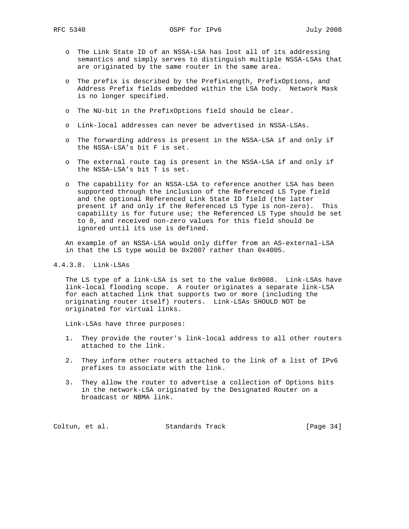- o The Link State ID of an NSSA-LSA has lost all of its addressing semantics and simply serves to distinguish multiple NSSA-LSAs that are originated by the same router in the same area.
- o The prefix is described by the PrefixLength, PrefixOptions, and Address Prefix fields embedded within the LSA body. Network Mask is no longer specified.
- o The NU-bit in the PrefixOptions field should be clear.
- o Link-local addresses can never be advertised in NSSA-LSAs.
- o The forwarding address is present in the NSSA-LSA if and only if the NSSA-LSA's bit F is set.
- o The external route tag is present in the NSSA-LSA if and only if the NSSA-LSA's bit T is set.
- o The capability for an NSSA-LSA to reference another LSA has been supported through the inclusion of the Referenced LS Type field and the optional Referenced Link State ID field (the latter present if and only if the Referenced LS Type is non-zero). This capability is for future use; the Referenced LS Type should be set to 0, and received non-zero values for this field should be ignored until its use is defined.

 An example of an NSSA-LSA would only differ from an AS-external-LSA in that the LS type would be 0x2007 rather than 0x4005.

## 4.4.3.8. Link-LSAs

 The LS type of a link-LSA is set to the value 0x0008. Link-LSAs have link-local flooding scope. A router originates a separate link-LSA for each attached link that supports two or more (including the originating router itself) routers. Link-LSAs SHOULD NOT be originated for virtual links.

Link-LSAs have three purposes:

- 1. They provide the router's link-local address to all other routers attached to the link.
- 2. They inform other routers attached to the link of a list of IPv6 prefixes to associate with the link.
- 3. They allow the router to advertise a collection of Options bits in the network-LSA originated by the Designated Router on a broadcast or NBMA link.

Coltun, et al. Standards Track [Page 34]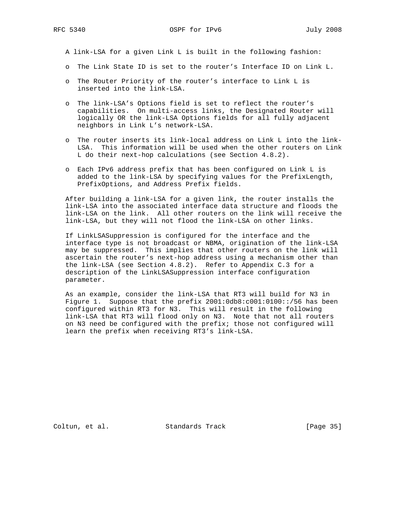A link-LSA for a given Link L is built in the following fashion:

- o The Link State ID is set to the router's Interface ID on Link L.
- o The Router Priority of the router's interface to Link L is inserted into the link-LSA.
- o The link-LSA's Options field is set to reflect the router's capabilities. On multi-access links, the Designated Router will logically OR the link-LSA Options fields for all fully adjacent neighbors in Link L's network-LSA.
- o The router inserts its link-local address on Link L into the link- LSA. This information will be used when the other routers on Link L do their next-hop calculations (see Section 4.8.2).
- o Each IPv6 address prefix that has been configured on Link L is added to the link-LSA by specifying values for the PrefixLength, PrefixOptions, and Address Prefix fields.

 After building a link-LSA for a given link, the router installs the link-LSA into the associated interface data structure and floods the link-LSA on the link. All other routers on the link will receive the link-LSA, but they will not flood the link-LSA on other links.

 If LinkLSASuppression is configured for the interface and the interface type is not broadcast or NBMA, origination of the link-LSA may be suppressed. This implies that other routers on the link will ascertain the router's next-hop address using a mechanism other than the link-LSA (see Section 4.8.2). Refer to Appendix C.3 for a description of the LinkLSASuppression interface configuration parameter.

 As an example, consider the link-LSA that RT3 will build for N3 in Figure 1. Suppose that the prefix 2001:0db8:c001:0100::/56 has been configured within RT3 for N3. This will result in the following link-LSA that RT3 will flood only on N3. Note that not all routers on N3 need be configured with the prefix; those not configured will learn the prefix when receiving RT3's link-LSA.

Coltun, et al. Standards Track [Page 35]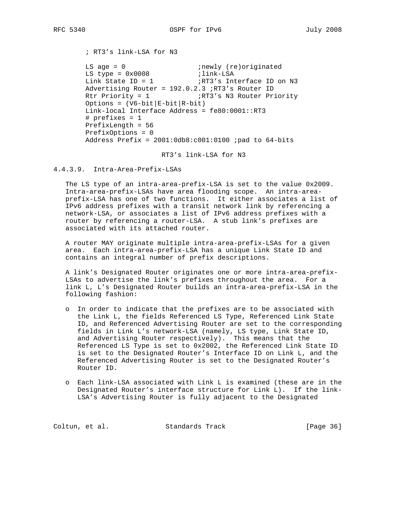; RT3's link-LSA for N3

LS age = 0  $i$ newly (re)originated LS type = 0x0008 ilink-LSA Link State ID = 1  $\frac{1}{R}$  ; RT3's Interface ID on N3 Advertising Router =  $192.0.2.3$  ; RT3's Router ID<br>Rtr Priority = 1 : RT3's N3 Router Pri Rtr Priority = 1 (RT3's N3 Router Priority Options =  $(V6-bit|E-bit|R-bit)$  Link-local Interface Address = fe80:0001::RT3 # prefixes = 1 PrefixLength = 56 PrefixOptions = 0 Address Prefix = 2001:0db8:c001:0100 ;pad to 64-bits

RT3's link-LSA for N3

4.4.3.9. Intra-Area-Prefix-LSAs

 The LS type of an intra-area-prefix-LSA is set to the value 0x2009. Intra-area-prefix-LSAs have area flooding scope. An intra-area prefix-LSA has one of two functions. It either associates a list of IPv6 address prefixes with a transit network link by referencing a network-LSA, or associates a list of IPv6 address prefixes with a router by referencing a router-LSA. A stub link's prefixes are associated with its attached router.

 A router MAY originate multiple intra-area-prefix-LSAs for a given area. Each intra-area-prefix-LSA has a unique Link State ID and contains an integral number of prefix descriptions.

 A link's Designated Router originates one or more intra-area-prefix- LSAs to advertise the link's prefixes throughout the area. For a link L, L's Designated Router builds an intra-area-prefix-LSA in the following fashion:

- o In order to indicate that the prefixes are to be associated with the Link L, the fields Referenced LS Type, Referenced Link State ID, and Referenced Advertising Router are set to the corresponding fields in Link L's network-LSA (namely, LS type, Link State ID, and Advertising Router respectively). This means that the Referenced LS Type is set to 0x2002, the Referenced Link State ID is set to the Designated Router's Interface ID on Link L, and the Referenced Advertising Router is set to the Designated Router's Router ID.
- o Each link-LSA associated with Link L is examined (these are in the Designated Router's interface structure for Link L). If the link- LSA's Advertising Router is fully adjacent to the Designated

Coltun, et al. Standards Track [Page 36]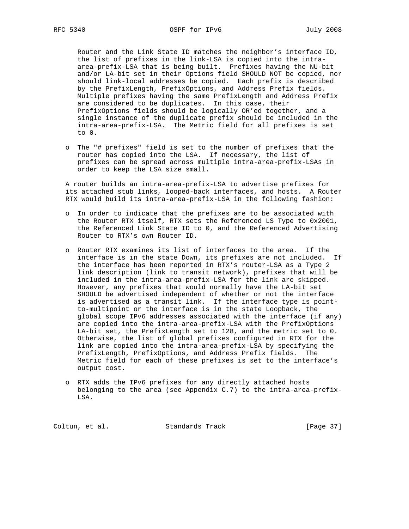Router and the Link State ID matches the neighbor's interface ID, the list of prefixes in the link-LSA is copied into the intra area-prefix-LSA that is being built. Prefixes having the NU-bit and/or LA-bit set in their Options field SHOULD NOT be copied, nor should link-local addresses be copied. Each prefix is described by the PrefixLength, PrefixOptions, and Address Prefix fields. Multiple prefixes having the same PrefixLength and Address Prefix are considered to be duplicates. In this case, their PrefixOptions fields should be logically OR'ed together, and a single instance of the duplicate prefix should be included in the intra-area-prefix-LSA. The Metric field for all prefixes is set to 0.

 o The "# prefixes" field is set to the number of prefixes that the router has copied into the LSA. If necessary, the list of prefixes can be spread across multiple intra-area-prefix-LSAs in order to keep the LSA size small.

 A router builds an intra-area-prefix-LSA to advertise prefixes for its attached stub links, looped-back interfaces, and hosts. A Router RTX would build its intra-area-prefix-LSA in the following fashion:

- o In order to indicate that the prefixes are to be associated with the Router RTX itself, RTX sets the Referenced LS Type to 0x2001, the Referenced Link State ID to 0, and the Referenced Advertising Router to RTX's own Router ID.
- o Router RTX examines its list of interfaces to the area. If the interface is in the state Down, its prefixes are not included. If the interface has been reported in RTX's router-LSA as a Type 2 link description (link to transit network), prefixes that will be included in the intra-area-prefix-LSA for the link are skipped. However, any prefixes that would normally have the LA-bit set SHOULD be advertised independent of whether or not the interface is advertised as a transit link. If the interface type is point to-multipoint or the interface is in the state Loopback, the global scope IPv6 addresses associated with the interface (if any) are copied into the intra-area-prefix-LSA with the PrefixOptions LA-bit set, the PrefixLength set to 128, and the metric set to 0. Otherwise, the list of global prefixes configured in RTX for the link are copied into the intra-area-prefix-LSA by specifying the PrefixLength, PrefixOptions, and Address Prefix fields. The Metric field for each of these prefixes is set to the interface's output cost.
- o RTX adds the IPv6 prefixes for any directly attached hosts belonging to the area (see Appendix C.7) to the intra-area-prefix- LSA.

Coltun, et al. Standards Track [Page 37]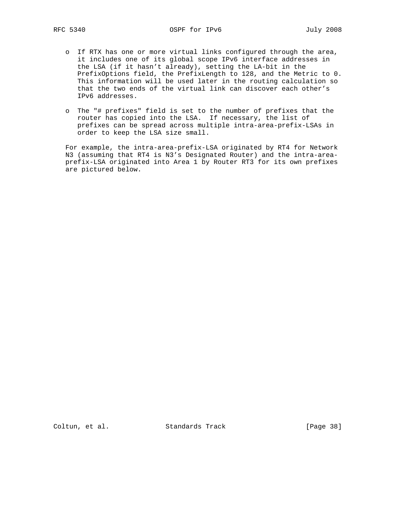- o If RTX has one or more virtual links configured through the area, it includes one of its global scope IPv6 interface addresses in the LSA (if it hasn't already), setting the LA-bit in the PrefixOptions field, the PrefixLength to 128, and the Metric to 0. This information will be used later in the routing calculation so that the two ends of the virtual link can discover each other's IPv6 addresses.
- o The "# prefixes" field is set to the number of prefixes that the router has copied into the LSA. If necessary, the list of prefixes can be spread across multiple intra-area-prefix-LSAs in order to keep the LSA size small.

 For example, the intra-area-prefix-LSA originated by RT4 for Network N3 (assuming that RT4 is N3's Designated Router) and the intra-area prefix-LSA originated into Area 1 by Router RT3 for its own prefixes are pictured below.

Coltun, et al. Standards Track [Page 38]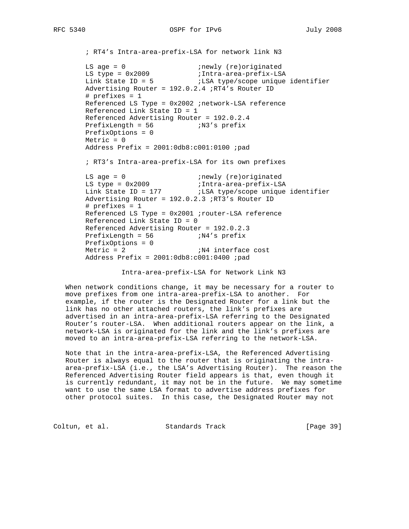```
 ; RT4's Intra-area-prefix-LSA for network link N3
LS age = 0 inewly (re)originated
 LS type = 0x2009 ;Intra-area-prefix-LSA
Link State ID = 5 \qquad \qquad ;LSA type/scope unique identifier
       Advertising Router = 192.0.2.4 ;RT4's Router ID
       # prefixes = 1
       Referenced LS Type = 0x2002 ;network-LSA reference
       Referenced Link State ID = 1
       Referenced Advertising Router = 192.0.2.4
      PrefixLength = 56 ;N3's prefix
       PrefixOptions = 0
      Metric = 0 Address Prefix = 2001:0db8:c001:0100 ;pad
       ; RT3's Intra-area-prefix-LSA for its own prefixes
LS age = 0 inewly (re)originated
 LS type = 0x2009 ;Intra-area-prefix-LSA
 Link State ID = 177 ;LSA type/scope unique identifier
       Advertising Router = 192.0.2.3 ;RT3's Router ID
       # prefixes = 1
       Referenced LS Type = 0x2001 ;router-LSA reference
       Referenced Link State ID = 0
       Referenced Advertising Router = 192.0.2.3
 PrefixLength = 56 ;N4's prefix
 PrefixOptions = 0
      Metric = 2 ;N4 interface cost
      Address Prefix = 2001:0db8: c001:0400 ;pad
```
Intra-area-prefix-LSA for Network Link N3

 When network conditions change, it may be necessary for a router to move prefixes from one intra-area-prefix-LSA to another. For example, if the router is the Designated Router for a link but the link has no other attached routers, the link's prefixes are advertised in an intra-area-prefix-LSA referring to the Designated Router's router-LSA. When additional routers appear on the link, a network-LSA is originated for the link and the link's prefixes are moved to an intra-area-prefix-LSA referring to the network-LSA.

 Note that in the intra-area-prefix-LSA, the Referenced Advertising Router is always equal to the router that is originating the intra area-prefix-LSA (i.e., the LSA's Advertising Router). The reason the Referenced Advertising Router field appears is that, even though it is currently redundant, it may not be in the future. We may sometime want to use the same LSA format to advertise address prefixes for other protocol suites. In this case, the Designated Router may not

Coltun, et al. Standards Track [Page 39]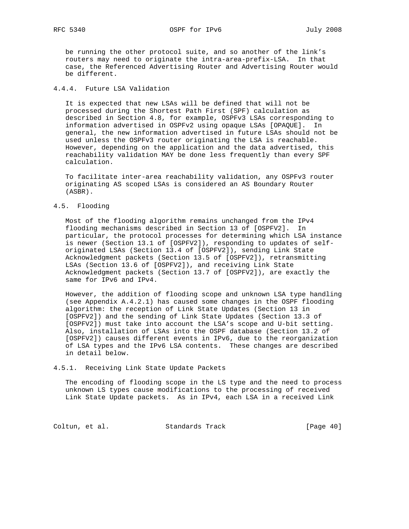be running the other protocol suite, and so another of the link's routers may need to originate the intra-area-prefix-LSA. In that case, the Referenced Advertising Router and Advertising Router would be different.

# 4.4.4. Future LSA Validation

 It is expected that new LSAs will be defined that will not be processed during the Shortest Path First (SPF) calculation as described in Section 4.8, for example, OSPFv3 LSAs corresponding to information advertised in OSPFv2 using opaque LSAs [OPAQUE]. In general, the new information advertised in future LSAs should not be used unless the OSPFv3 router originating the LSA is reachable. However, depending on the application and the data advertised, this reachability validation MAY be done less frequently than every SPF calculation.

 To facilitate inter-area reachability validation, any OSPFv3 router originating AS scoped LSAs is considered an AS Boundary Router (ASBR).

## 4.5. Flooding

 Most of the flooding algorithm remains unchanged from the IPv4 flooding mechanisms described in Section 13 of [OSPFV2]. In particular, the protocol processes for determining which LSA instance is newer (Section 13.1 of [OSPFV2]), responding to updates of self originated LSAs (Section 13.4 of [OSPFV2]), sending Link State Acknowledgment packets (Section 13.5 of [OSPFV2]), retransmitting LSAs (Section 13.6 of [OSPFV2]), and receiving Link State Acknowledgment packets (Section 13.7 of [OSPFV2]), are exactly the same for IPv6 and IPv4.

 However, the addition of flooding scope and unknown LSA type handling (see Appendix A.4.2.1) has caused some changes in the OSPF flooding algorithm: the reception of Link State Updates (Section 13 in [OSPFV2]) and the sending of Link State Updates (Section 13.3 of [OSPFV2]) must take into account the LSA's scope and U-bit setting. Also, installation of LSAs into the OSPF database (Section 13.2 of [OSPFV2]) causes different events in IPv6, due to the reorganization of LSA types and the IPv6 LSA contents. These changes are described in detail below.

## 4.5.1. Receiving Link State Update Packets

 The encoding of flooding scope in the LS type and the need to process unknown LS types cause modifications to the processing of received Link State Update packets. As in IPv4, each LSA in a received Link

Coltun, et al. Standards Track [Page 40]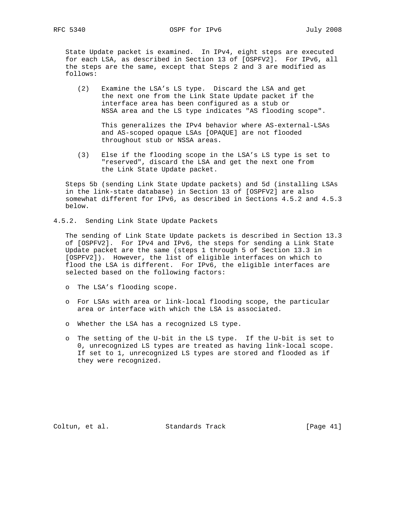State Update packet is examined. In IPv4, eight steps are executed for each LSA, as described in Section 13 of [OSPFV2]. For IPv6, all the steps are the same, except that Steps 2 and 3 are modified as follows:

 (2) Examine the LSA's LS type. Discard the LSA and get the next one from the Link State Update packet if the interface area has been configured as a stub or NSSA area and the LS type indicates "AS flooding scope".

 This generalizes the IPv4 behavior where AS-external-LSAs and AS-scoped opaque LSAs [OPAQUE] are not flooded throughout stub or NSSA areas.

 (3) Else if the flooding scope in the LSA's LS type is set to "reserved", discard the LSA and get the next one from the Link State Update packet.

 Steps 5b (sending Link State Update packets) and 5d (installing LSAs in the link-state database) in Section 13 of [OSPFV2] are also somewhat different for IPv6, as described in Sections 4.5.2 and 4.5.3 below.

4.5.2. Sending Link State Update Packets

 The sending of Link State Update packets is described in Section 13.3 of [OSPFV2]. For IPv4 and IPv6, the steps for sending a Link State Update packet are the same (steps 1 through 5 of Section 13.3 in [OSPFV2]). However, the list of eligible interfaces on which to flood the LSA is different. For IPv6, the eligible interfaces are selected based on the following factors:

- o The LSA's flooding scope.
- o For LSAs with area or link-local flooding scope, the particular area or interface with which the LSA is associated.
- o Whether the LSA has a recognized LS type.
- o The setting of the U-bit in the LS type. If the U-bit is set to 0, unrecognized LS types are treated as having link-local scope. If set to 1, unrecognized LS types are stored and flooded as if they were recognized.

Coltun, et al. Standards Track [Page 41]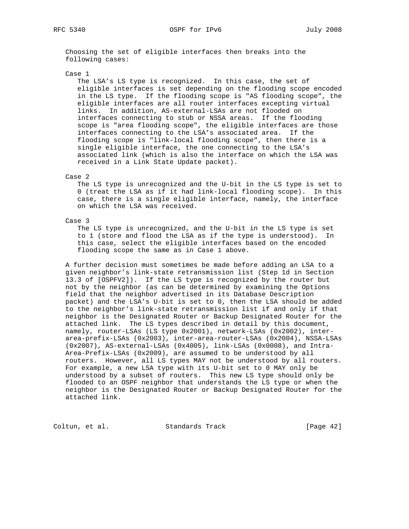Choosing the set of eligible interfaces then breaks into the following cases:

#### Case 1

 The LSA's LS type is recognized. In this case, the set of eligible interfaces is set depending on the flooding scope encoded in the LS type. If the flooding scope is "AS flooding scope", the eligible interfaces are all router interfaces excepting virtual links. In addition, AS-external-LSAs are not flooded on interfaces connecting to stub or NSSA areas. If the flooding scope is "area flooding scope", the eligible interfaces are those interfaces connecting to the LSA's associated area. If the flooding scope is "link-local flooding scope", then there is a single eligible interface, the one connecting to the LSA's associated link (which is also the interface on which the LSA was received in a Link State Update packet).

## Case 2

 The LS type is unrecognized and the U-bit in the LS type is set to 0 (treat the LSA as if it had link-local flooding scope). In this case, there is a single eligible interface, namely, the interface on which the LSA was received.

## Case 3

 The LS type is unrecognized, and the U-bit in the LS type is set to 1 (store and flood the LSA as if the type is understood). In this case, select the eligible interfaces based on the encoded flooding scope the same as in Case 1 above.

 A further decision must sometimes be made before adding an LSA to a given neighbor's link-state retransmission list (Step 1d in Section 13.3 of [OSPFV2]). If the LS type is recognized by the router but not by the neighbor (as can be determined by examining the Options field that the neighbor advertised in its Database Description packet) and the LSA's U-bit is set to 0, then the LSA should be added to the neighbor's link-state retransmission list if and only if that neighbor is the Designated Router or Backup Designated Router for the attached link. The LS types described in detail by this document, namely, router-LSAs (LS type 0x2001), network-LSAs (0x2002), inter area-prefix-LSAs (0x2003), inter-area-router-LSAs (0x2004), NSSA-LSAs (0x2007), AS-external-LSAs (0x4005), link-LSAs (0x0008), and Intra- Area-Prefix-LSAs (0x2009), are assumed to be understood by all routers. However, all LS types MAY not be understood by all routers. For example, a new LSA type with its U-bit set to 0 MAY only be understood by a subset of routers. This new LS type should only be flooded to an OSPF neighbor that understands the LS type or when the neighbor is the Designated Router or Backup Designated Router for the attached link.

Coltun, et al. Standards Track [Page 42]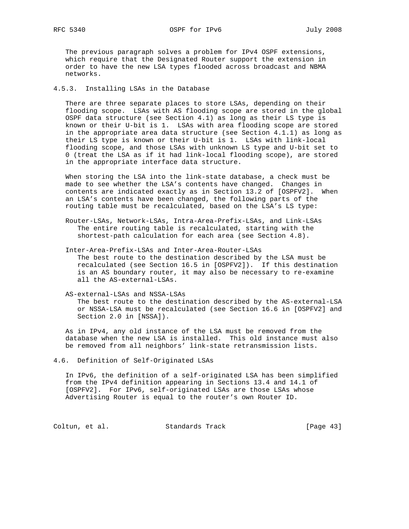The previous paragraph solves a problem for IPv4 OSPF extensions, which require that the Designated Router support the extension in order to have the new LSA types flooded across broadcast and NBMA networks.

## 4.5.3. Installing LSAs in the Database

 There are three separate places to store LSAs, depending on their flooding scope. LSAs with AS flooding scope are stored in the global OSPF data structure (see Section 4.1) as long as their LS type is known or their U-bit is 1. LSAs with area flooding scope are stored in the appropriate area data structure (see Section 4.1.1) as long as their LS type is known or their U-bit is 1. LSAs with link-local flooding scope, and those LSAs with unknown LS type and U-bit set to 0 (treat the LSA as if it had link-local flooding scope), are stored in the appropriate interface data structure.

 When storing the LSA into the link-state database, a check must be made to see whether the LSA's contents have changed. Changes in contents are indicated exactly as in Section 13.2 of [OSPFV2]. When an LSA's contents have been changed, the following parts of the routing table must be recalculated, based on the LSA's LS type:

- Router-LSAs, Network-LSAs, Intra-Area-Prefix-LSAs, and Link-LSAs The entire routing table is recalculated, starting with the shortest-path calculation for each area (see Section 4.8).
- Inter-Area-Prefix-LSAs and Inter-Area-Router-LSAs The best route to the destination described by the LSA must be recalculated (see Section 16.5 in [OSPFV2]). If this destination is an AS boundary router, it may also be necessary to re-examine all the AS-external-LSAs.
- AS-external-LSAs and NSSA-LSAs The best route to the destination described by the AS-external-LSA or NSSA-LSA must be recalculated (see Section 16.6 in [OSPFV2] and Section 2.0 in [NSSA]).

 As in IPv4, any old instance of the LSA must be removed from the database when the new LSA is installed. This old instance must also be removed from all neighbors' link-state retransmission lists.

4.6. Definition of Self-Originated LSAs

 In IPv6, the definition of a self-originated LSA has been simplified from the IPv4 definition appearing in Sections 13.4 and 14.1 of [OSPFV2]. For IPv6, self-originated LSAs are those LSAs whose Advertising Router is equal to the router's own Router ID.

Coltun, et al. Standards Track [Page 43]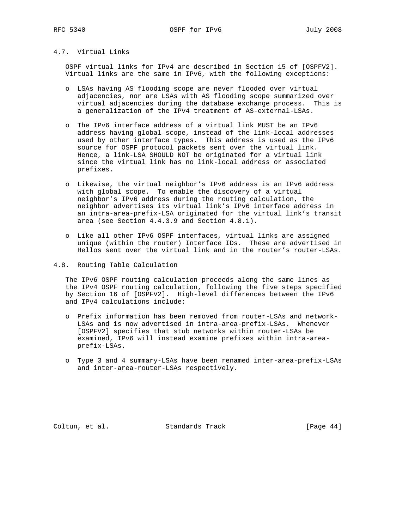# 4.7. Virtual Links

 OSPF virtual links for IPv4 are described in Section 15 of [OSPFV2]. Virtual links are the same in IPv6, with the following exceptions:

- o LSAs having AS flooding scope are never flooded over virtual adjacencies, nor are LSAs with AS flooding scope summarized over virtual adjacencies during the database exchange process. This is a generalization of the IPv4 treatment of AS-external-LSAs.
- o The IPv6 interface address of a virtual link MUST be an IPv6 address having global scope, instead of the link-local addresses used by other interface types. This address is used as the IPv6 source for OSPF protocol packets sent over the virtual link. Hence, a link-LSA SHOULD NOT be originated for a virtual link since the virtual link has no link-local address or associated prefixes.
- o Likewise, the virtual neighbor's IPv6 address is an IPv6 address with global scope. To enable the discovery of a virtual neighbor's IPv6 address during the routing calculation, the neighbor advertises its virtual link's IPv6 interface address in an intra-area-prefix-LSA originated for the virtual link's transit area (see Section 4.4.3.9 and Section 4.8.1).
- o Like all other IPv6 OSPF interfaces, virtual links are assigned unique (within the router) Interface IDs. These are advertised in Hellos sent over the virtual link and in the router's router-LSAs.
- 4.8. Routing Table Calculation

 The IPv6 OSPF routing calculation proceeds along the same lines as the IPv4 OSPF routing calculation, following the five steps specified by Section 16 of [OSPFV2]. High-level differences between the IPv6 and IPv4 calculations include:

- o Prefix information has been removed from router-LSAs and network- LSAs and is now advertised in intra-area-prefix-LSAs. Whenever [OSPFV2] specifies that stub networks within router-LSAs be examined, IPv6 will instead examine prefixes within intra-area prefix-LSAs.
- o Type 3 and 4 summary-LSAs have been renamed inter-area-prefix-LSAs and inter-area-router-LSAs respectively.

Coltun, et al. Standards Track [Page 44]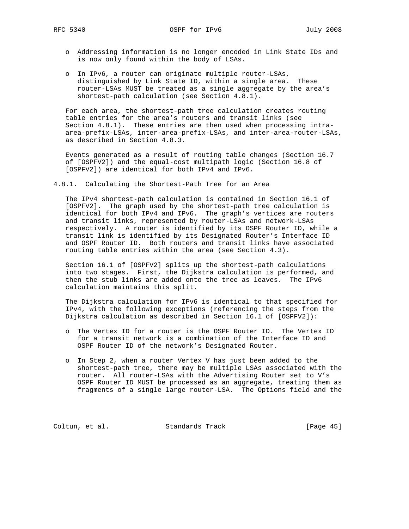- o Addressing information is no longer encoded in Link State IDs and is now only found within the body of LSAs.
- o In IPv6, a router can originate multiple router-LSAs, distinguished by Link State ID, within a single area. These router-LSAs MUST be treated as a single aggregate by the area's shortest-path calculation (see Section 4.8.1).

 For each area, the shortest-path tree calculation creates routing table entries for the area's routers and transit links (see Section 4.8.1). These entries are then used when processing intra area-prefix-LSAs, inter-area-prefix-LSAs, and inter-area-router-LSAs, as described in Section 4.8.3.

 Events generated as a result of routing table changes (Section 16.7 of [OSPFV2]) and the equal-cost multipath logic (Section 16.8 of [OSPFV2]) are identical for both IPv4 and IPv6.

4.8.1. Calculating the Shortest-Path Tree for an Area

 The IPv4 shortest-path calculation is contained in Section 16.1 of [OSPFV2]. The graph used by the shortest-path tree calculation is identical for both IPv4 and IPv6. The graph's vertices are routers and transit links, represented by router-LSAs and network-LSAs respectively. A router is identified by its OSPF Router ID, while a transit link is identified by its Designated Router's Interface ID and OSPF Router ID. Both routers and transit links have associated routing table entries within the area (see Section 4.3).

 Section 16.1 of [OSPFV2] splits up the shortest-path calculations into two stages. First, the Dijkstra calculation is performed, and then the stub links are added onto the tree as leaves. The IPv6 calculation maintains this split.

 The Dijkstra calculation for IPv6 is identical to that specified for IPv4, with the following exceptions (referencing the steps from the Dijkstra calculation as described in Section 16.1 of [OSPFV2]):

- o The Vertex ID for a router is the OSPF Router ID. The Vertex ID for a transit network is a combination of the Interface ID and OSPF Router ID of the network's Designated Router.
- o In Step 2, when a router Vertex V has just been added to the shortest-path tree, there may be multiple LSAs associated with the router. All router-LSAs with the Advertising Router set to V's OSPF Router ID MUST be processed as an aggregate, treating them as fragments of a single large router-LSA. The Options field and the

Coltun, et al. Standards Track [Page 45]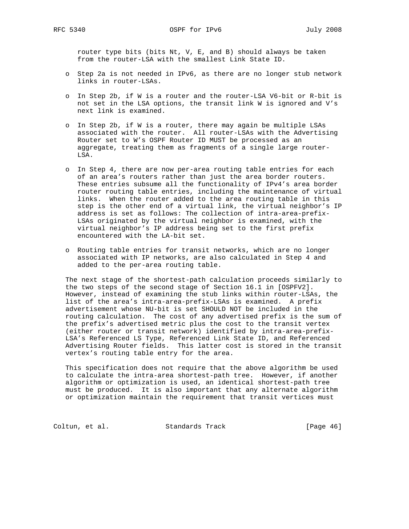router type bits (bits Nt, V, E, and B) should always be taken from the router-LSA with the smallest Link State ID.

- o Step 2a is not needed in IPv6, as there are no longer stub network links in router-LSAs.
- o In Step 2b, if W is a router and the router-LSA V6-bit or R-bit is not set in the LSA options, the transit link W is ignored and V's next link is examined.
- o In Step 2b, if W is a router, there may again be multiple LSAs associated with the router. All router-LSAs with the Advertising Router set to W's OSPF Router ID MUST be processed as an aggregate, treating them as fragments of a single large router- LSA.
- o In Step 4, there are now per-area routing table entries for each of an area's routers rather than just the area border routers. These entries subsume all the functionality of IPv4's area border router routing table entries, including the maintenance of virtual links. When the router added to the area routing table in this step is the other end of a virtual link, the virtual neighbor's IP address is set as follows: The collection of intra-area-prefix- LSAs originated by the virtual neighbor is examined, with the virtual neighbor's IP address being set to the first prefix encountered with the LA-bit set.
- o Routing table entries for transit networks, which are no longer associated with IP networks, are also calculated in Step 4 and added to the per-area routing table.

 The next stage of the shortest-path calculation proceeds similarly to the two steps of the second stage of Section 16.1 in [OSPFV2]. However, instead of examining the stub links within router-LSAs, the list of the area's intra-area-prefix-LSAs is examined. A prefix advertisement whose NU-bit is set SHOULD NOT be included in the routing calculation. The cost of any advertised prefix is the sum of the prefix's advertised metric plus the cost to the transit vertex (either router or transit network) identified by intra-area-prefix- LSA's Referenced LS Type, Referenced Link State ID, and Referenced Advertising Router fields. This latter cost is stored in the transit vertex's routing table entry for the area.

 This specification does not require that the above algorithm be used to calculate the intra-area shortest-path tree. However, if another algorithm or optimization is used, an identical shortest-path tree must be produced. It is also important that any alternate algorithm or optimization maintain the requirement that transit vertices must

Coltun, et al. Standards Track [Page 46]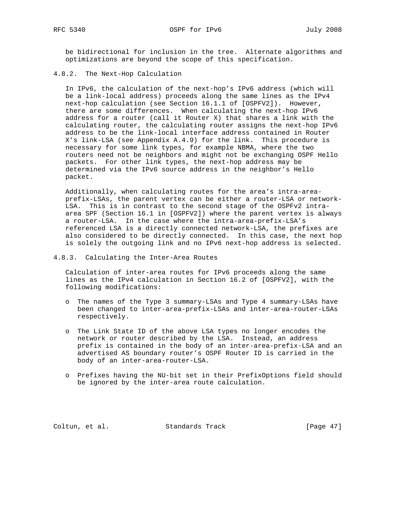be bidirectional for inclusion in the tree. Alternate algorithms and optimizations are beyond the scope of this specification.

4.8.2. The Next-Hop Calculation

 In IPv6, the calculation of the next-hop's IPv6 address (which will be a link-local address) proceeds along the same lines as the IPv4 next-hop calculation (see Section 16.1.1 of [OSPFV2]). However, there are some differences. When calculating the next-hop IPv6 address for a router (call it Router X) that shares a link with the calculating router, the calculating router assigns the next-hop IPv6 address to be the link-local interface address contained in Router X's link-LSA (see Appendix A.4.9) for the link. This procedure is necessary for some link types, for example NBMA, where the two routers need not be neighbors and might not be exchanging OSPF Hello packets. For other link types, the next-hop address may be determined via the IPv6 source address in the neighbor's Hello packet.

 Additionally, when calculating routes for the area's intra-area prefix-LSAs, the parent vertex can be either a router-LSA or network- LSA. This is in contrast to the second stage of the OSPFv2 intra area SPF (Section 16.1 in [OSPFV2]) where the parent vertex is always a router-LSA. In the case where the intra-area-prefix-LSA's referenced LSA is a directly connected network-LSA, the prefixes are also considered to be directly connected. In this case, the next hop is solely the outgoing link and no IPv6 next-hop address is selected.

4.8.3. Calculating the Inter-Area Routes

 Calculation of inter-area routes for IPv6 proceeds along the same lines as the IPv4 calculation in Section 16.2 of [OSPFV2], with the following modifications:

- o The names of the Type 3 summary-LSAs and Type 4 summary-LSAs have been changed to inter-area-prefix-LSAs and inter-area-router-LSAs respectively.
- o The Link State ID of the above LSA types no longer encodes the network or router described by the LSA. Instead, an address prefix is contained in the body of an inter-area-prefix-LSA and an advertised AS boundary router's OSPF Router ID is carried in the body of an inter-area-router-LSA.
- o Prefixes having the NU-bit set in their PrefixOptions field should be ignored by the inter-area route calculation.

Coltun, et al. Standards Track [Page 47]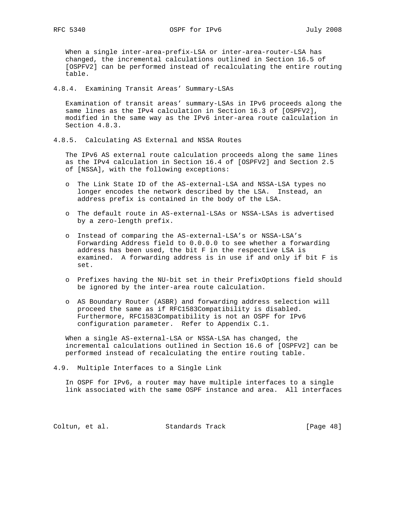When a single inter-area-prefix-LSA or inter-area-router-LSA has changed, the incremental calculations outlined in Section 16.5 of [OSPFV2] can be performed instead of recalculating the entire routing table.

4.8.4. Examining Transit Areas' Summary-LSAs

 Examination of transit areas' summary-LSAs in IPv6 proceeds along the same lines as the IPv4 calculation in Section 16.3 of [OSPFV2], modified in the same way as the IPv6 inter-area route calculation in Section 4.8.3.

4.8.5. Calculating AS External and NSSA Routes

 The IPv6 AS external route calculation proceeds along the same lines as the IPv4 calculation in Section 16.4 of [OSPFV2] and Section 2.5 of [NSSA], with the following exceptions:

- o The Link State ID of the AS-external-LSA and NSSA-LSA types no longer encodes the network described by the LSA. Instead, an address prefix is contained in the body of the LSA.
- o The default route in AS-external-LSAs or NSSA-LSAs is advertised by a zero-length prefix.
- o Instead of comparing the AS-external-LSA's or NSSA-LSA's Forwarding Address field to 0.0.0.0 to see whether a forwarding address has been used, the bit F in the respective LSA is examined. A forwarding address is in use if and only if bit F is set.
- o Prefixes having the NU-bit set in their PrefixOptions field should be ignored by the inter-area route calculation.
- o AS Boundary Router (ASBR) and forwarding address selection will proceed the same as if RFC1583Compatibility is disabled. Furthermore, RFC1583Compatibility is not an OSPF for IPv6 configuration parameter. Refer to Appendix C.1.

 When a single AS-external-LSA or NSSA-LSA has changed, the incremental calculations outlined in Section 16.6 of [OSPFV2] can be performed instead of recalculating the entire routing table.

4.9. Multiple Interfaces to a Single Link

 In OSPF for IPv6, a router may have multiple interfaces to a single link associated with the same OSPF instance and area. All interfaces

Coltun, et al. Standards Track [Page 48]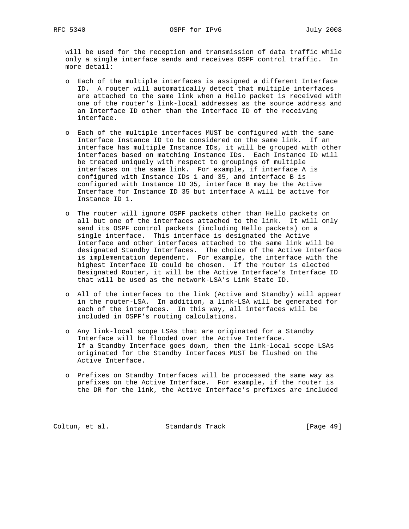will be used for the reception and transmission of data traffic while only a single interface sends and receives OSPF control traffic. In more detail:

- o Each of the multiple interfaces is assigned a different Interface ID. A router will automatically detect that multiple interfaces are attached to the same link when a Hello packet is received with one of the router's link-local addresses as the source address and an Interface ID other than the Interface ID of the receiving interface.
- o Each of the multiple interfaces MUST be configured with the same Interface Instance ID to be considered on the same link. If an interface has multiple Instance IDs, it will be grouped with other interfaces based on matching Instance IDs. Each Instance ID will be treated uniquely with respect to groupings of multiple interfaces on the same link. For example, if interface A is configured with Instance IDs 1 and 35, and interface B is configured with Instance ID 35, interface B may be the Active Interface for Instance ID 35 but interface A will be active for Instance ID 1.
- o The router will ignore OSPF packets other than Hello packets on all but one of the interfaces attached to the link. It will only send its OSPF control packets (including Hello packets) on a single interface. This interface is designated the Active Interface and other interfaces attached to the same link will be designated Standby Interfaces. The choice of the Active Interface is implementation dependent. For example, the interface with the highest Interface ID could be chosen. If the router is elected Designated Router, it will be the Active Interface's Interface ID that will be used as the network-LSA's Link State ID.
- o All of the interfaces to the link (Active and Standby) will appear in the router-LSA. In addition, a link-LSA will be generated for each of the interfaces. In this way, all interfaces will be included in OSPF's routing calculations.
- o Any link-local scope LSAs that are originated for a Standby Interface will be flooded over the Active Interface. If a Standby Interface goes down, then the link-local scope LSAs originated for the Standby Interfaces MUST be flushed on the Active Interface.
- o Prefixes on Standby Interfaces will be processed the same way as prefixes on the Active Interface. For example, if the router is the DR for the link, the Active Interface's prefixes are included

Coltun, et al. Standards Track [Page 49]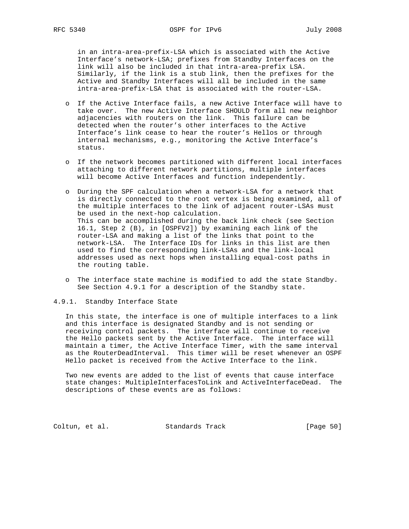in an intra-area-prefix-LSA which is associated with the Active Interface's network-LSA; prefixes from Standby Interfaces on the link will also be included in that intra-area-prefix LSA. Similarly, if the link is a stub link, then the prefixes for the Active and Standby Interfaces will all be included in the same intra-area-prefix-LSA that is associated with the router-LSA.

- o If the Active Interface fails, a new Active Interface will have to take over. The new Active Interface SHOULD form all new neighbor adjacencies with routers on the link. This failure can be detected when the router's other interfaces to the Active Interface's link cease to hear the router's Hellos or through internal mechanisms, e.g., monitoring the Active Interface's status.
- o If the network becomes partitioned with different local interfaces attaching to different network partitions, multiple interfaces will become Active Interfaces and function independently.
- o During the SPF calculation when a network-LSA for a network that is directly connected to the root vertex is being examined, all of the multiple interfaces to the link of adjacent router-LSAs must be used in the next-hop calculation. This can be accomplished during the back link check (see Section 16.1, Step 2 (B), in [OSPFV2]) by examining each link of the router-LSA and making a list of the links that point to the network-LSA. The Interface IDs for links in this list are then used to find the corresponding link-LSAs and the link-local addresses used as next hops when installing equal-cost paths in the routing table.
- o The interface state machine is modified to add the state Standby. See Section 4.9.1 for a description of the Standby state.

# 4.9.1. Standby Interface State

 In this state, the interface is one of multiple interfaces to a link and this interface is designated Standby and is not sending or receiving control packets. The interface will continue to receive the Hello packets sent by the Active Interface. The interface will maintain a timer, the Active Interface Timer, with the same interval as the RouterDeadInterval. This timer will be reset whenever an OSPF Hello packet is received from the Active Interface to the link.

 Two new events are added to the list of events that cause interface state changes: MultipleInterfacesToLink and ActiveInterfaceDead. The descriptions of these events are as follows:

Coltun, et al. Standards Track [Page 50]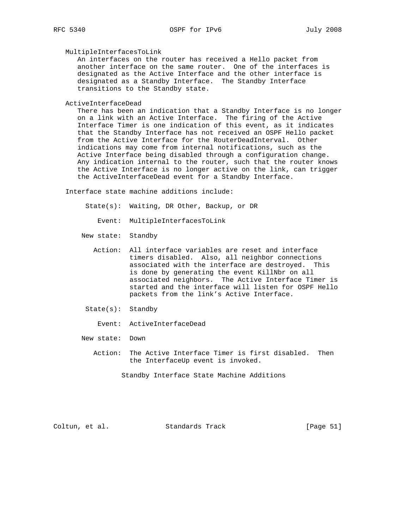# MultipleInterfacesToLink

 An interfaces on the router has received a Hello packet from another interface on the same router. One of the interfaces is designated as the Active Interface and the other interface is designated as a Standby Interface. The Standby Interface transitions to the Standby state.

ActiveInterfaceDead

 There has been an indication that a Standby Interface is no longer on a link with an Active Interface. The firing of the Active Interface Timer is one indication of this event, as it indicates that the Standby Interface has not received an OSPF Hello packet from the Active Interface for the RouterDeadInterval. Other indications may come from internal notifications, such as the Active Interface being disabled through a configuration change. Any indication internal to the router, such that the router knows the Active Interface is no longer active on the link, can trigger the ActiveInterfaceDead event for a Standby Interface.

Interface state machine additions include:

- State(s): Waiting, DR Other, Backup, or DR
	- Event: MultipleInterfacesToLink
- New state: Standby
	- Action: All interface variables are reset and interface timers disabled. Also, all neighbor connections associated with the interface are destroyed. This is done by generating the event KillNbr on all associated neighbors. The Active Interface Timer is started and the interface will listen for OSPF Hello packets from the link's Active Interface.
- State(s): Standby
	- Event: ActiveInterfaceDead
- New state: Down
	- Action: The Active Interface Timer is first disabled. Then the InterfaceUp event is invoked.

Standby Interface State Machine Additions

Coltun, et al. Standards Track [Page 51]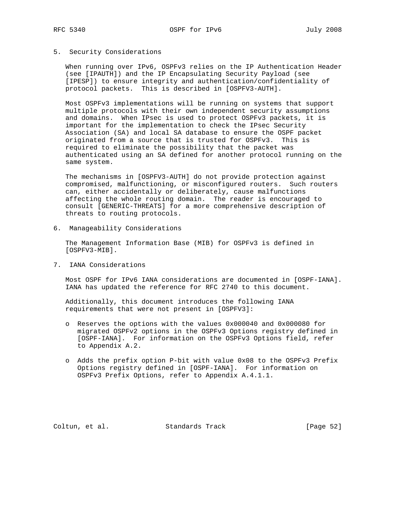## 5. Security Considerations

 When running over IPv6, OSPFv3 relies on the IP Authentication Header (see [IPAUTH]) and the IP Encapsulating Security Payload (see [IPESP]) to ensure integrity and authentication/confidentiality of protocol packets. This is described in [OSPFV3-AUTH].

 Most OSPFv3 implementations will be running on systems that support multiple protocols with their own independent security assumptions and domains. When IPsec is used to protect OSPFv3 packets, it is important for the implementation to check the IPsec Security Association (SA) and local SA database to ensure the OSPF packet originated from a source that is trusted for OSPFv3. This is required to eliminate the possibility that the packet was authenticated using an SA defined for another protocol running on the same system.

 The mechanisms in [OSPFV3-AUTH] do not provide protection against compromised, malfunctioning, or misconfigured routers. Such routers can, either accidentally or deliberately, cause malfunctions affecting the whole routing domain. The reader is encouraged to consult [GENERIC-THREATS] for a more comprehensive description of threats to routing protocols.

6. Manageability Considerations

 The Management Information Base (MIB) for OSPFv3 is defined in [OSPFV3-MIB].

7. IANA Considerations

 Most OSPF for IPv6 IANA considerations are documented in [OSPF-IANA]. IANA has updated the reference for RFC 2740 to this document.

 Additionally, this document introduces the following IANA requirements that were not present in [OSPFV3]:

- o Reserves the options with the values 0x000040 and 0x000080 for migrated OSPFv2 options in the OSPFv3 Options registry defined in [OSPF-IANA]. For information on the OSPFv3 Options field, refer to Appendix A.2.
- o Adds the prefix option P-bit with value 0x08 to the OSPFv3 Prefix Options registry defined in [OSPF-IANA]. For information on OSPFv3 Prefix Options, refer to Appendix A.4.1.1.

Coltun, et al. Standards Track [Page 52]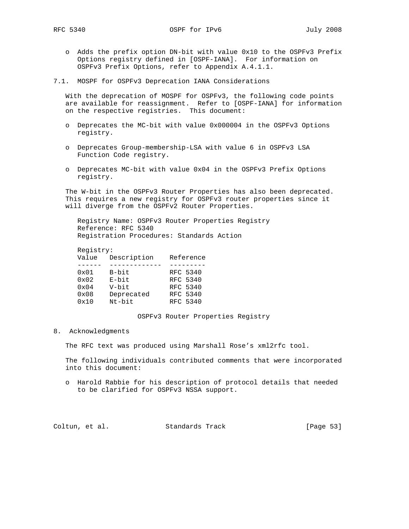- o Adds the prefix option DN-bit with value 0x10 to the OSPFv3 Prefix Options registry defined in [OSPF-IANA]. For information on OSPFv3 Prefix Options, refer to Appendix A.4.1.1.
- 7.1. MOSPF for OSPFv3 Deprecation IANA Considerations

 With the deprecation of MOSPF for OSPFv3, the following code points are available for reassignment. Refer to [OSPF-IANA] for information on the respective registries. This document:

- o Deprecates the MC-bit with value 0x000004 in the OSPFv3 Options registry.
- o Deprecates Group-membership-LSA with value 6 in OSPFv3 LSA Function Code registry.
- o Deprecates MC-bit with value 0x04 in the OSPFv3 Prefix Options registry.

 The W-bit in the OSPFv3 Router Properties has also been deprecated. This requires a new registry for OSPFv3 router properties since it will diverge from the OSPFv2 Router Properties.

 Registry Name: OSPFv3 Router Properties Registry Reference: RFC 5340 Registration Procedures: Standards Action

## Registry:

| Value         | Description | Reference |
|---------------|-------------|-----------|
|               |             |           |
| 0x01          | B-bit       | RFC 5340  |
| $0 \times 02$ | E-bit       | RFC 5340  |
| $0 \times 04$ | V-bit       | RFC 5340  |
| 0x08          | Deprecated  | RFC 5340  |
| 0x10          | Nt-bit      | RFC 5340  |
|               |             |           |

### OSPFv3 Router Properties Registry

8. Acknowledgments

The RFC text was produced using Marshall Rose's xml2rfc tool.

 The following individuals contributed comments that were incorporated into this document:

 o Harold Rabbie for his description of protocol details that needed to be clarified for OSPFv3 NSSA support.

Coltun, et al. Standards Track [Page 53]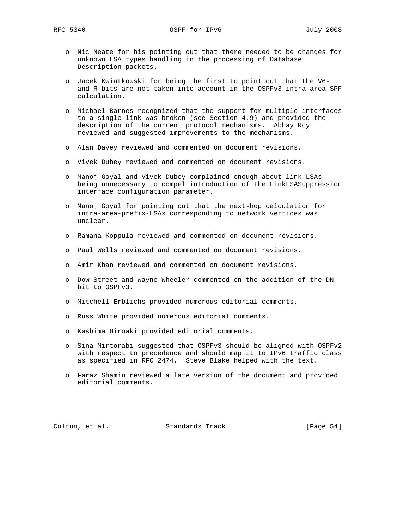- o Nic Neate for his pointing out that there needed to be changes for unknown LSA types handling in the processing of Database Description packets.
- o Jacek Kwiatkowski for being the first to point out that the V6 and R-bits are not taken into account in the OSPFv3 intra-area SPF calculation.
- o Michael Barnes recognized that the support for multiple interfaces to a single link was broken (see Section 4.9) and provided the description of the current protocol mechanisms. Abhay Roy reviewed and suggested improvements to the mechanisms.
- o Alan Davey reviewed and commented on document revisions.
- o Vivek Dubey reviewed and commented on document revisions.
- o Manoj Goyal and Vivek Dubey complained enough about link-LSAs being unnecessary to compel introduction of the LinkLSASuppression interface configuration parameter.
- o Manoj Goyal for pointing out that the next-hop calculation for intra-area-prefix-LSAs corresponding to network vertices was unclear.
- o Ramana Koppula reviewed and commented on document revisions.
- o Paul Wells reviewed and commented on document revisions.
- o Amir Khan reviewed and commented on document revisions.
- o Dow Street and Wayne Wheeler commented on the addition of the DN bit to OSPFv3.
- o Mitchell Erblichs provided numerous editorial comments.
- o Russ White provided numerous editorial comments.
- o Kashima Hiroaki provided editorial comments.
- o Sina Mirtorabi suggested that OSPFv3 should be aligned with OSPFv2 with respect to precedence and should map it to IPv6 traffic class as specified in RFC 2474. Steve Blake helped with the text.
- o Faraz Shamin reviewed a late version of the document and provided editorial comments.

Coltun, et al. Standards Track [Page 54]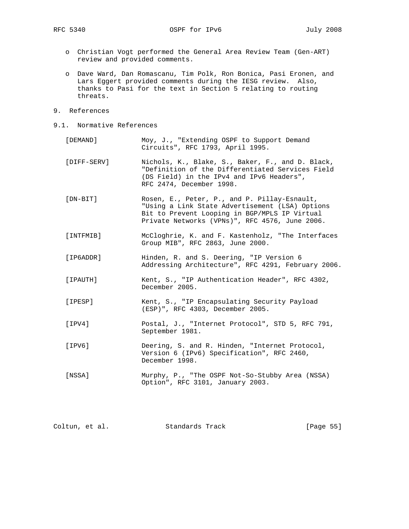- o Christian Vogt performed the General Area Review Team (Gen-ART) review and provided comments.
- o Dave Ward, Dan Romascanu, Tim Polk, Ron Bonica, Pasi Eronen, and Lars Eggert provided comments during the IESG review. Also, thanks to Pasi for the text in Section 5 relating to routing threats.
- 9. References
- 9.1. Normative References
	- [DEMAND] Moy, J., "Extending OSPF to Support Demand Circuits", RFC 1793, April 1995.
	- [DIFF-SERV] Nichols, K., Blake, S., Baker, F., and D. Black, "Definition of the Differentiated Services Field (DS Field) in the IPv4 and IPv6 Headers", RFC 2474, December 1998.
	- [DN-BIT] Rosen, E., Peter, P., and P. Pillay-Esnault, "Using a Link State Advertisement (LSA) Options Bit to Prevent Looping in BGP/MPLS IP Virtual Private Networks (VPNs)", RFC 4576, June 2006.
	- [INTFMIB] McCloghrie, K. and F. Kastenholz, "The Interfaces Group MIB", RFC 2863, June 2000.
	- [IP6ADDR] Hinden, R. and S. Deering, "IP Version 6 Addressing Architecture", RFC 4291, February 2006.
	- [IPAUTH] Kent, S., "IP Authentication Header", RFC 4302, December 2005.
	- [IPESP] Kent, S., "IP Encapsulating Security Payload (ESP)", RFC 4303, December 2005.
	- [IPV4] Postal, J., "Internet Protocol", STD 5, RFC 791, September 1981.
	- [IPV6] Deering, S. and R. Hinden, "Internet Protocol, Version 6 (IPv6) Specification", RFC 2460, December 1998.
	- [NSSA] Murphy, P., "The OSPF Not-So-Stubby Area (NSSA) Option", RFC 3101, January 2003.

| [Page 55]<br>Coltun, et al.<br>Standards Track |  |
|------------------------------------------------|--|
|------------------------------------------------|--|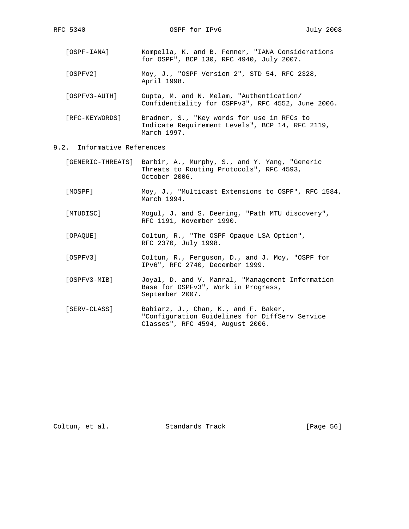- [OSPF-IANA] Kompella, K. and B. Fenner, "IANA Considerations for OSPF", BCP 130, RFC 4940, July 2007.
- [OSPFV2] Moy, J., "OSPF Version 2", STD 54, RFC 2328, April 1998.
- [OSPFV3-AUTH] Gupta, M. and N. Melam, "Authentication/ Confidentiality for OSPFv3", RFC 4552, June 2006.
- [RFC-KEYWORDS] Bradner, S., "Key words for use in RFCs to Indicate Requirement Levels", BCP 14, RFC 2119, March 1997.
- 9.2. Informative References
	- [GENERIC-THREATS] Barbir, A., Murphy, S., and Y. Yang, "Generic Threats to Routing Protocols", RFC 4593, October 2006.
	- [MOSPF] Moy, J., "Multicast Extensions to OSPF", RFC 1584, March 1994.
	- [MTUDISC] Mogul, J. and S. Deering, "Path MTU discovery", RFC 1191, November 1990.
	- [OPAQUE] Coltun, R., "The OSPF Opaque LSA Option", RFC 2370, July 1998.
	- [OSPFV3] Coltun, R., Ferguson, D., and J. Moy, "OSPF for IPv6", RFC 2740, December 1999.
	- [OSPFV3-MIB] Joyal, D. and V. Manral, "Management Information Base for OSPFv3", Work in Progress, September 2007.
	- [SERV-CLASS] Babiarz, J., Chan, K., and F. Baker, "Configuration Guidelines for DiffServ Service Classes", RFC 4594, August 2006.

Coltun, et al. Standards Track [Page 56]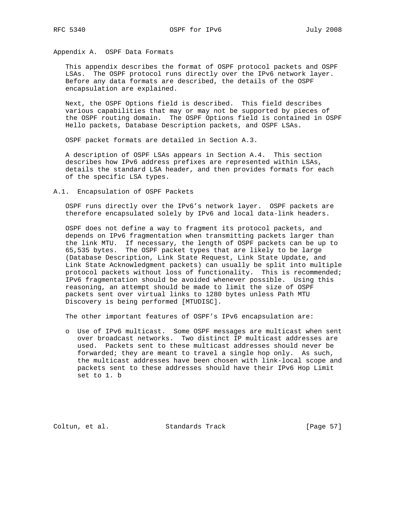Appendix A. OSPF Data Formats

 This appendix describes the format of OSPF protocol packets and OSPF LSAs. The OSPF protocol runs directly over the IPv6 network layer. Before any data formats are described, the details of the OSPF encapsulation are explained.

 Next, the OSPF Options field is described. This field describes various capabilities that may or may not be supported by pieces of the OSPF routing domain. The OSPF Options field is contained in OSPF Hello packets, Database Description packets, and OSPF LSAs.

OSPF packet formats are detailed in Section A.3.

 A description of OSPF LSAs appears in Section A.4. This section describes how IPv6 address prefixes are represented within LSAs, details the standard LSA header, and then provides formats for each of the specific LSA types.

A.1. Encapsulation of OSPF Packets

 OSPF runs directly over the IPv6's network layer. OSPF packets are therefore encapsulated solely by IPv6 and local data-link headers.

 OSPF does not define a way to fragment its protocol packets, and depends on IPv6 fragmentation when transmitting packets larger than the link MTU. If necessary, the length of OSPF packets can be up to 65,535 bytes. The OSPF packet types that are likely to be large (Database Description, Link State Request, Link State Update, and Link State Acknowledgment packets) can usually be split into multiple protocol packets without loss of functionality. This is recommended; IPv6 fragmentation should be avoided whenever possible. Using this reasoning, an attempt should be made to limit the size of OSPF packets sent over virtual links to 1280 bytes unless Path MTU Discovery is being performed [MTUDISC].

The other important features of OSPF's IPv6 encapsulation are:

 o Use of IPv6 multicast. Some OSPF messages are multicast when sent over broadcast networks. Two distinct IP multicast addresses are used. Packets sent to these multicast addresses should never be forwarded; they are meant to travel a single hop only. As such, the multicast addresses have been chosen with link-local scope and packets sent to these addresses should have their IPv6 Hop Limit set to 1. b

Coltun, et al. Standards Track [Page 57]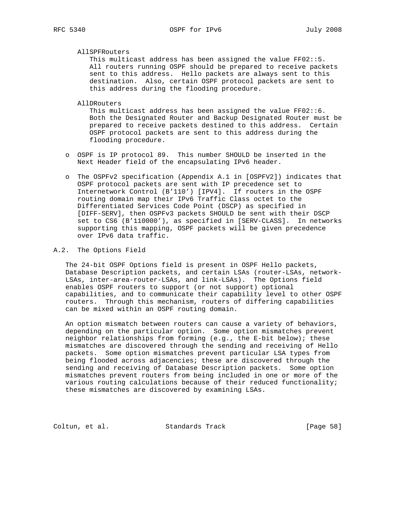## AllSPFRouters

 This multicast address has been assigned the value FF02::5. All routers running OSPF should be prepared to receive packets sent to this address. Hello packets are always sent to this destination. Also, certain OSPF protocol packets are sent to this address during the flooding procedure.

### AllDRouters

 This multicast address has been assigned the value FF02::6. Both the Designated Router and Backup Designated Router must be prepared to receive packets destined to this address. Certain OSPF protocol packets are sent to this address during the flooding procedure.

- o OSPF is IP protocol 89. This number SHOULD be inserted in the Next Header field of the encapsulating IPv6 header.
- o The OSPFv2 specification (Appendix A.1 in [OSPFV2]) indicates that OSPF protocol packets are sent with IP precedence set to Internetwork Control (B'110') [IPV4]. If routers in the OSPF routing domain map their IPv6 Traffic Class octet to the Differentiated Services Code Point (DSCP) as specified in [DIFF-SERV], then OSPFv3 packets SHOULD be sent with their DSCP set to CS6 (B'110000'), as specified in [SERV-CLASS]. In networks supporting this mapping, OSPF packets will be given precedence over IPv6 data traffic.

## A.2. The Options Field

 The 24-bit OSPF Options field is present in OSPF Hello packets, Database Description packets, and certain LSAs (router-LSAs, network- LSAs, inter-area-router-LSAs, and link-LSAs). The Options field enables OSPF routers to support (or not support) optional capabilities, and to communicate their capability level to other OSPF routers. Through this mechanism, routers of differing capabilities can be mixed within an OSPF routing domain.

 An option mismatch between routers can cause a variety of behaviors, depending on the particular option. Some option mismatches prevent neighbor relationships from forming (e.g., the E-bit below); these mismatches are discovered through the sending and receiving of Hello packets. Some option mismatches prevent particular LSA types from being flooded across adjacencies; these are discovered through the sending and receiving of Database Description packets. Some option mismatches prevent routers from being included in one or more of the various routing calculations because of their reduced functionality; these mismatches are discovered by examining LSAs.

Coltun, et al. Standards Track [Page 58]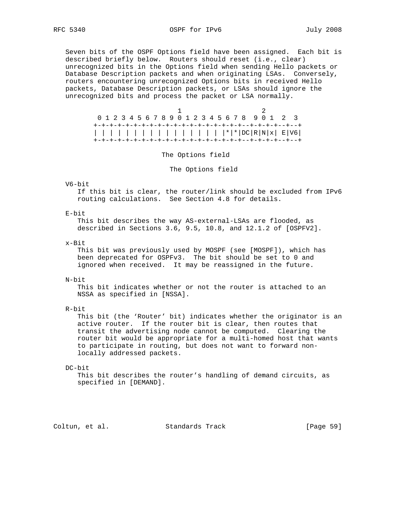Seven bits of the OSPF Options field have been assigned. Each bit is described briefly below. Routers should reset (i.e., clear) unrecognized bits in the Options field when sending Hello packets or Database Description packets and when originating LSAs. Conversely, routers encountering unrecognized Options bits in received Hello packets, Database Description packets, or LSAs should ignore the unrecognized bits and process the packet or LSA normally.

 1 2 0 1 2 3 4 5 6 7 8 9 0 1 2 3 4 5 6 7 8 9 0 1 2 3 +-+-+-+-+-+-+-+-+-+-+-+-+-+-+-+-+-+-+--+-+-+-+--+--+ | | | | | | | | | | | | | | | | |\*|\*|DC|R|N|x| E|V6| +-+-+-+-+-+-+-+-+-+-+-+-+-+-+-+-+-+-+--+-+-+-+--+--+

#### The Options field

The Options field

#### V6-bit

 If this bit is clear, the router/link should be excluded from IPv6 routing calculations. See Section 4.8 for details.

#### E-bit

 This bit describes the way AS-external-LSAs are flooded, as described in Sections 3.6, 9.5, 10.8, and 12.1.2 of [OSPFV2].

### x-Bit

 This bit was previously used by MOSPF (see [MOSPF]), which has been deprecated for OSPFv3. The bit should be set to 0 and ignored when received. It may be reassigned in the future.

#### N-bit

 This bit indicates whether or not the router is attached to an NSSA as specified in [NSSA].

## R-bit

 This bit (the 'Router' bit) indicates whether the originator is an active router. If the router bit is clear, then routes that transit the advertising node cannot be computed. Clearing the router bit would be appropriate for a multi-homed host that wants to participate in routing, but does not want to forward non locally addressed packets.

### DC-bit

 This bit describes the router's handling of demand circuits, as specified in [DEMAND].

Coltun, et al. Standards Track [Page 59]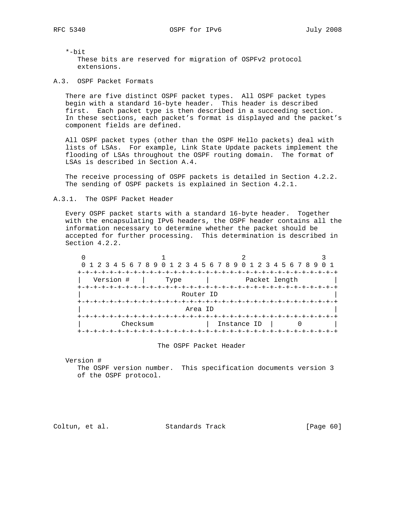\*-bit These bits are reserved for migration of OSPFv2 protocol extensions.

A.3. OSPF Packet Formats

 There are five distinct OSPF packet types. All OSPF packet types begin with a standard 16-byte header. This header is described first. Each packet type is then described in a succeeding section. In these sections, each packet's format is displayed and the packet's component fields are defined.

 All OSPF packet types (other than the OSPF Hello packets) deal with lists of LSAs. For example, Link State Update packets implement the flooding of LSAs throughout the OSPF routing domain. The format of LSAs is described in Section A.4.

 The receive processing of OSPF packets is detailed in Section 4.2.2. The sending of OSPF packets is explained in Section 4.2.1.

## A.3.1. The OSPF Packet Header

 Every OSPF packet starts with a standard 16-byte header. Together with the encapsulating IPv6 headers, the OSPF header contains all the information necessary to determine whether the packet should be accepted for further processing. This determination is described in Section 4.2.2.

|            |                                    | 0 1 2 3 4 5 6 7 8 9 0 1 2 3 4 5 6 7 8 9 0 1 2 3 4 5 6 7 8 9 |  |  |  |  |  |  |  |  |
|------------|------------------------------------|-------------------------------------------------------------|--|--|--|--|--|--|--|--|
| ナーナーナーナーナー |                                    |                                                             |  |  |  |  |  |  |  |  |
|            | Version #<br>Packet length<br>Type |                                                             |  |  |  |  |  |  |  |  |
|            | Router ID                          |                                                             |  |  |  |  |  |  |  |  |
|            |                                    |                                                             |  |  |  |  |  |  |  |  |
|            | Area ID                            |                                                             |  |  |  |  |  |  |  |  |
|            | Checksum                           | Instance ID                                                 |  |  |  |  |  |  |  |  |
|            |                                    |                                                             |  |  |  |  |  |  |  |  |

### The OSPF Packet Header

Version #

 The OSPF version number. This specification documents version 3 of the OSPF protocol.

Coltun, et al. Standards Track [Page 60]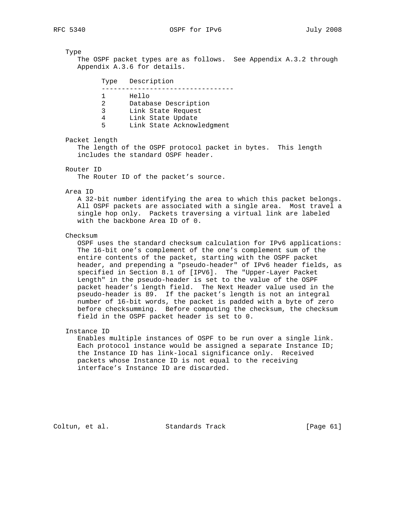Type

 The OSPF packet types are as follows. See Appendix A.3.2 through Appendix A.3.6 for details.

| Type        | Description                                                                                           |
|-------------|-------------------------------------------------------------------------------------------------------|
| 2<br>२<br>5 | Hello<br>Database Description<br>Link State Request<br>Link State Update<br>Link State Acknowledgment |

Packet length

 The length of the OSPF protocol packet in bytes. This length includes the standard OSPF header.

Router ID

The Router ID of the packet's source.

#### Area ID

 A 32-bit number identifying the area to which this packet belongs. All OSPF packets are associated with a single area. Most travel a single hop only. Packets traversing a virtual link are labeled with the backbone Area ID of 0.

#### Checksum

 OSPF uses the standard checksum calculation for IPv6 applications: The 16-bit one's complement of the one's complement sum of the entire contents of the packet, starting with the OSPF packet header, and prepending a "pseudo-header" of IPv6 header fields, as specified in Section 8.1 of [IPV6]. The "Upper-Layer Packet Length" in the pseudo-header is set to the value of the OSPF packet header's length field. The Next Header value used in the pseudo-header is 89. If the packet's length is not an integral number of 16-bit words, the packet is padded with a byte of zero before checksumming. Before computing the checksum, the checksum field in the OSPF packet header is set to 0.

#### Instance ID

 Enables multiple instances of OSPF to be run over a single link. Each protocol instance would be assigned a separate Instance ID; the Instance ID has link-local significance only. Received packets whose Instance ID is not equal to the receiving interface's Instance ID are discarded.

Coltun, et al. Standards Track [Page 61]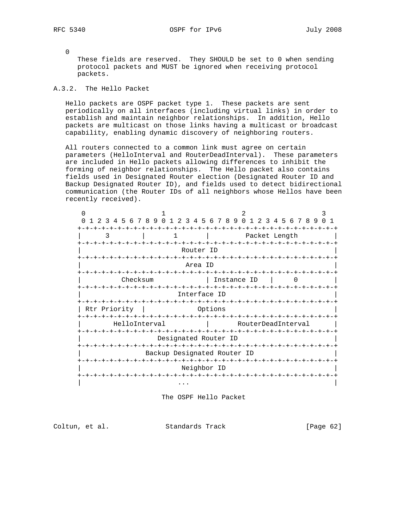0

 These fields are reserved. They SHOULD be set to 0 when sending protocol packets and MUST be ignored when receiving protocol packets.

# A.3.2. The Hello Packet

 Hello packets are OSPF packet type 1. These packets are sent periodically on all interfaces (including virtual links) in order to establish and maintain neighbor relationships. In addition, Hello packets are multicast on those links having a multicast or broadcast capability, enabling dynamic discovery of neighboring routers.

 All routers connected to a common link must agree on certain parameters (HelloInterval and RouterDeadInterval). These parameters are included in Hello packets allowing differences to inhibit the forming of neighbor relationships. The Hello packet also contains fields used in Designated Router election (Designated Router ID and Backup Designated Router ID), and fields used to detect bidirectional communication (the Router IDs of all neighbors whose Hellos have been recently received).

| ∩                                     |                                                                                      |  |  |              |  |             |                                           |                                              |  |  |               |  |  |  |  |  |     |  |
|---------------------------------------|--------------------------------------------------------------------------------------|--|--|--------------|--|-------------|-------------------------------------------|----------------------------------------------|--|--|---------------|--|--|--|--|--|-----|--|
|                                       | 2 3 4 5 6 7 8 9 0 1                                                                  |  |  |              |  |             |                                           | 2 3 4 5 6 7 8 9 0 1 2 3 4 5 6 7 8 9          |  |  |               |  |  |  |  |  | 0 1 |  |
| ζ                                     |                                                                                      |  |  |              |  |             |                                           |                                              |  |  | Packet Length |  |  |  |  |  |     |  |
| +-+-+-+-+-+-+-+-+-+-+-+-+-+-+-+-+-+   |                                                                                      |  |  |              |  |             | -+-+-+-+-+-+-+-+-+-+-+-+-+-+<br>Router ID |                                              |  |  |               |  |  |  |  |  |     |  |
|                                       | Area ID<br>-+-+-+-+-+-+-+                                                            |  |  |              |  |             |                                           |                                              |  |  |               |  |  |  |  |  |     |  |
| +-+-+-+-+-+-+-+-+-+-+-+-+-+-+-+       | Checksum                                                                             |  |  |              |  |             |                                           | Instance ID<br>-+-+-+-+-+-+-+-+-+-+-+-+-+-+- |  |  |               |  |  |  |  |  |     |  |
|                                       |                                                                                      |  |  | Interface ID |  |             |                                           |                                              |  |  |               |  |  |  |  |  |     |  |
| Rtr Priority                          |                                                                                      |  |  |              |  | Options     |                                           |                                              |  |  |               |  |  |  |  |  |     |  |
|                                       | HelloInterval                                                                        |  |  |              |  |             | RouterDeadInterval                        |                                              |  |  |               |  |  |  |  |  |     |  |
|                                       | -+-+-+-+-+-+-+-+-+-+<br>-+-+-+-+-+-+-+-+-+-+-+-+-+-+-+-+-+-+<br>Designated Router ID |  |  |              |  |             |                                           |                                              |  |  |               |  |  |  |  |  |     |  |
|                                       | Backup Designated Router ID                                                          |  |  |              |  |             |                                           |                                              |  |  |               |  |  |  |  |  |     |  |
| +-+-+-+-+-+-+-+-+-+-+-+-+-+-+-+-+-+-+ |                                                                                      |  |  |              |  |             |                                           | +-+-+-+-+-+-+-+-+-+-+-+-+-                   |  |  |               |  |  |  |  |  |     |  |
|                                       |                                                                                      |  |  |              |  | Neighbor ID |                                           |                                              |  |  |               |  |  |  |  |  |     |  |
|                                       |                                                                                      |  |  | .            |  |             |                                           |                                              |  |  |               |  |  |  |  |  |     |  |

The OSPF Hello Packet

Coltun, et al. Standards Track [Page 62]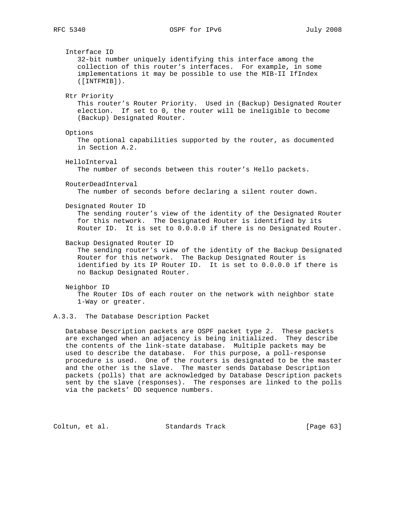Interface ID 32-bit number uniquely identifying this interface among the collection of this router's interfaces. For example, in some implementations it may be possible to use the MIB-II IfIndex ([INTFMIB]). Rtr Priority This router's Router Priority. Used in (Backup) Designated Router election. If set to 0, the router will be ineligible to become (Backup) Designated Router. Options The optional capabilities supported by the router, as documented in Section A.2. HelloInterval The number of seconds between this router's Hello packets. RouterDeadInterval The number of seconds before declaring a silent router down. Designated Router ID The sending router's view of the identity of the Designated Router for this network. The Designated Router is identified by its Router ID. It is set to 0.0.0.0 if there is no Designated Router. Backup Designated Router ID The sending router's view of the identity of the Backup Designated Router for this network. The Backup Designated Router is identified by its IP Router ID. It is set to 0.0.0.0 if there is no Backup Designated Router. Neighbor ID The Router IDs of each router on the network with neighbor state 1-Way or greater.

# A.3.3. The Database Description Packet

 Database Description packets are OSPF packet type 2. These packets are exchanged when an adjacency is being initialized. They describe the contents of the link-state database. Multiple packets may be used to describe the database. For this purpose, a poll-response procedure is used. One of the routers is designated to be the master and the other is the slave. The master sends Database Description packets (polls) that are acknowledged by Database Description packets sent by the slave (responses). The responses are linked to the polls via the packets' DD sequence numbers.

Coltun, et al. Standards Track [Page 63]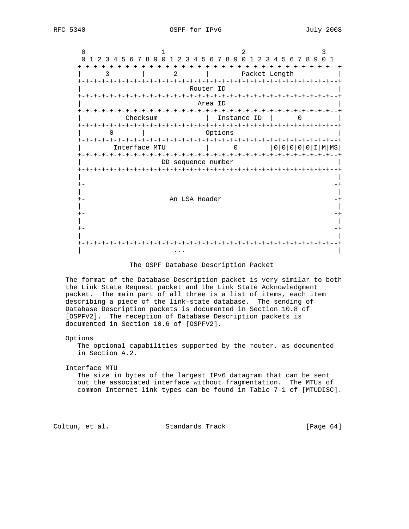

### The OSPF Database Description Packet

 The format of the Database Description packet is very similar to both the Link State Request packet and the Link State Acknowledgment packet. The main part of all three is a list of items, each item describing a piece of the link-state database. The sending of Database Description packets is documented in Section 10.8 of [OSPFV2]. The reception of Database Description packets is documented in Section 10.6 of [OSPFV2].

#### Options

 The optional capabilities supported by the router, as documented in Section A.2.

#### Interface MTU

 The size in bytes of the largest IPv6 datagram that can be sent out the associated interface without fragmentation. The MTUs of common Internet link types can be found in Table 7-1 of [MTUDISC].

Coltun, et al. Standards Track [Page 64]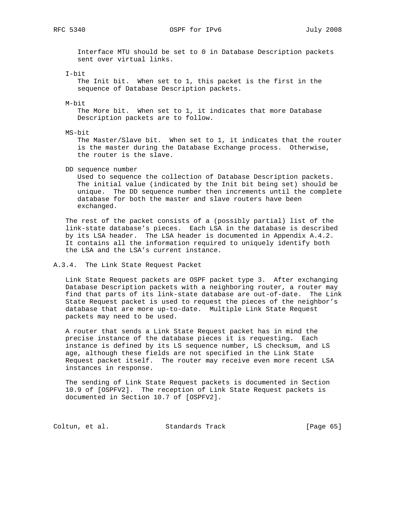RFC 5340 OSPF for IPv6 July 2008

 Interface MTU should be set to 0 in Database Description packets sent over virtual links.

I-bit

 The Init bit. When set to 1, this packet is the first in the sequence of Database Description packets.

M-bit

 The More bit. When set to 1, it indicates that more Database Description packets are to follow.

MS-bit

 The Master/Slave bit. When set to 1, it indicates that the router is the master during the Database Exchange process. Otherwise, the router is the slave.

DD sequence number

 Used to sequence the collection of Database Description packets. The initial value (indicated by the Init bit being set) should be unique. The DD sequence number then increments until the complete database for both the master and slave routers have been exchanged.

 The rest of the packet consists of a (possibly partial) list of the link-state database's pieces. Each LSA in the database is described by its LSA header. The LSA header is documented in Appendix A.4.2. It contains all the information required to uniquely identify both the LSA and the LSA's current instance.

A.3.4. The Link State Request Packet

 Link State Request packets are OSPF packet type 3. After exchanging Database Description packets with a neighboring router, a router may find that parts of its link-state database are out-of-date. The Link State Request packet is used to request the pieces of the neighbor's database that are more up-to-date. Multiple Link State Request packets may need to be used.

 A router that sends a Link State Request packet has in mind the precise instance of the database pieces it is requesting. Each instance is defined by its LS sequence number, LS checksum, and LS age, although these fields are not specified in the Link State Request packet itself. The router may receive even more recent LSA instances in response.

 The sending of Link State Request packets is documented in Section 10.9 of [OSPFV2]. The reception of Link State Request packets is documented in Section 10.7 of [OSPFV2].

Coltun, et al. Standards Track [Page 65]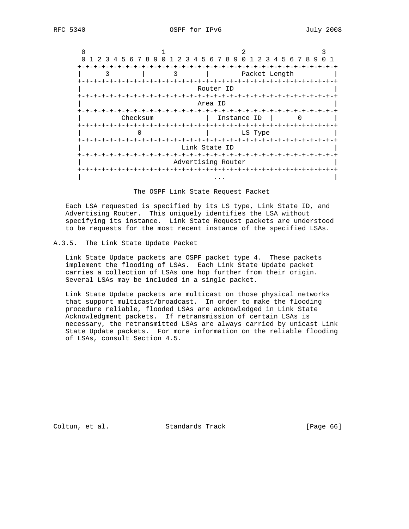|          |   | 1 2 3 4 5 6 7 8 9 0 1 2 3 4 5 6 7 8 9 0 1 2 3 4 5 6 7 8 9 |  |
|----------|---|-----------------------------------------------------------|--|
|          | 3 | Packet Length                                             |  |
|          |   | Router ID                                                 |  |
|          |   | Area ID                                                   |  |
| Checksum |   | Instance ID                                               |  |
|          |   | LS Type                                                   |  |
|          |   | Link State ID                                             |  |
|          |   | Advertising Router                                        |  |
|          |   |                                                           |  |

The OSPF Link State Request Packet

 Each LSA requested is specified by its LS type, Link State ID, and Advertising Router. This uniquely identifies the LSA without specifying its instance. Link State Request packets are understood to be requests for the most recent instance of the specified LSAs.

## A.3.5. The Link State Update Packet

 Link State Update packets are OSPF packet type 4. These packets implement the flooding of LSAs. Each Link State Update packet carries a collection of LSAs one hop further from their origin. Several LSAs may be included in a single packet.

 Link State Update packets are multicast on those physical networks that support multicast/broadcast. In order to make the flooding procedure reliable, flooded LSAs are acknowledged in Link State Acknowledgment packets. If retransmission of certain LSAs is necessary, the retransmitted LSAs are always carried by unicast Link State Update packets. For more information on the reliable flooding of LSAs, consult Section 4.5.

Coltun, et al. Standards Track [Page 66]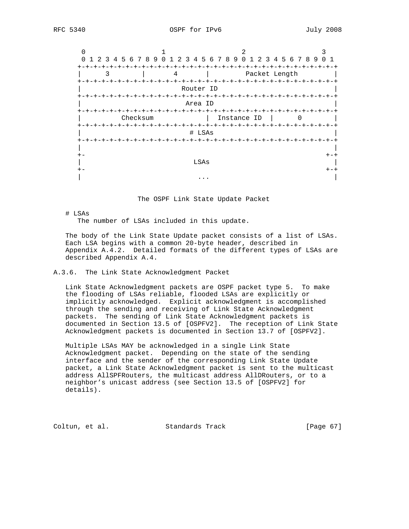

The OSPF Link State Update Packet

# LSAs

The number of LSAs included in this update.

 The body of the Link State Update packet consists of a list of LSAs. Each LSA begins with a common 20-byte header, described in Appendix A.4.2. Detailed formats of the different types of LSAs are described Appendix A.4.

# A.3.6. The Link State Acknowledgment Packet

 Link State Acknowledgment packets are OSPF packet type 5. To make the flooding of LSAs reliable, flooded LSAs are explicitly or implicitly acknowledged. Explicit acknowledgment is accomplished through the sending and receiving of Link State Acknowledgment packets. The sending of Link State Acknowledgment packets is documented in Section 13.5 of [OSPFV2]. The reception of Link State Acknowledgment packets is documented in Section 13.7 of [OSPFV2].

 Multiple LSAs MAY be acknowledged in a single Link State Acknowledgment packet. Depending on the state of the sending interface and the sender of the corresponding Link State Update packet, a Link State Acknowledgment packet is sent to the multicast address AllSPFRouters, the multicast address AllDRouters, or to a neighbor's unicast address (see Section 13.5 of [OSPFV2] for details).

Coltun, et al. Standards Track [Page 67]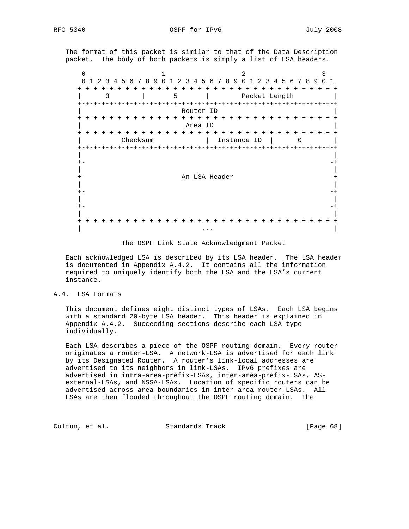The format of this packet is similar to that of the Data Description packet. The body of both packets is simply a list of LSA headers.

|      | 1 2 3 4 5 6 7 8 9 0 1 2 3 4 5 6 7 8 9 0 1<br>$\Omega$ |   |  |          |  |   |                     |                    |  |                 |             | 2 3 4 5 6 7 8 9 |  |  |  | $\overline{1}$ |
|------|-------------------------------------------------------|---|--|----------|--|---|---------------------|--------------------|--|-----------------|-------------|-----------------|--|--|--|----------------|
|      |                                                       |   |  |          |  |   |                     |                    |  |                 |             |                 |  |  |  |                |
|      |                                                       | 3 |  |          |  | 5 |                     |                    |  |                 |             | Packet Length   |  |  |  |                |
|      |                                                       |   |  |          |  |   |                     |                    |  |                 |             | -+-+-+-+-+-+    |  |  |  | - +            |
|      |                                                       |   |  |          |  |   | Router ID           |                    |  |                 |             |                 |  |  |  |                |
|      | $+-+ - +$                                             |   |  |          |  |   | $+ - + - + - + - +$ |                    |  |                 |             |                 |  |  |  |                |
|      |                                                       |   |  |          |  |   | Area ID             |                    |  |                 |             |                 |  |  |  |                |
|      |                                                       |   |  |          |  |   |                     | $-+ - + - + - + -$ |  |                 |             |                 |  |  |  |                |
|      | $+-+$                                                 |   |  | Checksum |  |   |                     |                    |  | $+ - + - + - +$ | Instance ID |                 |  |  |  |                |
|      |                                                       |   |  |          |  |   |                     |                    |  |                 |             |                 |  |  |  |                |
|      |                                                       |   |  |          |  |   |                     |                    |  |                 |             |                 |  |  |  |                |
|      |                                                       |   |  |          |  |   |                     |                    |  |                 |             |                 |  |  |  |                |
|      |                                                       |   |  |          |  |   | An LSA Header       |                    |  |                 |             |                 |  |  |  |                |
|      |                                                       |   |  |          |  |   |                     |                    |  |                 |             |                 |  |  |  |                |
| $+-$ |                                                       |   |  |          |  |   |                     |                    |  |                 |             |                 |  |  |  |                |
|      |                                                       |   |  |          |  |   |                     |                    |  |                 |             |                 |  |  |  |                |
|      |                                                       |   |  |          |  |   |                     |                    |  |                 |             |                 |  |  |  |                |
|      |                                                       |   |  |          |  |   |                     |                    |  |                 |             |                 |  |  |  |                |
|      |                                                       |   |  |          |  |   |                     |                    |  |                 |             |                 |  |  |  |                |
|      |                                                       |   |  |          |  |   |                     |                    |  |                 |             |                 |  |  |  |                |

The OSPF Link State Acknowledgment Packet

 Each acknowledged LSA is described by its LSA header. The LSA header is documented in Appendix A.4.2. It contains all the information required to uniquely identify both the LSA and the LSA's current instance.

## A.4. LSA Formats

 This document defines eight distinct types of LSAs. Each LSA begins with a standard 20-byte LSA header. This header is explained in Appendix A.4.2. Succeeding sections describe each LSA type individually.

 Each LSA describes a piece of the OSPF routing domain. Every router originates a router-LSA. A network-LSA is advertised for each link by its Designated Router. A router's link-local addresses are advertised to its neighbors in link-LSAs. IPv6 prefixes are advertised in intra-area-prefix-LSAs, inter-area-prefix-LSAs, AS external-LSAs, and NSSA-LSAs. Location of specific routers can be advertised across area boundaries in inter-area-router-LSAs. All LSAs are then flooded throughout the OSPF routing domain. The

Coltun, et al. Standards Track [Page 68]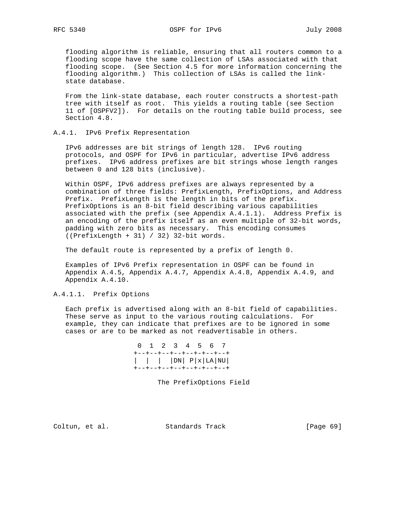flooding algorithm is reliable, ensuring that all routers common to a flooding scope have the same collection of LSAs associated with that flooding scope. (See Section 4.5 for more information concerning the flooding algorithm.) This collection of LSAs is called the link state database.

 From the link-state database, each router constructs a shortest-path tree with itself as root. This yields a routing table (see Section 11 of [OSPFV2]). For details on the routing table build process, see Section 4.8.

## A.4.1. IPv6 Prefix Representation

 IPv6 addresses are bit strings of length 128. IPv6 routing protocols, and OSPF for IPv6 in particular, advertise IPv6 address prefixes. IPv6 address prefixes are bit strings whose length ranges between 0 and 128 bits (inclusive).

 Within OSPF, IPv6 address prefixes are always represented by a combination of three fields: PrefixLength, PrefixOptions, and Address Prefix. PrefixLength is the length in bits of the prefix. PrefixOptions is an 8-bit field describing various capabilities associated with the prefix (see Appendix A.4.1.1). Address Prefix is an encoding of the prefix itself as an even multiple of 32-bit words, padding with zero bits as necessary. This encoding consumes ((PrefixLength + 31) / 32) 32-bit words.

The default route is represented by a prefix of length 0.

 Examples of IPv6 Prefix representation in OSPF can be found in Appendix A.4.5, Appendix A.4.7, Appendix A.4.8, Appendix A.4.9, and Appendix A.4.10.

## A.4.1.1. Prefix Options

 Each prefix is advertised along with an 8-bit field of capabilities. These serve as input to the various routing calculations. For example, they can indicate that prefixes are to be ignored in some cases or are to be marked as not readvertisable in others.

|  |  | 0 1 2 3 4 5 6 7                                      |  |                                                                                      |
|--|--|------------------------------------------------------|--|--------------------------------------------------------------------------------------|
|  |  | +--+--+--+--+--+-+--+--+<br>+--+--+--+--+--+-+--+--+ |  | $\vert$ $\vert$ $\vert$ $\vert$ DN $\vert$ P $\vert$ x $\vert$ LA $\vert$ NU $\vert$ |

The PrefixOptions Field

Coltun, et al. Standards Track [Page 69]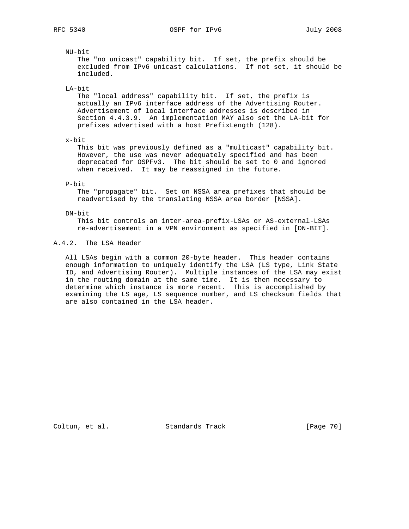## NU-bit

 The "no unicast" capability bit. If set, the prefix should be excluded from IPv6 unicast calculations. If not set, it should be included.

LA-bit

 The "local address" capability bit. If set, the prefix is actually an IPv6 interface address of the Advertising Router. Advertisement of local interface addresses is described in Section 4.4.3.9. An implementation MAY also set the LA-bit for prefixes advertised with a host PrefixLength (128).

### x-bit

 This bit was previously defined as a "multicast" capability bit. However, the use was never adequately specified and has been deprecated for OSPFv3. The bit should be set to 0 and ignored when received. It may be reassigned in the future.

# P-bit

 The "propagate" bit. Set on NSSA area prefixes that should be readvertised by the translating NSSA area border [NSSA].

### DN-bit

 This bit controls an inter-area-prefix-LSAs or AS-external-LSAs re-advertisement in a VPN environment as specified in [DN-BIT].

# A.4.2. The LSA Header

 All LSAs begin with a common 20-byte header. This header contains enough information to uniquely identify the LSA (LS type, Link State ID, and Advertising Router). Multiple instances of the LSA may exist in the routing domain at the same time. It is then necessary to determine which instance is more recent. This is accomplished by examining the LS age, LS sequence number, and LS checksum fields that are also contained in the LSA header.

Coltun, et al. Standards Track [Page 70]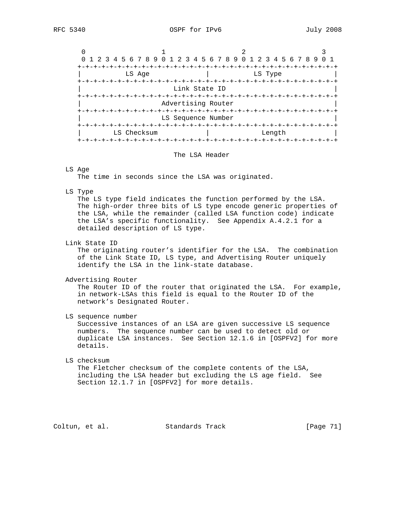| 0 1 2 3 4 5 6 7 8 9 0 1 2 3 4 5 6 7 8 9 0 1 2 3 4 5 6 7 8 9 |                     |                         |         |  |  |  |  |  |  |  |  |
|-------------------------------------------------------------|---------------------|-------------------------|---------|--|--|--|--|--|--|--|--|
|                                                             |                     |                         |         |  |  |  |  |  |  |  |  |
| LS Age                                                      |                     |                         | LS Type |  |  |  |  |  |  |  |  |
| -+-+-+-+-+-+-+                                              |                     | $+ - + - + - + - + - +$ |         |  |  |  |  |  |  |  |  |
|                                                             | Link State ID       |                         |         |  |  |  |  |  |  |  |  |
|                                                             |                     |                         |         |  |  |  |  |  |  |  |  |
|                                                             | Advertising Router  |                         |         |  |  |  |  |  |  |  |  |
|                                                             | $+ - + - + - + - +$ |                         |         |  |  |  |  |  |  |  |  |
|                                                             | LS Sequence Number  |                         |         |  |  |  |  |  |  |  |  |
|                                                             |                     |                         |         |  |  |  |  |  |  |  |  |
| LS Checksum                                                 |                     |                         | Length  |  |  |  |  |  |  |  |  |
|                                                             |                     |                         |         |  |  |  |  |  |  |  |  |

#### The LSA Header

#### LS Age

The time in seconds since the LSA was originated.

#### LS Type

 The LS type field indicates the function performed by the LSA. The high-order three bits of LS type encode generic properties of the LSA, while the remainder (called LSA function code) indicate the LSA's specific functionality. See Appendix A.4.2.1 for a detailed description of LS type.

#### Link State ID

 The originating router's identifier for the LSA. The combination of the Link State ID, LS type, and Advertising Router uniquely identify the LSA in the link-state database.

Advertising Router

 The Router ID of the router that originated the LSA. For example, in network-LSAs this field is equal to the Router ID of the network's Designated Router.

LS sequence number

 Successive instances of an LSA are given successive LS sequence numbers. The sequence number can be used to detect old or duplicate LSA instances. See Section 12.1.6 in [OSPFV2] for more details.

### LS checksum

 The Fletcher checksum of the complete contents of the LSA, including the LSA header but excluding the LS age field. See Section 12.1.7 in [OSPFV2] for more details.

Coltun, et al. Standards Track [Page 71]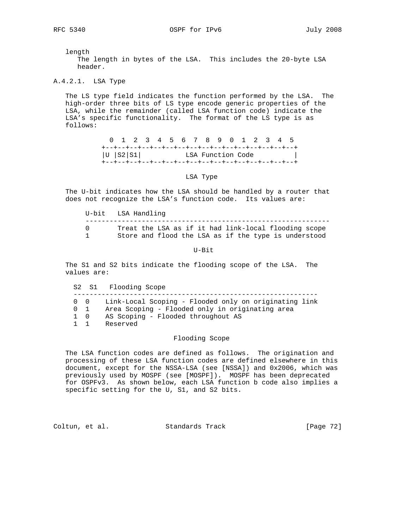length The length in bytes of the LSA. This includes the 20-byte LSA header.

A.4.2.1. LSA Type

 The LS type field indicates the function performed by the LSA. The high-order three bits of LS type encode generic properties of the LSA, while the remainder (called LSA function code) indicate the LSA's specific functionality. The format of the LS type is as follows:

> 0 1 2 3 4 5 6 7 8 9 0 1 2 3 4 5 +--+--+--+--+--+--+--+--+--+--+--+--+--+--+--+--+ |U |S2|S1| LSA Function Code | +--+--+--+--+--+--+--+--+--+--+--+--+--+--+--+--+

> > LSA Type

 The U-bit indicates how the LSA should be handled by a router that does not recognize the LSA's function code. Its values are:

 U-bit LSA Handling ------------------------------------------------------------- 0 Treat the LSA as if it had link-local flooding scope 1 Store and flood the LSA as if the type is understood

U-Bit

 The S1 and S2 bits indicate the flooding scope of the LSA. The values are:

S2 S1 Flooding Scope

-------------------------------------------------------------

0 0 Link-Local Scoping - Flooded only on originating link

- 0 1 Area Scoping Flooded only in originating area
- 1 0 AS Scoping Flooded throughout AS
- 1 1 Reserved

## Flooding Scope

 The LSA function codes are defined as follows. The origination and processing of these LSA function codes are defined elsewhere in this document, except for the NSSA-LSA (see [NSSA]) and 0x2006, which was previously used by MOSPF (see [MOSPF]). MOSPF has been deprecated for OSPFv3. As shown below, each LSA function b code also implies a specific setting for the U, S1, and S2 bits.

Coltun, et al. Standards Track [Page 72]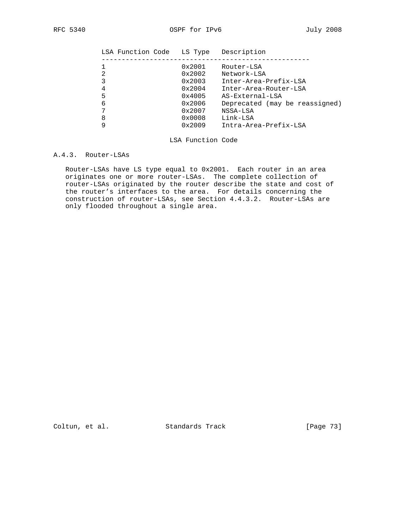| LSA Function Code | LS Type         | Description                    |
|-------------------|-----------------|--------------------------------|
|                   | 0x2001          | Router-LSA                     |
| 2                 | 0x2002          | Network-LSA                    |
| 3                 | 0x2003          | Inter-Area-Prefix-LSA          |
| 4                 | 0x2004          | Inter-Area-Router-LSA          |
| 5                 | 0x4005          | AS-External-LSA                |
| 6                 | 0x2006          | Deprecated (may be reassigned) |
|                   | 0x2007          | NSSA-LSA                       |
| 8                 | $0 \times 0008$ | Link-LSA                       |
| 9                 | 0x2009          | Intra-Area-Prefix-LSA          |
|                   |                 |                                |

## LSA Function Code

## A.4.3. Router-LSAs

 Router-LSAs have LS type equal to 0x2001. Each router in an area originates one or more router-LSAs. The complete collection of router-LSAs originated by the router describe the state and cost of the router's interfaces to the area. For details concerning the construction of router-LSAs, see Section 4.4.3.2. Router-LSAs are only flooded throughout a single area.

Coltun, et al. Standards Track [Page 73]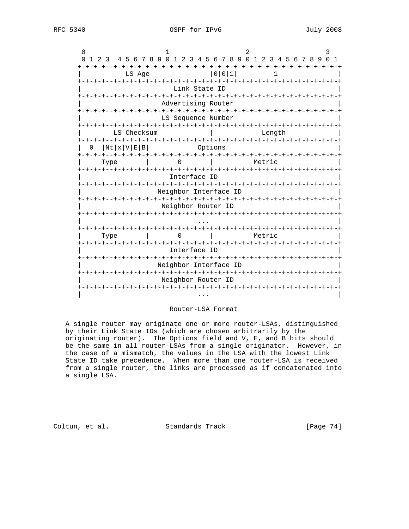| 0          |                               |                                                                               |       |                                                        |   |                                   |                      |                |  |  |          |                |
|------------|-------------------------------|-------------------------------------------------------------------------------|-------|--------------------------------------------------------|---|-----------------------------------|----------------------|----------------|--|--|----------|----------------|
| 0<br>1 2 3 |                               | 4 5 6 7 8 9 0 1 2 3 4 5 6 7 8 9 0 1 2 3 4 5 6 7 8 9<br>-+-+-+-+-+-+-+-+-+-+-+ |       |                                                        |   | -+-+-+-+-+-+-+-+-+-+-+-+-+-+-+-+- |                      |                |  |  | $\Omega$ | $\overline{1}$ |
|            |                               | LS Age                                                                        |       |                                                        |   | $0 0 1$                           |                      |                |  |  |          |                |
|            |                               |                                                                               |       | Link State ID                                          |   |                                   |                      |                |  |  |          |                |
|            |                               |                                                                               |       | Advertising Router                                     |   |                                   |                      |                |  |  |          |                |
|            |                               |                                                                               | ーナーナ・ | LS Sequence Number                                     |   | $- + - + \cdot$                   | -+-+-+-+-+-+-+-+-+-+ |                |  |  |          |                |
|            |                               | LS Checksum                                                                   |       |                                                        |   |                                   |                      | Length         |  |  |          |                |
| O          | Nt x V E B                    |                                                                               |       |                                                        |   | Options                           |                      |                |  |  |          |                |
|            | <b>ナーナーナーナーーナーナーナ</b><br>Type |                                                                               |       | -+-+-+-+-+-+-+-+-+-+-+-+-+-+-+-+-                      |   |                                   |                      | Metric         |  |  |          |                |
|            |                               |                                                                               |       | Interface ID                                           |   |                                   |                      |                |  |  |          |                |
|            |                               |                                                                               |       | Neighbor Interface ID                                  |   |                                   |                      |                |  |  |          |                |
|            |                               |                                                                               |       | Neighbor Router ID                                     |   |                                   |                      |                |  |  |          |                |
|            |                               |                                                                               |       |                                                        |   |                                   |                      |                |  |  |          |                |
|            | Type                          |                                                                               |       | -+-+-+-+-+-+-+-+-+                                     |   |                                   |                      | Metric         |  |  |          |                |
|            |                               |                                                                               |       | Interface ID                                           |   |                                   |                      |                |  |  |          |                |
|            |                               |                                                                               |       | -+-+-+-+-+-+-+-+-+-+-+-+-+-+-<br>Neighbor Interface ID |   |                                   |                      | -+-+-+-+-+-+-+ |  |  |          |                |
|            |                               |                                                                               |       | Neighbor Router ID                                     |   |                                   |                      |                |  |  |          |                |
|            |                               |                                                                               |       | -+-+-+-+-+-+-+-+-+-+-+-+-+-                            | . |                                   |                      |                |  |  |          |                |

# Router-LSA Format

 A single router may originate one or more router-LSAs, distinguished by their Link State IDs (which are chosen arbitrarily by the originating router). The Options field and V, E, and B bits should be the same in all router-LSAs from a single originator. However, in the case of a mismatch, the values in the LSA with the lowest Link State ID take precedence. When more than one router-LSA is received from a single router, the links are processed as if concatenated into a single LSA.

Coltun, et al. Standards Track [Page 74]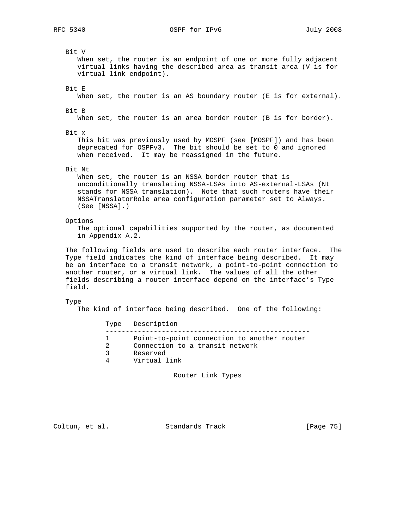Bit V When set, the router is an endpoint of one or more fully adjacent virtual links having the described area as transit area (V is for virtual link endpoint). Bit E When set, the router is an AS boundary router (E is for external). Bit B When set, the router is an area border router (B is for border). Bit x This bit was previously used by MOSPF (see [MOSPF]) and has been deprecated for OSPFv3. The bit should be set to 0 and ignored when received. It may be reassigned in the future. Bit Nt When set, the router is an NSSA border router that is unconditionally translating NSSA-LSAs into AS-external-LSAs (Nt stands for NSSA translation). Note that such routers have their NSSATranslatorRole area configuration parameter set to Always. (See [NSSA].) Options The optional capabilities supported by the router, as documented in Appendix A.2. The following fields are used to describe each router interface. The Type field indicates the kind of interface being described. It may be an interface to a transit network, a point-to-point connection to another router, or a virtual link. The values of all the other fields describing a router interface depend on the interface's Type field. Type The kind of interface being described. One of the following: Type Description --------------------------------------------------- 1 Point-to-point connection to another router 2 Connection to a transit network 3 Reserved<br>4 Virtual Virtual link Router Link Types

Coltun, et al. Standards Track [Page 75]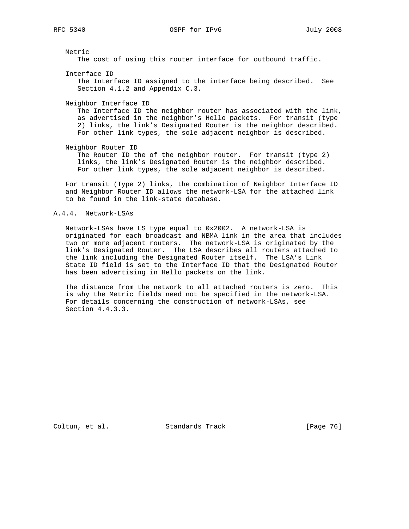Metric The cost of using this router interface for outbound traffic. Interface ID The Interface ID assigned to the interface being described. See Section 4.1.2 and Appendix C.3. Neighbor Interface ID The Interface ID the neighbor router has associated with the link, as advertised in the neighbor's Hello packets. For transit (type 2) links, the link's Designated Router is the neighbor described. For other link types, the sole adjacent neighbor is described. Neighbor Router ID The Router ID the of the neighbor router. For transit (type 2) links, the link's Designated Router is the neighbor described. For other link types, the sole adjacent neighbor is described.

 For transit (Type 2) links, the combination of Neighbor Interface ID and Neighbor Router ID allows the network-LSA for the attached link to be found in the link-state database.

### A.4.4. Network-LSAs

 Network-LSAs have LS type equal to 0x2002. A network-LSA is originated for each broadcast and NBMA link in the area that includes two or more adjacent routers. The network-LSA is originated by the link's Designated Router. The LSA describes all routers attached to the link including the Designated Router itself. The LSA's Link State ID field is set to the Interface ID that the Designated Router has been advertising in Hello packets on the link.

 The distance from the network to all attached routers is zero. This is why the Metric fields need not be specified in the network-LSA. For details concerning the construction of network-LSAs, see Section 4.4.3.3.

Coltun, et al. Standards Track [Page 76]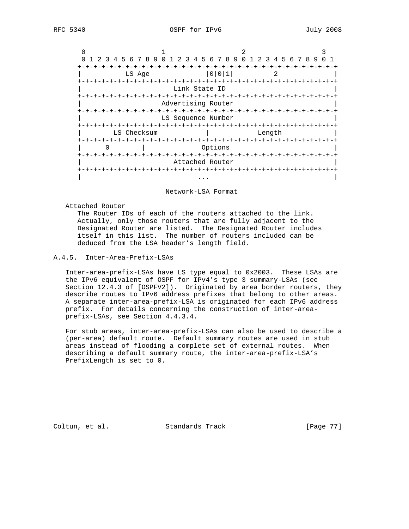|             | 1 2 3 4 5 6 7 8 9 0 1 2 3 4 5 6 7 8 9 0 1 2 3 4 5 6 7 8 9 |                                                 |        |   |  | 0 <sub>1</sub> |  |
|-------------|-----------------------------------------------------------|-------------------------------------------------|--------|---|--|----------------|--|
|             |                                                           | -+-+-+-+-+-+-+-+-+-+-+-+-+-+-+-+-+-+            |        |   |  |                |  |
|             | LS Age                                                    | 0 0 1                                           |        | 2 |  |                |  |
|             | +-+-+-+-+-+-+-+-+-+-+-+-+-+                               | $-+ - + - + - + - + -$<br>Link State ID         |        |   |  |                |  |
|             |                                                           | Advertising Router                              |        |   |  |                |  |
|             |                                                           | LS Sequence Number                              |        |   |  |                |  |
| LS Checksum |                                                           |                                                 | Length |   |  |                |  |
|             |                                                           | Options                                         |        |   |  |                |  |
|             |                                                           | $-+ - + - + - + - + - + - +$<br>Attached Router |        |   |  |                |  |
|             | -+-+-+-+-+-+-+-+-+                                        |                                                 |        |   |  |                |  |

#### Network-LSA Format

Attached Router

 The Router IDs of each of the routers attached to the link. Actually, only those routers that are fully adjacent to the Designated Router are listed. The Designated Router includes itself in this list. The number of routers included can be deduced from the LSA header's length field.

# A.4.5. Inter-Area-Prefix-LSAs

 Inter-area-prefix-LSAs have LS type equal to 0x2003. These LSAs are the IPv6 equivalent of OSPF for IPv4's type 3 summary-LSAs (see Section 12.4.3 of [OSPFV2]). Originated by area border routers, they describe routes to IPv6 address prefixes that belong to other areas. A separate inter-area-prefix-LSA is originated for each IPv6 address prefix. For details concerning the construction of inter-area prefix-LSAs, see Section 4.4.3.4.

 For stub areas, inter-area-prefix-LSAs can also be used to describe a (per-area) default route. Default summary routes are used in stub areas instead of flooding a complete set of external routes. When describing a default summary route, the inter-area-prefix-LSA's PrefixLength is set to 0.

Coltun, et al. Standards Track [Page 77]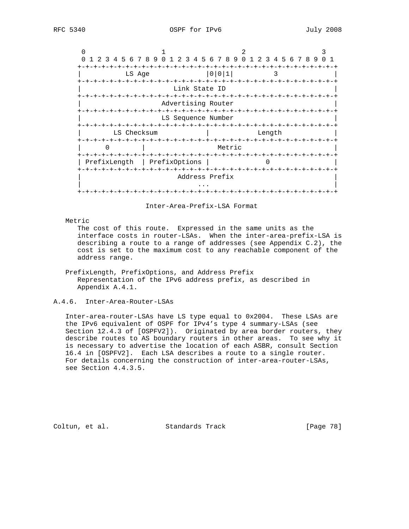|                                        | 1 2 3 4 5 6 7 8 9 0 1 2 3 4 5 6 7 8 9 0 1 2 3 4 5 6 7 8 9 |                              |        | $\Omega$ |
|----------------------------------------|-----------------------------------------------------------|------------------------------|--------|----------|
| LS Age                                 |                                                           | $0 0 1 $                     | 3      |          |
|                                        | Link State ID                                             |                              |        |          |
|                                        | Advertising Router                                        |                              |        |          |
|                                        | LS Sequence Number                                        |                              |        |          |
| LS Checksum<br>+-+-+-+-+-+-+-+-+-+-+-+ |                                                           |                              | Length |          |
|                                        |                                                           | Metric                       |        |          |
| PrefixLength                           | PrefixOptions                                             |                              |        |          |
|                                        |                                                           | Address Prefix               |        |          |
|                                        |                                                           | $-+ - + - + - + - + - + - +$ |        |          |

### Inter-Area-Prefix-LSA Format

Metric

 The cost of this route. Expressed in the same units as the interface costs in router-LSAs. When the inter-area-prefix-LSA is describing a route to a range of addresses (see Appendix C.2), the cost is set to the maximum cost to any reachable component of the address range.

## PrefixLength, PrefixOptions, and Address Prefix Representation of the IPv6 address prefix, as described in Appendix A.4.1.

## A.4.6. Inter-Area-Router-LSAs

 Inter-area-router-LSAs have LS type equal to 0x2004. These LSAs are the IPv6 equivalent of OSPF for IPv4's type 4 summary-LSAs (see Section 12.4.3 of [OSPFV2]). Originated by area border routers, they describe routes to AS boundary routers in other areas. To see why it is necessary to advertise the location of each ASBR, consult Section 16.4 in [OSPFV2]. Each LSA describes a route to a single router. For details concerning the construction of inter-area-router-LSAs, see Section 4.4.3.5.

Coltun, et al. Standards Track [Page 78]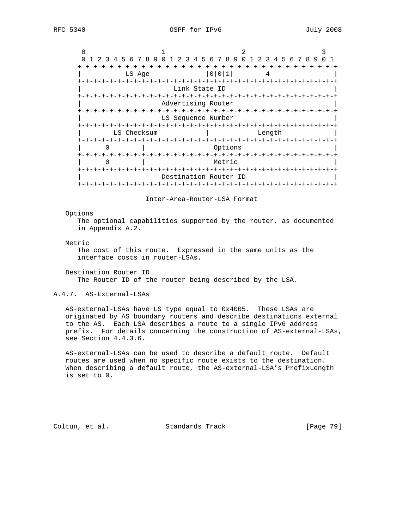| 1 2 3 4 5 6 7 8 9 0 1 2 3 4 5 6 7 8 9 0 1 |                                                |                          |                                  | 2 3 4 5 6 7 8 9          |  |
|-------------------------------------------|------------------------------------------------|--------------------------|----------------------------------|--------------------------|--|
| LS Age<br>-+-+-+-+-+-                     | -+-+-+-+-+-+-+-+                               | 0 0 1                    |                                  | -+-+-+-+-+-+-+-+-+       |  |
|                                           | Link State ID<br>-+-+-+-+-+-+-+-+-+-+-+        |                          | -+-+-+-+-+-+-+-+-+-+-+           |                          |  |
|                                           | Advertising Router                             |                          |                                  |                          |  |
|                                           | LS Sequence Number<br>-+-+-+-+-+-+-+-+-+-+-+-+ |                          |                                  | $-+ - + - + - + - + - +$ |  |
| LS Checksum                               |                                                | $-+ - + - + - + - + - +$ | Length<br>-+-+-+-+-+-+-+-+-+-+-+ |                          |  |
|                                           |                                                | Options                  |                                  |                          |  |
|                                           |                                                | Metric                   |                                  |                          |  |
|                                           | Destination Router ID                          |                          |                                  |                          |  |

Inter-Area-Router-LSA Format

#### Options

 The optional capabilities supported by the router, as documented in Appendix A.2.

### Metric

 The cost of this route. Expressed in the same units as the interface costs in router-LSAs.

 Destination Router ID The Router ID of the router being described by the LSA.

### A.4.7. AS-External-LSAs

 AS-external-LSAs have LS type equal to 0x4005. These LSAs are originated by AS boundary routers and describe destinations external to the AS. Each LSA describes a route to a single IPv6 address prefix. For details concerning the construction of AS-external-LSAs, see Section 4.4.3.6.

 AS-external-LSAs can be used to describe a default route. Default routes are used when no specific route exists to the destination. When describing a default route, the AS-external-LSA's PrefixLength is set to 0.

Coltun, et al. Standards Track [Page 79]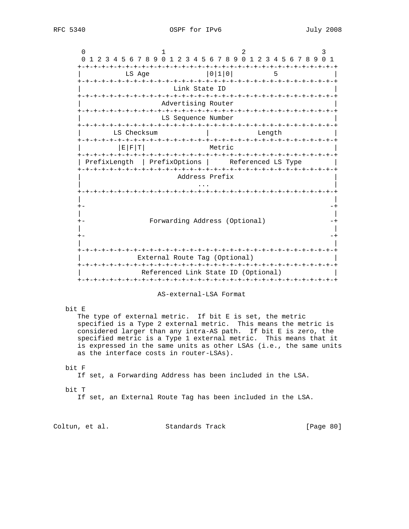|                                                                            |                                     | 0 1 2 3 4 5 6 7 8 9 0 1 2 3 4 5 6 7 8 9 0 1 2 3 4 5 6 7 8 9 0 1 |        |    |  |  |
|----------------------------------------------------------------------------|-------------------------------------|-----------------------------------------------------------------|--------|----|--|--|
|                                                                            | LS Age                              | 0 1 0                                                           |        | 5. |  |  |
|                                                                            | Link State ID                       |                                                                 |        |    |  |  |
|                                                                            | Advertising Router                  |                                                                 |        |    |  |  |
|                                                                            | LS Sequence Number                  |                                                                 |        |    |  |  |
| LS Checksum                                                                |                                     |                                                                 | Length |    |  |  |
| E F T                                                                      |                                     | Metric                                                          |        |    |  |  |
|                                                                            |                                     |                                                                 |        |    |  |  |
|                                                                            | Address Prefix                      |                                                                 |        |    |  |  |
|                                                                            |                                     |                                                                 |        |    |  |  |
|                                                                            | Forwarding Address (Optional)       |                                                                 |        |    |  |  |
|                                                                            |                                     |                                                                 |        |    |  |  |
|                                                                            | External Route Tag (Optional)       |                                                                 |        |    |  |  |
| PrefixLength   PrefixOptions   Referenced LS Type<br>$+-$<br>$+ -$<br>$+-$ | Referenced Link State ID (Optional) |                                                                 |        |    |  |  |
|                                                                            |                                     |                                                                 |        |    |  |  |

 specified is a Type 2 external metric. This means the metric is considered larger than any intra-AS path. If bit E is zero, the specified metric is a Type 1 external metric. This means that it is expressed in the same units as other LSAs (i.e., the same units as the interface costs in router-LSAs).

## bit F

If set, a Forwarding Address has been included in the LSA.

#### bit T

If set, an External Route Tag has been included in the LSA.

Coltun, et al. Standards Track [Page 80]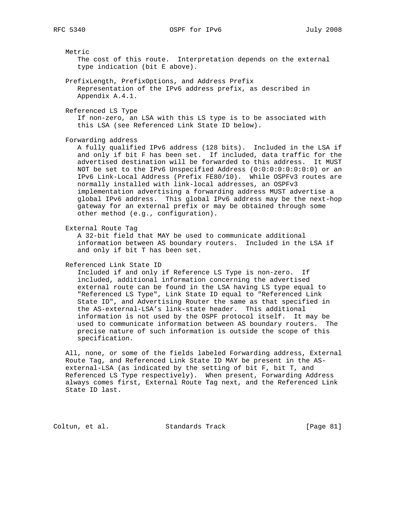Metric

 The cost of this route. Interpretation depends on the external type indication (bit E above).

 PrefixLength, PrefixOptions, and Address Prefix Representation of the IPv6 address prefix, as described in Appendix A.4.1.

Referenced LS Type

 If non-zero, an LSA with this LS type is to be associated with this LSA (see Referenced Link State ID below).

Forwarding address

 A fully qualified IPv6 address (128 bits). Included in the LSA if and only if bit F has been set. If included, data traffic for the advertised destination will be forwarded to this address. It MUST NOT be set to the IPv6 Unspecified Address (0:0:0:0:0:0:0:0) or an IPv6 Link-Local Address (Prefix FE80/10). While OSPFv3 routes are normally installed with link-local addresses, an OSPFv3 implementation advertising a forwarding address MUST advertise a global IPv6 address. This global IPv6 address may be the next-hop gateway for an external prefix or may be obtained through some other method (e.g., configuration).

External Route Tag

 A 32-bit field that MAY be used to communicate additional information between AS boundary routers. Included in the LSA if and only if bit T has been set.

Referenced Link State ID

 Included if and only if Reference LS Type is non-zero. If included, additional information concerning the advertised external route can be found in the LSA having LS type equal to "Referenced LS Type", Link State ID equal to "Referenced Link State ID", and Advertising Router the same as that specified in the AS-external-LSA's link-state header. This additional information is not used by the OSPF protocol itself. It may be used to communicate information between AS boundary routers. The precise nature of such information is outside the scope of this specification.

 All, none, or some of the fields labeled Forwarding address, External Route Tag, and Referenced Link State ID MAY be present in the AS external-LSA (as indicated by the setting of bit F, bit T, and Referenced LS Type respectively). When present, Forwarding Address always comes first, External Route Tag next, and the Referenced Link State ID last.

Coltun, et al. Standards Track [Page 81]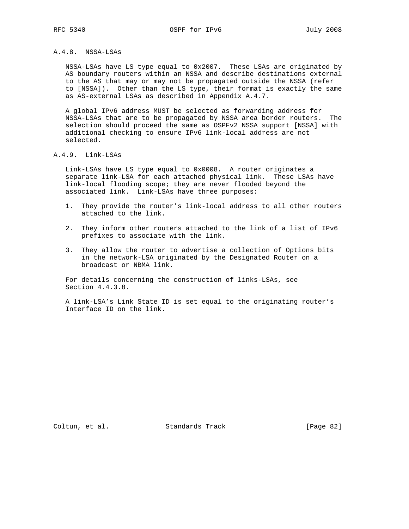## A.4.8. NSSA-LSAs

 NSSA-LSAs have LS type equal to 0x2007. These LSAs are originated by AS boundary routers within an NSSA and describe destinations external to the AS that may or may not be propagated outside the NSSA (refer to [NSSA]). Other than the LS type, their format is exactly the same as AS-external LSAs as described in Appendix A.4.7.

 A global IPv6 address MUST be selected as forwarding address for NSSA-LSAs that are to be propagated by NSSA area border routers. The selection should proceed the same as OSPFv2 NSSA support [NSSA] with additional checking to ensure IPv6 link-local address are not selected.

## A.4.9. Link-LSAs

 Link-LSAs have LS type equal to 0x0008. A router originates a separate link-LSA for each attached physical link. These LSAs have link-local flooding scope; they are never flooded beyond the associated link. Link-LSAs have three purposes:

- 1. They provide the router's link-local address to all other routers attached to the link.
- 2. They inform other routers attached to the link of a list of IPv6 prefixes to associate with the link.
- 3. They allow the router to advertise a collection of Options bits in the network-LSA originated by the Designated Router on a broadcast or NBMA link.

 For details concerning the construction of links-LSAs, see Section 4.4.3.8.

 A link-LSA's Link State ID is set equal to the originating router's Interface ID on the link.

Coltun, et al. Standards Track [Page 82]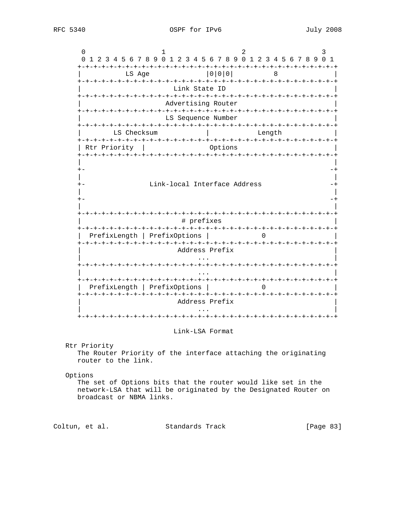$0$  1 2 3 0 1 2 3 4 5 6 7 8 9 0 1 2 3 4 5 6 7 8 9 0 1 2 3 4 5 6 7 8 9 0 1 +-+-+-+-+-+-+-+-+-+-+-+-+-+-+-+-+-+-+-+-+-+-+-+-+-+-+-+-+-+-+-+-+ LS Age  $|0|0|0|$  8 +-+-+-+-+-+-+-+-+-+-+-+-+-+-+-+-+-+-+-+-+-+-+-+-+-+-+-+-+-+-+-+-+ Link State ID +-+-+-+-+-+-+-+-+-+-+-+-+-+-+-+-+-+-+-+-+-+-+-+-+-+-+-+-+-+-+-+-+ Advertising Router +-+-+-+-+-+-+-+-+-+-+-+-+-+-+-+-+-+-+-+-+-+-+-+-+-+-+-+-+-+-+-+-+ | LS Sequence Number | +-+-+-+-+-+-+-+-+-+-+-+-+-+-+-+-+-+-+-+-+-+-+-+-+-+-+-+-+-+-+-+-+ | LS Checksum | Length | +-+-+-+-+-+-+-+-+-+-+-+-+-+-+-+-+-+-+-+-+-+-+-+-+-+-+-+-+-+-+-+-+ | Rtr Priority | Options +-+-+-+-+-+-+-+-+-+-+-+-+-+-+-+-+-+-+-+-+-+-+-+-+-+-+-+-+-+-+-+-+ | | +- -+ | | +- Link-local Interface Address -+ | | +- -+ | | +-+-+-+-+-+-+-+-+-+-+-+-+-+-+-+-+-+-+-+-+-+-+-+-+-+-+-+-+-+-+-+-+ # prefixes +-+-+-+-+-+-+-+-+-+-+-+-+-+-+-+-+-+-+-+-+-+-+-+-+-+-+-+-+-+-+-+-+ | PrefixLength | PrefixOptions | 0 | +-+-+-+-+-+-+-+-+-+-+-+-+-+-+-+-+-+-+-+-+-+-+-+-+-+-+-+-+-+-+-+-+ | Address Prefix | | ... | ... | ... | ... | ... | ... | ... | ... | ... | ... | ... | ... | ... | ... | ... | ... | ... | ... | +-+-+-+-+-+-+-+-+-+-+-+-+-+-+-+-+-+-+-+-+-+-+-+-+-+-+-+-+-+-+-+-+ | ... | ... | ... | ... | ... | ... | ... | ... | ... | ... | ... | ... | ... | ... | ... | ... | ... | ... | +-+-+-+-+-+-+-+-+-+-+-+-+-+-+-+-+-+-+-+-+-+-+-+-+-+-+-+-+-+-+-+-+ | PrefixLength | PrefixOptions | 0 | +-+-+-+-+-+-+-+-+-+-+-+-+-+-+-+-+-+-+-+-+-+-+-+-+-+-+-+-+-+-+-+-+ Address Prefix | ... | ... | ... | ... | ... | ... | ... | ... | ... | ... | ... | ... | ... | ... | ... | ... | ... | ... | +-+-+-+-+-+-+-+-+-+-+-+-+-+-+-+-+-+-+-+-+-+-+-+-+-+-+-+-+-+-+-+-+

#### Link-LSA Format

 Rtr Priority The Router Priority of the interface attaching the originating router to the link.

Options

 The set of Options bits that the router would like set in the network-LSA that will be originated by the Designated Router on broadcast or NBMA links.

Coltun, et al. Standards Track [Page 83]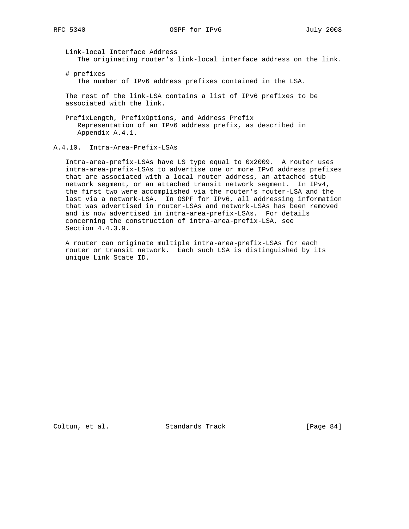Link-local Interface Address The originating router's link-local interface address on the link.

 # prefixes The number of IPv6 address prefixes contained in the LSA.

 The rest of the link-LSA contains a list of IPv6 prefixes to be associated with the link.

 PrefixLength, PrefixOptions, and Address Prefix Representation of an IPv6 address prefix, as described in Appendix A.4.1.

A.4.10. Intra-Area-Prefix-LSAs

 Intra-area-prefix-LSAs have LS type equal to 0x2009. A router uses intra-area-prefix-LSAs to advertise one or more IPv6 address prefixes that are associated with a local router address, an attached stub network segment, or an attached transit network segment. In IPv4, the first two were accomplished via the router's router-LSA and the last via a network-LSA. In OSPF for IPv6, all addressing information that was advertised in router-LSAs and network-LSAs has been removed and is now advertised in intra-area-prefix-LSAs. For details concerning the construction of intra-area-prefix-LSA, see Section 4.4.3.9.

 A router can originate multiple intra-area-prefix-LSAs for each router or transit network. Each such LSA is distinguished by its unique Link State ID.

Coltun, et al. Standards Track [Page 84]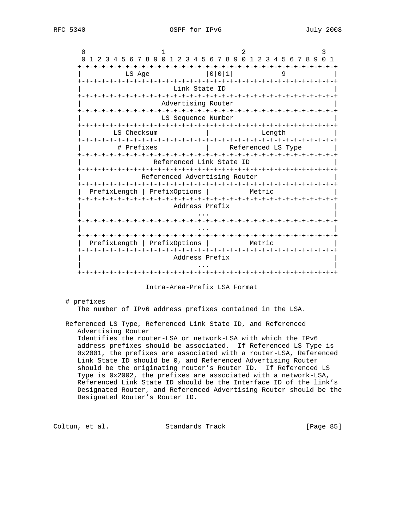| 0                                                                       |                               |                          |                                     |              |
|-------------------------------------------------------------------------|-------------------------------|--------------------------|-------------------------------------|--------------|
| 1 2 3 4 5 6 7 8 9 0 1 2 3 4 5 6 7 8 9 0 1 2 3 4 5 6 7 8 9 0<br>$\Omega$ |                               |                          |                                     | $\mathbf{1}$ |
| -+-+-+-+-+<br>キーキーキーキーキーキ<br>LS Age                                     |                               | 0 0 1                    | -+-+-+-+-+-+-+-+-+-+-+-+-+-+-+<br>9 |              |
|                                                                         | -+-+-+-+-+-+-+-+-+-+-+-+-+    | Link State ID            | +-+-+-+-+-+-+-+-+-+-+-+-+-+         |              |
|                                                                         |                               | Advertising Router       |                                     |              |
|                                                                         | -+-+-+-+                      | LS Sequence Number       | -+-+-+-+-+-+-+-+-+-+-+-+-+-+-       |              |
| LS Checksum                                                             |                               |                          | Length                              |              |
| # Prefixes                                                              |                               |                          | Referenced LS Type                  |              |
|                                                                         |                               | Referenced Link State ID |                                     |              |
|                                                                         | Referenced Advertising Router |                          |                                     |              |
| PrefixLength   PrefixOptions                                            |                               |                          | Metric                              |              |
|                                                                         |                               | Address Prefix           |                                     |              |
|                                                                         |                               |                          |                                     |              |
|                                                                         |                               |                          | +-+-+-+-+-+-+-+-+-+-+-+-            |              |
| PrefixLength                                                            | PrefixOptions                 | +-+-+-+-+-+-+-+-+-+-+-+  | Metric                              | -+-+-+-+-+-+ |
|                                                                         |                               | Address Prefix           |                                     |              |
|                                                                         |                               |                          |                                     |              |
|                                                                         |                               |                          |                                     |              |

Intra-Area-Prefix LSA Format

# prefixes

The number of IPv6 address prefixes contained in the LSA.

 Referenced LS Type, Referenced Link State ID, and Referenced Advertising Router

 Identifies the router-LSA or network-LSA with which the IPv6 address prefixes should be associated. If Referenced LS Type is 0x2001, the prefixes are associated with a router-LSA, Referenced Link State ID should be 0, and Referenced Advertising Router should be the originating router's Router ID. If Referenced LS Type is 0x2002, the prefixes are associated with a network-LSA, Referenced Link State ID should be the Interface ID of the link's Designated Router, and Referenced Advertising Router should be the Designated Router's Router ID.

Coltun, et al. Standards Track [Page 85]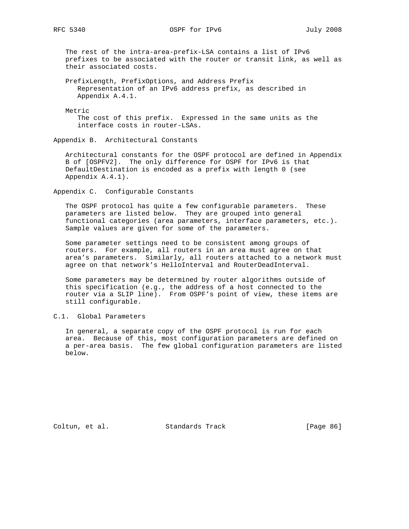The rest of the intra-area-prefix-LSA contains a list of IPv6 prefixes to be associated with the router or transit link, as well as their associated costs.

 PrefixLength, PrefixOptions, and Address Prefix Representation of an IPv6 address prefix, as described in Appendix A.4.1.

Metric

 The cost of this prefix. Expressed in the same units as the interface costs in router-LSAs.

Appendix B. Architectural Constants

 Architectural constants for the OSPF protocol are defined in Appendix B of [OSPFV2]. The only difference for OSPF for IPv6 is that DefaultDestination is encoded as a prefix with length 0 (see Appendix A.4.1).

Appendix C. Configurable Constants

 The OSPF protocol has quite a few configurable parameters. These parameters are listed below. They are grouped into general functional categories (area parameters, interface parameters, etc.). Sample values are given for some of the parameters.

 Some parameter settings need to be consistent among groups of routers. For example, all routers in an area must agree on that area's parameters. Similarly, all routers attached to a network must agree on that network's HelloInterval and RouterDeadInterval.

 Some parameters may be determined by router algorithms outside of this specification (e.g., the address of a host connected to the router via a SLIP line). From OSPF's point of view, these items are still configurable.

C.1. Global Parameters

 In general, a separate copy of the OSPF protocol is run for each area. Because of this, most configuration parameters are defined on a per-area basis. The few global configuration parameters are listed below.

Coltun, et al. Standards Track [Page 86]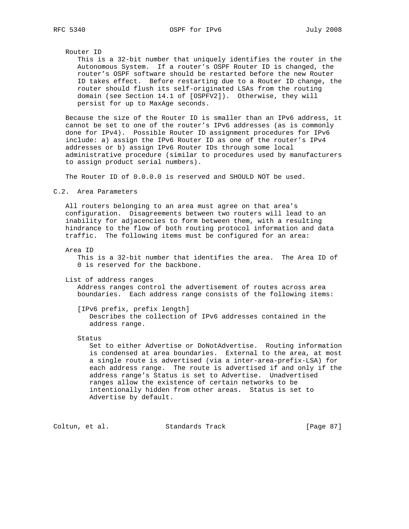Router ID

 This is a 32-bit number that uniquely identifies the router in the Autonomous System. If a router's OSPF Router ID is changed, the router's OSPF software should be restarted before the new Router ID takes effect. Before restarting due to a Router ID change, the router should flush its self-originated LSAs from the routing domain (see Section 14.1 of [OSPFV2]). Otherwise, they will persist for up to MaxAge seconds.

 Because the size of the Router ID is smaller than an IPv6 address, it cannot be set to one of the router's IPv6 addresses (as is commonly done for IPv4). Possible Router ID assignment procedures for IPv6 include: a) assign the IPv6 Router ID as one of the router's IPv4 addresses or b) assign IPv6 Router IDs through some local administrative procedure (similar to procedures used by manufacturers to assign product serial numbers).

The Router ID of 0.0.0.0 is reserved and SHOULD NOT be used.

C.2. Area Parameters

 All routers belonging to an area must agree on that area's configuration. Disagreements between two routers will lead to an inability for adjacencies to form between them, with a resulting hindrance to the flow of both routing protocol information and data traffic. The following items must be configured for an area:

Area ID

 This is a 32-bit number that identifies the area. The Area ID of 0 is reserved for the backbone.

List of address ranges

 Address ranges control the advertisement of routes across area boundaries. Each address range consists of the following items:

 [IPv6 prefix, prefix length] Describes the collection of IPv6 addresses contained in the address range.

Status

 Set to either Advertise or DoNotAdvertise. Routing information is condensed at area boundaries. External to the area, at most a single route is advertised (via a inter-area-prefix-LSA) for each address range. The route is advertised if and only if the address range's Status is set to Advertise. Unadvertised ranges allow the existence of certain networks to be intentionally hidden from other areas. Status is set to Advertise by default.

Coltun, et al. Standards Track [Page 87]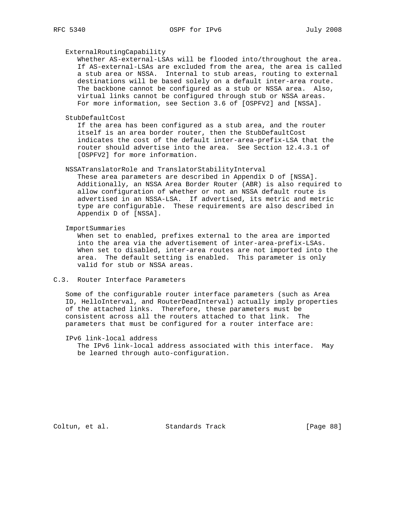#### ExternalRoutingCapability

 Whether AS-external-LSAs will be flooded into/throughout the area. If AS-external-LSAs are excluded from the area, the area is called a stub area or NSSA. Internal to stub areas, routing to external destinations will be based solely on a default inter-area route. The backbone cannot be configured as a stub or NSSA area. Also, virtual links cannot be configured through stub or NSSA areas. For more information, see Section 3.6 of [OSPFV2] and [NSSA].

### StubDefaultCost

 If the area has been configured as a stub area, and the router itself is an area border router, then the StubDefaultCost indicates the cost of the default inter-area-prefix-LSA that the router should advertise into the area. See Section 12.4.3.1 of [OSPFV2] for more information.

### NSSATranslatorRole and TranslatorStabilityInterval

 These area parameters are described in Appendix D of [NSSA]. Additionally, an NSSA Area Border Router (ABR) is also required to allow configuration of whether or not an NSSA default route is advertised in an NSSA-LSA. If advertised, its metric and metric type are configurable. These requirements are also described in Appendix D of [NSSA].

ImportSummaries

 When set to enabled, prefixes external to the area are imported into the area via the advertisement of inter-area-prefix-LSAs. When set to disabled, inter-area routes are not imported into the area. The default setting is enabled. This parameter is only valid for stub or NSSA areas.

## C.3. Router Interface Parameters

 Some of the configurable router interface parameters (such as Area ID, HelloInterval, and RouterDeadInterval) actually imply properties of the attached links. Therefore, these parameters must be consistent across all the routers attached to that link. The parameters that must be configured for a router interface are:

IPv6 link-local address

 The IPv6 link-local address associated with this interface. May be learned through auto-configuration.

Coltun, et al. Standards Track [Page 88]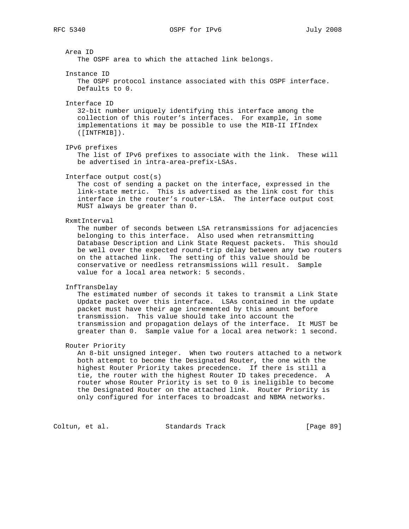| Area ID<br>The OSPF area to which the attached link belongs.                                                                                                                                                                                                                                                                                                                                                                                                            |
|-------------------------------------------------------------------------------------------------------------------------------------------------------------------------------------------------------------------------------------------------------------------------------------------------------------------------------------------------------------------------------------------------------------------------------------------------------------------------|
| Instance ID<br>The OSPF protocol instance associated with this OSPF interface.<br>Defaults to 0.                                                                                                                                                                                                                                                                                                                                                                        |
| Interface ID<br>32-bit number uniquely identifying this interface among the<br>collection of this router's interfaces. For example, in some<br>implementations it may be possible to use the MIB-II IfIndex<br>$([INTFMIB])$ .                                                                                                                                                                                                                                          |
| IPv6 prefixes<br>The list of IPv6 prefixes to associate with the link. These will<br>be advertised in intra-area-prefix-LSAs.                                                                                                                                                                                                                                                                                                                                           |
| Interface output cost(s)<br>The cost of sending a packet on the interface, expressed in the<br>link-state metric. This is advertised as the link cost for this<br>interface in the router's router-LSA. The interface output cost<br>MUST always be greater than 0.                                                                                                                                                                                                     |
| RxmtInterval<br>The number of seconds between LSA retransmissions for adjacencies<br>belonging to this interface. Also used when retransmitting<br>Database Description and Link State Request packets. This should<br>be well over the expected round-trip delay between any two routers<br>on the attached link. The setting of this value should be<br>conservative or needless retransmissions will result.<br>Sample<br>value for a local area network: 5 seconds. |
| InfTransDelay<br>The estimated number of seconds it takes to transmit a Link State<br>Update packet over this interface. LSAs contained in the update<br>packet must have their age incremented by this amount before<br>This value should take into account the<br>transmission.<br>transmission and propagation delays of the interface. It MUST be<br>greater than 0. Sample value for a local area network: 1 second.                                               |
| Router Priority<br>An 8-bit unsigned integer. When two routers attached to a network<br>both attempt to become the Designated Router, the one with the<br>highest Router Priority takes precedence. If there is still a<br>tie, the router with the highest Router ID takes precedence.<br>$\mathbb A$<br>router whose Router Priority is set to 0 is ineligible to become<br>the Designated Router on the attached link. Router Priority is                            |

only configured for interfaces to broadcast and NBMA networks.

Coltun, et al. Standards Track [Page 89]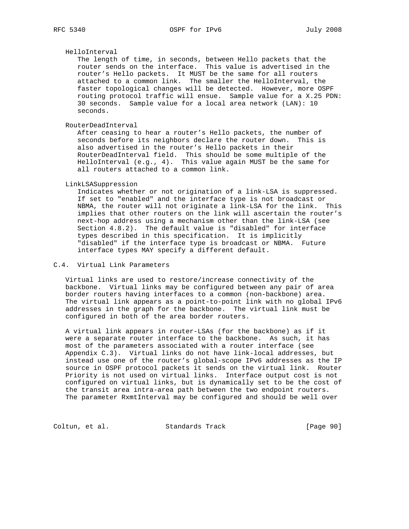### HelloInterval

 The length of time, in seconds, between Hello packets that the router sends on the interface. This value is advertised in the router's Hello packets. It MUST be the same for all routers attached to a common link. The smaller the HelloInterval, the faster topological changes will be detected. However, more OSPF routing protocol traffic will ensue. Sample value for a X.25 PDN: 30 seconds. Sample value for a local area network (LAN): 10 seconds.

RouterDeadInterval

 After ceasing to hear a router's Hello packets, the number of seconds before its neighbors declare the router down. This is also advertised in the router's Hello packets in their RouterDeadInterval field. This should be some multiple of the HelloInterval (e.g., 4). This value again MUST be the same for all routers attached to a common link.

#### LinkLSASuppression

 Indicates whether or not origination of a link-LSA is suppressed. If set to "enabled" and the interface type is not broadcast or NBMA, the router will not originate a link-LSA for the link. This implies that other routers on the link will ascertain the router's next-hop address using a mechanism other than the link-LSA (see Section 4.8.2). The default value is "disabled" for interface types described in this specification. It is implicitly "disabled" if the interface type is broadcast or NBMA. Future interface types MAY specify a different default.

## C.4. Virtual Link Parameters

 Virtual links are used to restore/increase connectivity of the backbone. Virtual links may be configured between any pair of area border routers having interfaces to a common (non-backbone) area. The virtual link appears as a point-to-point link with no global IPv6 addresses in the graph for the backbone. The virtual link must be configured in both of the area border routers.

 A virtual link appears in router-LSAs (for the backbone) as if it were a separate router interface to the backbone. As such, it has most of the parameters associated with a router interface (see Appendix C.3). Virtual links do not have link-local addresses, but instead use one of the router's global-scope IPv6 addresses as the IP source in OSPF protocol packets it sends on the virtual link. Router Priority is not used on virtual links. Interface output cost is not configured on virtual links, but is dynamically set to be the cost of the transit area intra-area path between the two endpoint routers. The parameter RxmtInterval may be configured and should be well over

Coltun, et al. Standards Track [Page 90]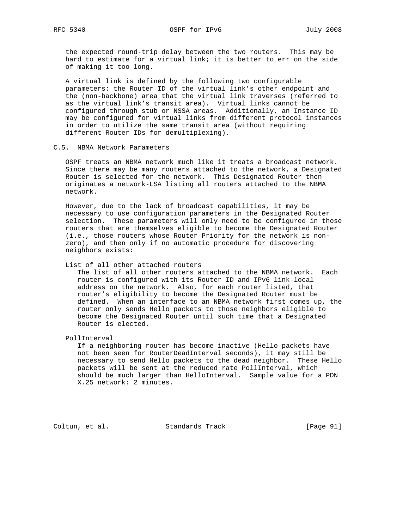the expected round-trip delay between the two routers. This may be hard to estimate for a virtual link; it is better to err on the side of making it too long.

 A virtual link is defined by the following two configurable parameters: the Router ID of the virtual link's other endpoint and the (non-backbone) area that the virtual link traverses (referred to as the virtual link's transit area). Virtual links cannot be configured through stub or NSSA areas. Additionally, an Instance ID may be configured for virtual links from different protocol instances in order to utilize the same transit area (without requiring different Router IDs for demultiplexing).

## C.5. NBMA Network Parameters

 OSPF treats an NBMA network much like it treats a broadcast network. Since there may be many routers attached to the network, a Designated Router is selected for the network. This Designated Router then originates a network-LSA listing all routers attached to the NBMA network.

 However, due to the lack of broadcast capabilities, it may be necessary to use configuration parameters in the Designated Router selection. These parameters will only need to be configured in those routers that are themselves eligible to become the Designated Router (i.e., those routers whose Router Priority for the network is non zero), and then only if no automatic procedure for discovering neighbors exists:

## List of all other attached routers

 The list of all other routers attached to the NBMA network. Each router is configured with its Router ID and IPv6 link-local address on the network. Also, for each router listed, that router's eligibility to become the Designated Router must be defined. When an interface to an NBMA network first comes up, the router only sends Hello packets to those neighbors eligible to become the Designated Router until such time that a Designated Router is elected.

PollInterval

 If a neighboring router has become inactive (Hello packets have not been seen for RouterDeadInterval seconds), it may still be necessary to send Hello packets to the dead neighbor. These Hello packets will be sent at the reduced rate PollInterval, which should be much larger than HelloInterval. Sample value for a PDN X.25 network: 2 minutes.

Coltun, et al. Standards Track [Page 91]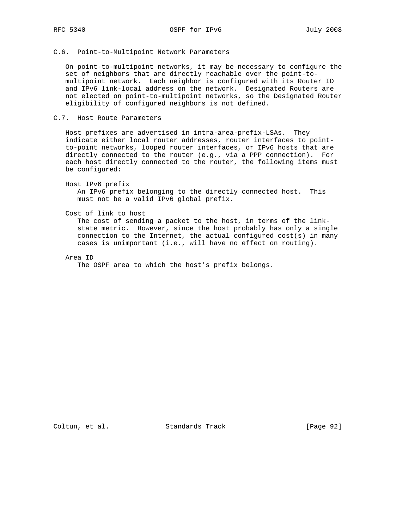## C.6. Point-to-Multipoint Network Parameters

 On point-to-multipoint networks, it may be necessary to configure the set of neighbors that are directly reachable over the point-to multipoint network. Each neighbor is configured with its Router ID and IPv6 link-local address on the network. Designated Routers are not elected on point-to-multipoint networks, so the Designated Router eligibility of configured neighbors is not defined.

## C.7. Host Route Parameters

 Host prefixes are advertised in intra-area-prefix-LSAs. They indicate either local router addresses, router interfaces to point to-point networks, looped router interfaces, or IPv6 hosts that are directly connected to the router (e.g., via a PPP connection). For each host directly connected to the router, the following items must be configured:

Host IPv6 prefix

 An IPv6 prefix belonging to the directly connected host. This must not be a valid IPv6 global prefix.

Cost of link to host

 The cost of sending a packet to the host, in terms of the link state metric. However, since the host probably has only a single connection to the Internet, the actual configured cost(s) in many cases is unimportant (i.e., will have no effect on routing).

Area ID

The OSPF area to which the host's prefix belongs.

Coltun, et al. Standards Track [Page 92]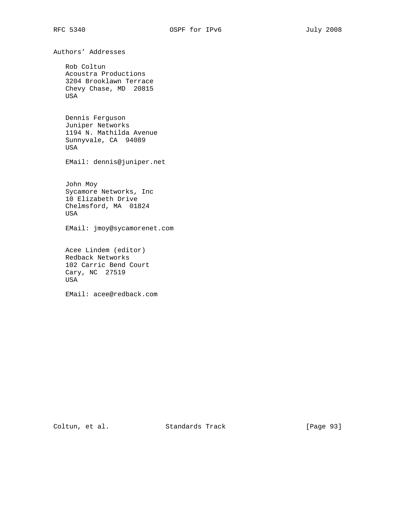Authors' Addresses

 Rob Coltun Acoustra Productions 3204 Brooklawn Terrace Chevy Chase, MD 20815 USA

 Dennis Ferguson Juniper Networks 1194 N. Mathilda Avenue Sunnyvale, CA 94089 USA

EMail: dennis@juniper.net

 John Moy Sycamore Networks, Inc 10 Elizabeth Drive Chelmsford, MA 01824 USA

EMail: jmoy@sycamorenet.com

 Acee Lindem (editor) Redback Networks 102 Carric Bend Court Cary, NC 27519 USA

EMail: acee@redback.com

Coltun, et al. Standards Track [Page 93]